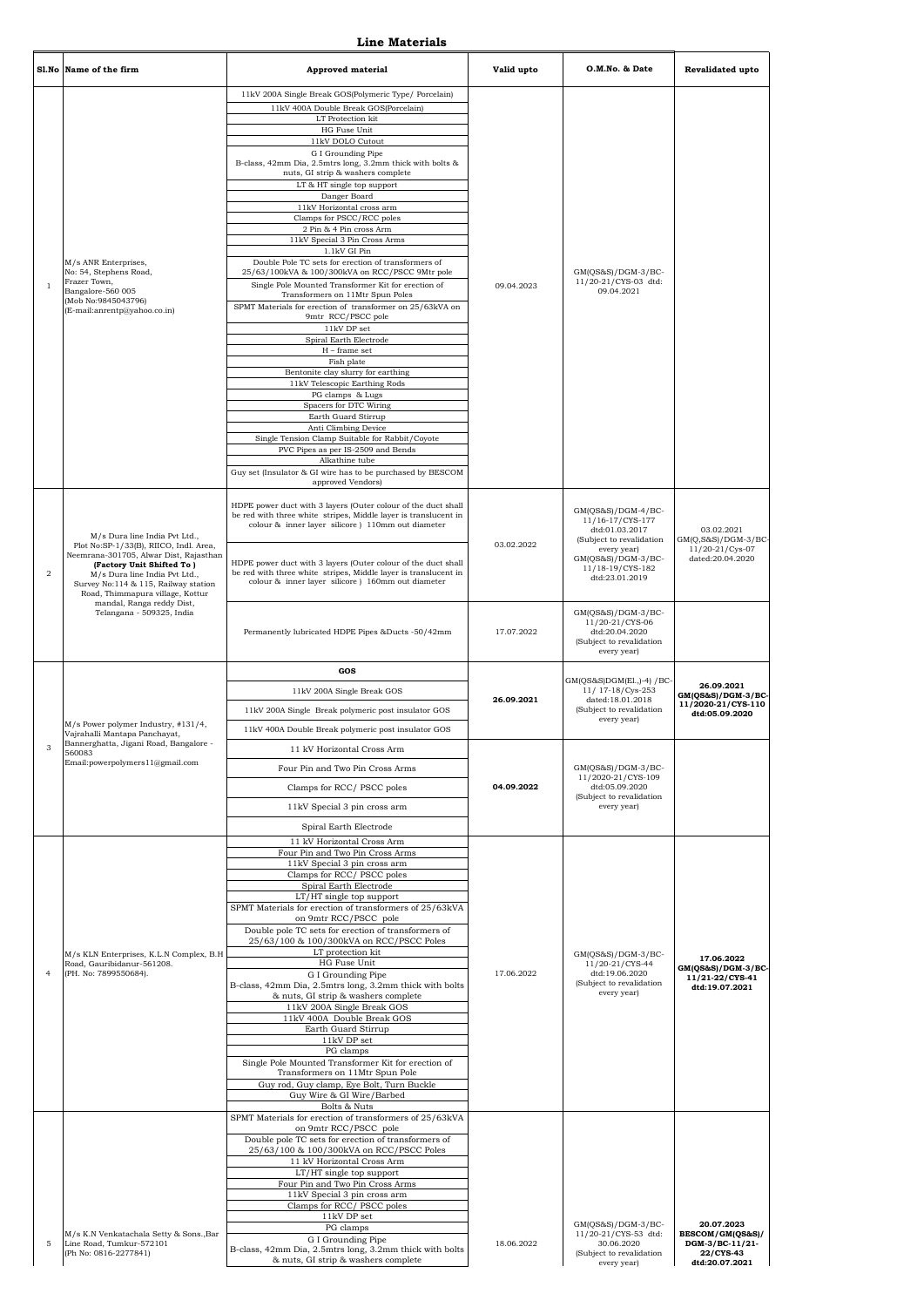**Line Materials**

|                | Sl.No Name of the firm                                                                                                                                                                                                     | <b>Approved material</b>                                                                                                                                                               | Valid upto                                                                | O.M.No. & Date                                                                                     | <b>Revalidated upto</b>                           |
|----------------|----------------------------------------------------------------------------------------------------------------------------------------------------------------------------------------------------------------------------|----------------------------------------------------------------------------------------------------------------------------------------------------------------------------------------|---------------------------------------------------------------------------|----------------------------------------------------------------------------------------------------|---------------------------------------------------|
|                |                                                                                                                                                                                                                            | 11kV 200A Single Break GOS(Polymeric Type/ Porcelain)<br>11kV 400A Double Break GOS(Porcelain)<br>LT Protection kit                                                                    |                                                                           |                                                                                                    |                                                   |
|                |                                                                                                                                                                                                                            | HG Fuse Unit<br>11kV DOLO Cutout                                                                                                                                                       |                                                                           |                                                                                                    |                                                   |
|                |                                                                                                                                                                                                                            | G I Grounding Pipe<br>B-class, 42mm Dia, 2.5mtrs long, 3.2mm thick with bolts &<br>nuts, GI strip & washers complete                                                                   |                                                                           |                                                                                                    |                                                   |
|                |                                                                                                                                                                                                                            | LT & HT single top support<br>Danger Board                                                                                                                                             |                                                                           |                                                                                                    |                                                   |
|                |                                                                                                                                                                                                                            | 11kV Horizontal cross arm<br>Clamps for PSCC/RCC poles                                                                                                                                 |                                                                           |                                                                                                    |                                                   |
|                |                                                                                                                                                                                                                            | 2 Pin & 4 Pin cross Arm<br>11kV Special 3 Pin Cross Arms                                                                                                                               |                                                                           |                                                                                                    |                                                   |
|                | M/s ANR Enterprises,                                                                                                                                                                                                       | 1.1kV GI Pin<br>Double Pole TC sets for erection of transformers of                                                                                                                    |                                                                           |                                                                                                    |                                                   |
| $\mathbf{1}$   | No: 54, Stephens Road,<br>Frazer Town,                                                                                                                                                                                     | 25/63/100kVA & 100/300kVA on RCC/PSCC 9Mtr pole<br>Single Pole Mounted Transformer Kit for erection of                                                                                 | 09.04.2023                                                                | $GM(QS&S)/DGM-3/BC-$<br>11/20-21/CYS-03 dtd:                                                       |                                                   |
|                | Bangalore-560 005<br>(Mob No:9845043796)                                                                                                                                                                                   | Transformers on 11Mtr Spun Poles                                                                                                                                                       |                                                                           | 09.04.2021                                                                                         |                                                   |
|                | (E-mail:anrentp@yahoo.co.in)                                                                                                                                                                                               | SPMT Materials for erection of transformer on 25/63kVA on<br>9mtr RCC/PSCC pole<br>11kV DP set                                                                                         |                                                                           |                                                                                                    |                                                   |
|                |                                                                                                                                                                                                                            | Spiral Earth Electrode                                                                                                                                                                 |                                                                           |                                                                                                    |                                                   |
|                |                                                                                                                                                                                                                            | $H$ – frame set<br>Fish plate                                                                                                                                                          |                                                                           |                                                                                                    |                                                   |
|                |                                                                                                                                                                                                                            | Bentonite clay slurry for earthing<br>11kV Telescopic Earthing Rods                                                                                                                    |                                                                           |                                                                                                    |                                                   |
|                |                                                                                                                                                                                                                            | PG clamps & Lugs<br>Spacers for DTC Wiring                                                                                                                                             |                                                                           |                                                                                                    |                                                   |
|                |                                                                                                                                                                                                                            | Earth Guard Stirrup<br>Anti Climbing Device                                                                                                                                            |                                                                           |                                                                                                    |                                                   |
|                |                                                                                                                                                                                                                            | Single Tension Clamp Suitable for Rabbit/Coyote<br>PVC Pipes as per IS-2509 and Bends                                                                                                  |                                                                           |                                                                                                    |                                                   |
|                |                                                                                                                                                                                                                            | Alkathine tube                                                                                                                                                                         |                                                                           |                                                                                                    |                                                   |
|                |                                                                                                                                                                                                                            | Guy set (Insulator & GI wire has to be purchased by BESCOM<br>approved Vendors)                                                                                                        |                                                                           |                                                                                                    |                                                   |
|                | M/s Dura line India Pvt Ltd.,                                                                                                                                                                                              | HDPE power duct with 3 layers (Outer colour of the duct shall<br>be red with three white stripes, Middle layer is translucent in<br>colour & inner layer silicore ) 110mm out diameter | 03.02.2022                                                                | $GM(QS&S)/DGM-4/BC-$<br>11/16-17/CYS-177<br>dtd:01.03.2017<br>(Subject to revalidation             | 03.02.2021<br>GM(Q,S&S)/DGM-3/BC-                 |
| $\overline{a}$ | Plot No:SP-1/33(B), RIICO, Indl. Area,<br>Neemrana-301705, Alwar Dist, Rajasthan<br>(Factory Unit Shifted To)<br>M/s Dura line India Pvt Ltd.,<br>Survey No:114 & 115, Railway station<br>Road, Thimmapura village, Kottur | HDPE power duct with 3 layers (Outer colour of the duct shall<br>be red with three white stripes, Middle layer is translucent in<br>colour & inner layer silicore ) 160mm out diameter | every year)<br>$GM(QS&S)/DGM-3/BC-$<br>11/18-19/CYS-182<br>dtd:23.01.2019 | $11/20 - 21/Cys - 07$<br>dated:20.04.2020                                                          |                                                   |
|                | mandal, Ranga reddy Dist,<br>Telangana - 509325, India                                                                                                                                                                     | Permanently lubricated HDPE Pipes &Ducts -50/42mm                                                                                                                                      | 17.07.2022                                                                | GM(QS&S)/DGM-3/BC-<br>11/20-21/CYS-06<br>dtd:20.04.2020<br>(Subject to revalidation<br>every year) |                                                   |
|                |                                                                                                                                                                                                                            | GOS                                                                                                                                                                                    |                                                                           | GM(QS&S)DGM(El.,)-4) / BC-<br>11/17-18/Cys-253<br>dated:18.01.2018                                 |                                                   |
|                |                                                                                                                                                                                                                            |                                                                                                                                                                                        |                                                                           |                                                                                                    | 26.09.2021                                        |
|                |                                                                                                                                                                                                                            | 11kV 200A Single Break GOS                                                                                                                                                             |                                                                           |                                                                                                    | $GM(QS&S)/DGM-3/BC$                               |
|                |                                                                                                                                                                                                                            | 11kV 200A Single Break polymeric post insulator GOS                                                                                                                                    | 26.09.2021                                                                | (Subject to revalidation                                                                           | 11/2020-21/CYS-110<br>dtd:05.09.2020              |
|                | M/s Power polymer Industry, #131/4,<br>Vajrahalli Mantapa Panchayat,                                                                                                                                                       | 11kV 400A Double Break polymeric post insulator GOS                                                                                                                                    |                                                                           | every year)                                                                                        |                                                   |
| 3              | Bannerghatta, Jigani Road, Bangalore -<br>560083                                                                                                                                                                           | 11 kV Horizontal Cross Arm                                                                                                                                                             |                                                                           |                                                                                                    |                                                   |
|                | Email: powerpolymers 11@gmail.com                                                                                                                                                                                          | Four Pin and Two Pin Cross Arms                                                                                                                                                        |                                                                           | $GM(QS&S)/DGM-3/BC-$<br>11/2020-21/CYS-109                                                         |                                                   |
|                |                                                                                                                                                                                                                            | Clamps for RCC/PSCC poles                                                                                                                                                              | 04.09.2022                                                                | dtd:05.09.2020<br>(Subject to revalidation                                                         |                                                   |
|                |                                                                                                                                                                                                                            | 11kV Special 3 pin cross arm                                                                                                                                                           |                                                                           | every year)                                                                                        |                                                   |
|                |                                                                                                                                                                                                                            | Spiral Earth Electrode<br>11 kV Horizontal Cross Arm                                                                                                                                   |                                                                           |                                                                                                    |                                                   |
|                |                                                                                                                                                                                                                            | Four Pin and Two Pin Cross Arms<br>11kV Special 3 pin cross arm                                                                                                                        |                                                                           |                                                                                                    |                                                   |
|                |                                                                                                                                                                                                                            | Clamps for RCC/PSCC poles                                                                                                                                                              |                                                                           |                                                                                                    |                                                   |
|                |                                                                                                                                                                                                                            | Spiral Earth Electrode<br>LT/HT single top support                                                                                                                                     |                                                                           |                                                                                                    |                                                   |
|                |                                                                                                                                                                                                                            | SPMT Materials for erection of transformers of 25/63kVA<br>on 9mtr RCC/PSCC pole                                                                                                       |                                                                           |                                                                                                    |                                                   |
|                |                                                                                                                                                                                                                            | Double pole TC sets for erection of transformers of<br>25/63/100 & 100/300kVA on RCC/PSCC Poles                                                                                        |                                                                           |                                                                                                    |                                                   |
|                | M/s KLN Enterprises, K.L.N Complex, B.H<br>Road, Gauribidanur-561208.                                                                                                                                                      | LT protection kit<br>HG Fuse Unit                                                                                                                                                      |                                                                           | $GM(QS&S)/DGM-3/BC-$<br>11/20-21/CYS-44                                                            | 17.06.2022                                        |
| $\overline{4}$ | (PH. No: 7899550684).                                                                                                                                                                                                      | G I Grounding Pipe                                                                                                                                                                     | 17.06.2022                                                                | dtd:19.06.2020<br>(Subject to revalidation                                                         | $GM(QS&S)/DGM-3/BC$<br>11/21-22/CYS-41            |
|                |                                                                                                                                                                                                                            | B-class, 42mm Dia, 2.5mtrs long, 3.2mm thick with bolts<br>& nuts, GI strip & washers complete                                                                                         |                                                                           | every year)                                                                                        | dtd:19.07.2021                                    |
|                |                                                                                                                                                                                                                            | 11kV 200A Single Break GOS<br>11kV 400A Double Break GOS                                                                                                                               |                                                                           |                                                                                                    |                                                   |
|                |                                                                                                                                                                                                                            | Earth Guard Stirrup<br>$11\mathrm{kV}$ DP set                                                                                                                                          |                                                                           |                                                                                                    |                                                   |
|                |                                                                                                                                                                                                                            | PG clamps<br>Single Pole Mounted Transformer Kit for erection of                                                                                                                       |                                                                           |                                                                                                    |                                                   |
|                |                                                                                                                                                                                                                            | Transformers on 11Mtr Spun Pole<br>Guy rod, Guy clamp, Eye Bolt, Turn Buckle                                                                                                           |                                                                           |                                                                                                    |                                                   |
|                |                                                                                                                                                                                                                            | Guy Wire & GI Wire/Barbed<br>Bolts & Nuts                                                                                                                                              |                                                                           |                                                                                                    |                                                   |
|                |                                                                                                                                                                                                                            | SPMT Materials for erection of transformers of 25/63kVA<br>on 9mtr RCC/PSCC pole                                                                                                       |                                                                           |                                                                                                    |                                                   |
|                |                                                                                                                                                                                                                            | Double pole TC sets for erection of transformers of<br>25/63/100 & 100/300kVA on RCC/PSCC Poles                                                                                        |                                                                           |                                                                                                    |                                                   |
|                |                                                                                                                                                                                                                            | 11 kV Horizontal Cross Arm<br>LT/HT single top support                                                                                                                                 |                                                                           |                                                                                                    |                                                   |
|                |                                                                                                                                                                                                                            | Four Pin and Two Pin Cross Arms<br>11kV Special 3 pin cross arm                                                                                                                        |                                                                           |                                                                                                    |                                                   |
|                |                                                                                                                                                                                                                            | Clamps for RCC/PSCC poles<br>$11\mathrm{kV}$ DP set                                                                                                                                    |                                                                           |                                                                                                    |                                                   |
| 5              | M/s K.N Venkatachala Setty & Sons., Bar<br>Line Road, Tumkur-572101                                                                                                                                                        | PG clamps<br>G I Grounding Pipe<br>B-class, 42mm Dia, 2.5mtrs long, 3.2mm thick with bolts                                                                                             | 18.06.2022                                                                | $GM(QS&S)/DGM-3/BC-$<br>11/20-21/CYS-53 dtd:<br>30.06.2020                                         | 20.07.2023<br>BESCOM/GM(QS&S)/<br>DGM-3/BC-11/21- |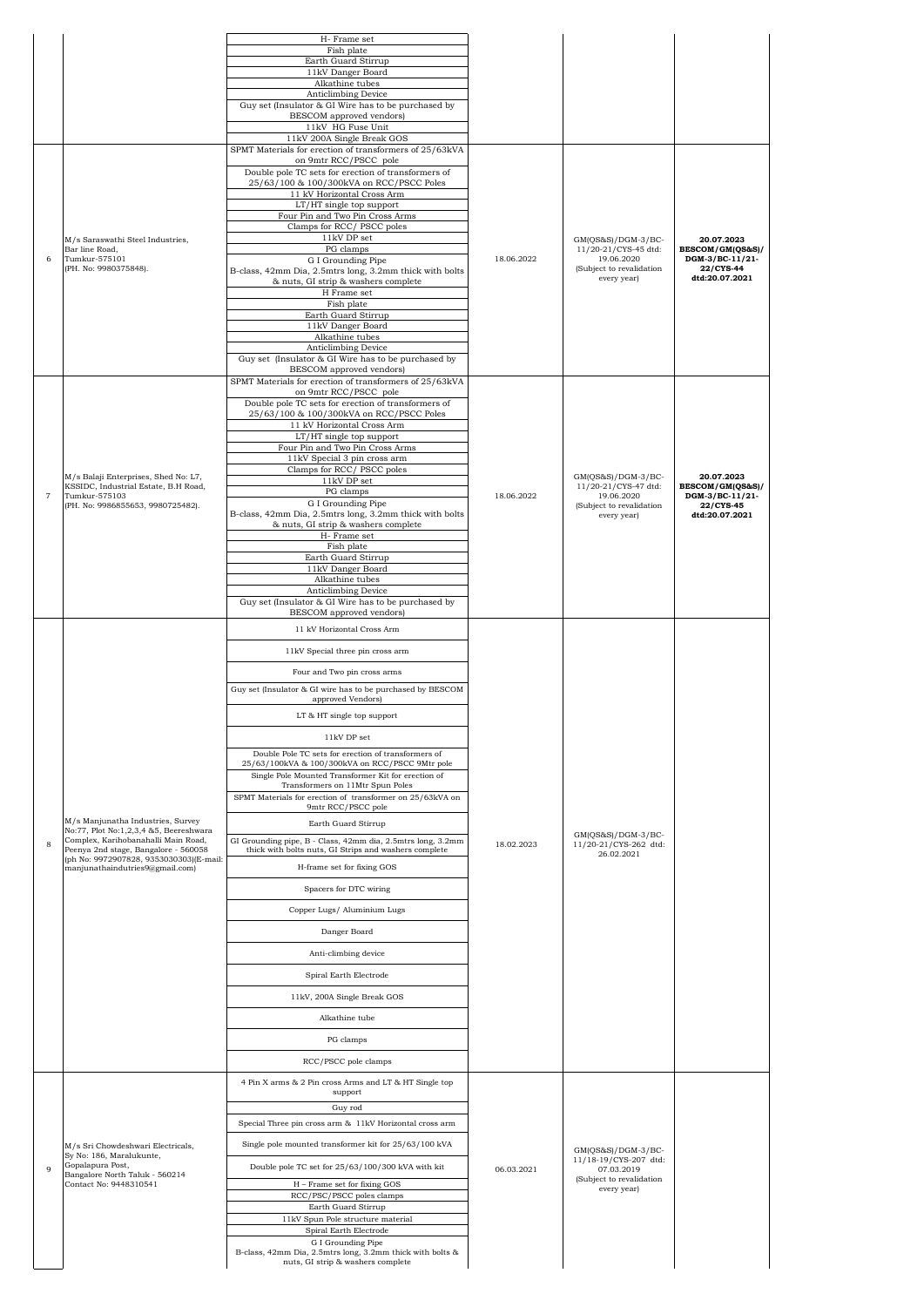|                |                                                                              | H- Frame set                                                                                                         |            |                                            |                                     |
|----------------|------------------------------------------------------------------------------|----------------------------------------------------------------------------------------------------------------------|------------|--------------------------------------------|-------------------------------------|
|                |                                                                              | Fish plate<br>Earth Guard Stirrup                                                                                    |            |                                            |                                     |
|                |                                                                              | 11kV Danger Board<br>Alkathine tubes                                                                                 |            |                                            |                                     |
|                |                                                                              | Anticlimbing Device<br>Guy set (Insulator & GI Wire has to be purchased by                                           |            |                                            |                                     |
|                |                                                                              | BESCOM approved vendors)                                                                                             |            |                                            |                                     |
|                |                                                                              | 11kV HG Fuse Unit<br>11kV 200A Single Break GOS                                                                      |            |                                            |                                     |
|                |                                                                              | SPMT Materials for erection of transformers of 25/63kVA<br>on 9mtr RCC/PSCC pole                                     |            |                                            |                                     |
|                |                                                                              | Double pole TC sets for erection of transformers of<br>25/63/100 & 100/300kVA on RCC/PSCC Poles                      |            |                                            |                                     |
|                |                                                                              | 11 kV Horizontal Cross Arm                                                                                           |            |                                            |                                     |
|                |                                                                              | LT/HT single top support<br>Four Pin and Two Pin Cross Arms                                                          |            |                                            |                                     |
|                | M/s Saraswathi Steel Industries,                                             | Clamps for RCC/PSCC poles<br>$11\mathrm{kV}$ DP set                                                                  |            | GM(QS&S)/DGM-3/BC-                         | 20.07.2023                          |
| 6              | Bar line Road,<br>Tumkur-575101                                              | PG clamps                                                                                                            | 18.06.2022 | 11/20-21/CYS-45 dtd:<br>19.06.2020         | BESCOM/GM(QS&S)/<br>DGM-3/BC-11/21- |
|                | (PH. No: 9980375848).                                                        | G I Grounding Pipe<br>B-class, 42mm Dia, 2.5mtrs long, 3.2mm thick with bolts                                        |            | (Subject to revalidation<br>every year)    | 22/CYS-44<br>dtd:20.07.2021         |
|                |                                                                              | & nuts, GI strip & washers complete<br>H Frame set                                                                   |            |                                            |                                     |
|                |                                                                              | Fish plate<br>Earth Guard Stirrup                                                                                    |            |                                            |                                     |
|                |                                                                              | 11kV Danger Board<br>Alkathine tubes                                                                                 |            |                                            |                                     |
|                |                                                                              | Anticlimbing Device                                                                                                  |            |                                            |                                     |
|                |                                                                              | Guy set (Insulator & GI Wire has to be purchased by<br>BESCOM approved vendors)                                      |            |                                            |                                     |
|                |                                                                              | SPMT Materials for erection of transformers of 25/63kVA<br>on 9mtr RCC/PSCC pole                                     |            |                                            |                                     |
|                |                                                                              | Double pole TC sets for erection of transformers of<br>25/63/100 & 100/300kVA on RCC/PSCC Poles                      |            |                                            |                                     |
|                |                                                                              | 11 kV Horizontal Cross Arm                                                                                           |            |                                            |                                     |
|                |                                                                              | LT/HT single top support<br>Four Pin and Two Pin Cross Arms                                                          |            |                                            |                                     |
|                |                                                                              | 11kV Special 3 pin cross arm<br>Clamps for RCC/PSCC poles                                                            |            |                                            |                                     |
|                | M/s Balaji Enterprises, Shed No: L7,<br>KSSIDC, Industrial Estate, B.H Road, | 11kV DP set                                                                                                          |            | GM(QS&S)/DGM-3/BC-<br>11/20-21/CYS-47 dtd: | 20.07.2023<br>BESCOM/GM(QS&S)/      |
| $\overline{7}$ | Tumkur-575103<br>(PH. No: 9986855653, 9980725482).                           | PG clamps<br>G I Grounding Pipe                                                                                      | 18.06.2022 | 19.06.2020<br>(Subject to revalidation     | DGM-3/BC-11/21-<br>22/CYS-45        |
|                |                                                                              | B-class, 42mm Dia, 2.5mtrs long, 3.2mm thick with bolts<br>& nuts, GI strip & washers complete                       |            | every year)                                | dtd:20.07.2021                      |
|                |                                                                              | H- Frame set<br>Fish plate                                                                                           |            |                                            |                                     |
|                |                                                                              | Earth Guard Stirrup                                                                                                  |            |                                            |                                     |
|                |                                                                              | 11kV Danger Board<br>Alkathine tubes                                                                                 |            |                                            |                                     |
|                |                                                                              | Anticlimbing Device<br>Guy set (Insulator & GI Wire has to be purchased by                                           |            |                                            |                                     |
|                |                                                                              | BESCOM approved vendors)                                                                                             |            |                                            |                                     |
|                |                                                                              | 11 kV Horizontal Cross Arm                                                                                           |            |                                            |                                     |
|                |                                                                              | 11kV Special three pin cross arm                                                                                     |            |                                            |                                     |
|                |                                                                              | Four and Two pin cross arms                                                                                          |            |                                            |                                     |
|                |                                                                              | Guy set (Insulator & GI wire has to be purchased by BESCOM<br>approved Vendors)                                      |            |                                            |                                     |
|                |                                                                              | LT & HT single top support                                                                                           |            |                                            |                                     |
|                |                                                                              | 11kV DP set                                                                                                          |            |                                            |                                     |
|                |                                                                              | Double Pole TC sets for erection of transformers of                                                                  |            |                                            |                                     |
|                |                                                                              | 25/63/100kVA & 100/300kVA on RCC/PSCC 9Mtr pole<br>Single Pole Mounted Transformer Kit for erection of               |            |                                            |                                     |
|                |                                                                              | Transformers on 11Mtr Spun Poles<br>SPMT Materials for erection of transformer on 25/63kVA on                        |            |                                            |                                     |
|                |                                                                              | 9mtr RCC/PSCC pole                                                                                                   |            |                                            |                                     |
|                | M/s Manjunatha Industries, Survey<br>No:77, Plot No:1,2,3,4 &5, Beereshwara  | Earth Guard Stirrup                                                                                                  |            | GM(QS&S)/DGM-3/BC-                         |                                     |
| 8              | Complex, Karihobanahalli Main Road,<br>Peenya 2nd stage, Bangalore - 560058  | GI Grounding pipe, B - Class, 42mm dia, 2.5mtrs long, 3.2mm<br>thick with bolts nuts, GI Strips and washers complete | 18.02.2023 | 11/20-21/CYS-262 dtd:<br>26.02.2021        |                                     |
|                | (ph No: 9972907828, 9353030303)(E-mail:<br>manjunathaindutries9@gmail.com)   | H-frame set for fixing GOS                                                                                           |            |                                            |                                     |
|                |                                                                              | Spacers for DTC wiring                                                                                               |            |                                            |                                     |
|                |                                                                              | Copper Lugs/ Aluminium Lugs                                                                                          |            |                                            |                                     |
|                |                                                                              | Danger Board                                                                                                         |            |                                            |                                     |
|                |                                                                              | Anti-climbing device                                                                                                 |            |                                            |                                     |
|                |                                                                              | Spiral Earth Electrode                                                                                               |            |                                            |                                     |
|                |                                                                              |                                                                                                                      |            |                                            |                                     |
|                |                                                                              | 11kV, 200A Single Break GOS                                                                                          |            |                                            |                                     |
|                |                                                                              | Alkathine tube                                                                                                       |            |                                            |                                     |
|                |                                                                              | PG clamps                                                                                                            |            |                                            |                                     |
|                |                                                                              | RCC/PSCC pole clamps                                                                                                 |            |                                            |                                     |
|                |                                                                              | 4 Pin X arms & 2 Pin cross Arms and LT & HT Single top                                                               |            |                                            |                                     |
|                |                                                                              | support<br>Guy rod                                                                                                   |            |                                            |                                     |
|                |                                                                              | Special Three pin cross arm & 11kV Horizontal cross arm                                                              |            |                                            |                                     |
|                | M/s Sri Chowdeshwari Electricals,                                            | Single pole mounted transformer kit for 25/63/100 kVA                                                                |            | GM(QS&S)/DGM-3/BC-                         |                                     |
| 9              | Sy No: 186, Maralukunte,<br>Gopalapura Post,                                 | Double pole TC set for 25/63/100/300 kVA with kit                                                                    | 06.03.2021 | 11/18-19/CYS-207 dtd:<br>07.03.2019        |                                     |
|                | Bangalore North Taluk - 560214<br>Contact No: 9448310541                     | H - Frame set for fixing GOS                                                                                         |            | (Subject to revalidation<br>every year)    |                                     |
|                |                                                                              | RCC/PSC/PSCC poles clamps<br>Earth Guard Stirrup                                                                     |            |                                            |                                     |
|                |                                                                              | 11kV Spun Pole structure material                                                                                    |            |                                            |                                     |
|                |                                                                              | Spiral Earth Electrode<br>G I Grounding Pipe                                                                         |            |                                            |                                     |
|                |                                                                              | B-class, 42mm Dia, 2.5mtrs long, 3.2mm thick with bolts &<br>nuts, GI strip & washers complete                       |            |                                            |                                     |
|                |                                                                              |                                                                                                                      |            |                                            |                                     |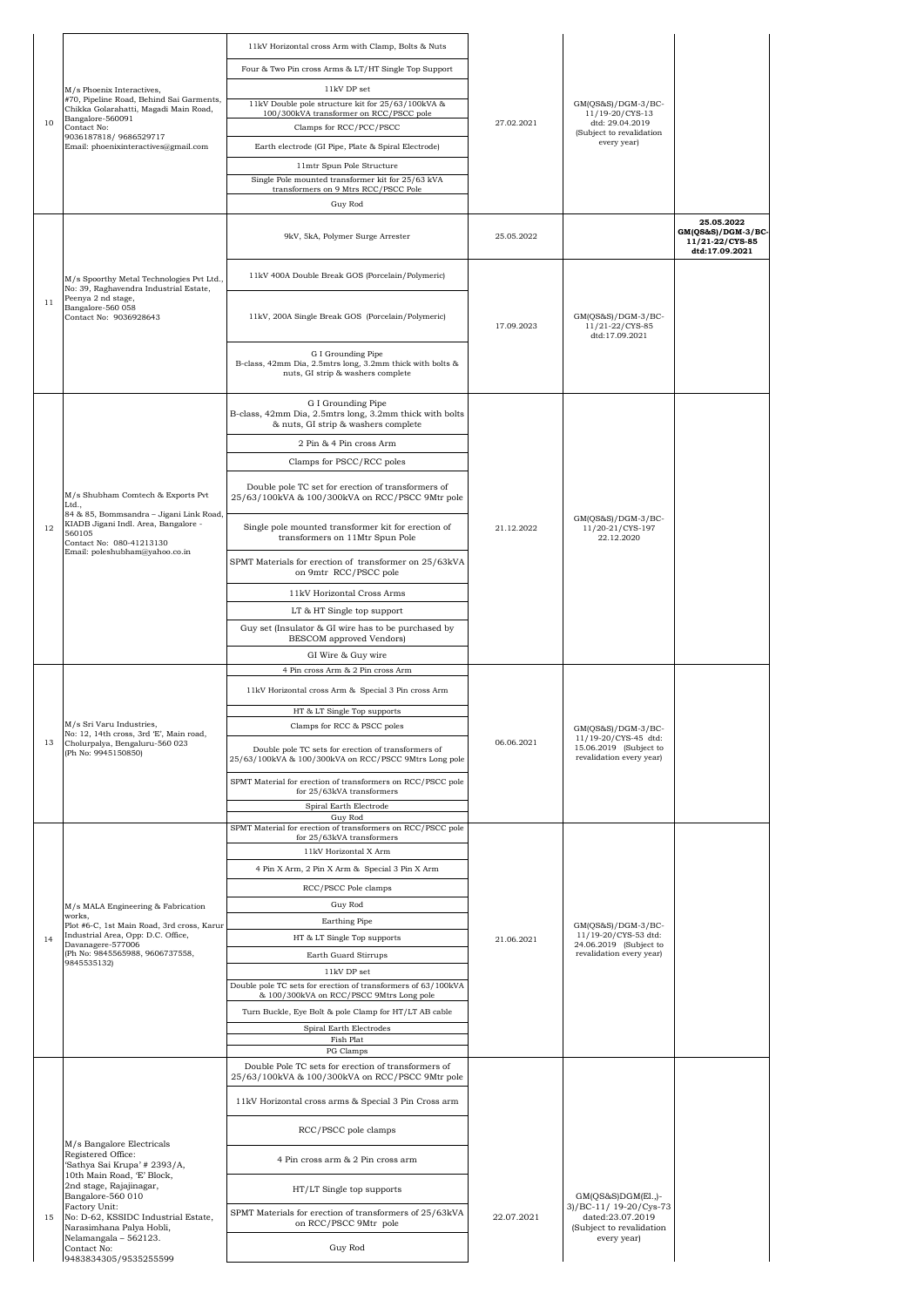|    |                                                                                                                                    | 11kV Horizontal cross Arm with Clamp, Bolts & Nuts                                                                   |            |                                                             |                                                                       |
|----|------------------------------------------------------------------------------------------------------------------------------------|----------------------------------------------------------------------------------------------------------------------|------------|-------------------------------------------------------------|-----------------------------------------------------------------------|
|    |                                                                                                                                    | Four & Two Pin cross Arms & LT/HT Single Top Support                                                                 |            |                                                             |                                                                       |
|    | M/s Phoenix Interactives,<br>#70, Pipeline Road, Behind Sai Garments,<br>Chikka Golarahatti, Magadi Main Road,<br>Bangalore-560091 | 11kV DP set                                                                                                          |            |                                                             |                                                                       |
|    |                                                                                                                                    | 11kV Double pole structure kit for 25/63/100kVA &<br>100/300kVA transformer on RCC/PSCC pole                         |            | GM(QS&S)/DGM-3/BC-<br>11/19-20/CYS-13                       |                                                                       |
| 10 | Contact No:<br>9036187818/9686529717                                                                                               | Clamps for RCC/PCC/PSCC                                                                                              | 27.02.2021 | dtd: 29.04.2019<br>(Subject to revalidation                 |                                                                       |
|    | Email: phoenixinteractives@gmail.com                                                                                               | Earth electrode (GI Pipe, Plate & Spiral Electrode)                                                                  |            | every year)                                                 |                                                                       |
|    |                                                                                                                                    | 11mtr Spun Pole Structure                                                                                            |            |                                                             |                                                                       |
|    |                                                                                                                                    | Single Pole mounted transformer kit for 25/63 kVA<br>transformers on 9 Mtrs RCC/PSCC Pole                            |            |                                                             |                                                                       |
|    |                                                                                                                                    | Guy Rod                                                                                                              |            |                                                             |                                                                       |
|    |                                                                                                                                    | 9kV, 5kA, Polymer Surge Arrester                                                                                     | 25.05.2022 |                                                             | 25.05.2022<br>GM(QS&S)/DGM-3/BC-<br>11/21-22/CYS-85<br>dtd:17.09.2021 |
|    | M/s Spoorthy Metal Technologies Pvt Ltd.,<br>No: 39, Raghavendra Industrial Estate,                                                | 11kV 400A Double Break GOS (Porcelain/Polymeric)                                                                     |            |                                                             |                                                                       |
| 11 | Peenya 2 nd stage,<br>Bangalore-560 058<br>Contact No: 9036928643                                                                  | 11kV, 200A Single Break GOS (Porcelain/Polymeric)                                                                    | 17.09.2023 | GM(QS&S)/DGM-3/BC-<br>11/21-22/CYS-85<br>dtd:17.09.2021     |                                                                       |
|    |                                                                                                                                    | G I Grounding Pipe<br>B-class, 42mm Dia, 2.5mtrs long, 3.2mm thick with bolts &<br>nuts, GI strip & washers complete |            |                                                             |                                                                       |
|    |                                                                                                                                    | G I Grounding Pipe<br>B-class, 42mm Dia, 2.5mtrs long, 3.2mm thick with bolts<br>& nuts, GI strip & washers complete |            |                                                             |                                                                       |
|    |                                                                                                                                    | 2 Pin & 4 Pin cross Arm                                                                                              |            |                                                             |                                                                       |
|    |                                                                                                                                    | Clamps for PSCC/RCC poles                                                                                            |            |                                                             |                                                                       |
|    | M/s Shubham Comtech & Exports Pvt<br>Ltd.,<br>84 & 85, Bommsandra - Jigani Link Road,                                              | Double pole TC set for erection of transformers of<br>25/63/100kVA & 100/300kVA on RCC/PSCC 9Mtr pole                |            | GM(QS&S)/DGM-3/BC-                                          |                                                                       |
| 12 | KIADB Jigani Indl. Area, Bangalore -<br>560105<br>Contact No: 080-41213130<br>Email: poleshubham@yahoo.co.in                       | Single pole mounted transformer kit for erection of<br>transformers on 11Mtr Spun Pole                               | 21.12.2022 | 11/20-21/CYS-197<br>22.12.2020                              |                                                                       |
|    |                                                                                                                                    | SPMT Materials for erection of transformer on 25/63kVA<br>on 9mtr RCC/PSCC pole                                      |            |                                                             |                                                                       |
|    |                                                                                                                                    | 11kV Horizontal Cross Arms                                                                                           |            |                                                             |                                                                       |
|    |                                                                                                                                    | LT & HT Single top support<br>Guy set (Insulator & GI wire has to be purchased by                                    |            |                                                             |                                                                       |
|    |                                                                                                                                    | BESCOM approved Vendors)                                                                                             |            |                                                             |                                                                       |
|    |                                                                                                                                    | GI Wire & Guy wire<br>4 Pin cross Arm & 2 Pin cross Arm                                                              |            |                                                             |                                                                       |
|    |                                                                                                                                    | 11kV Horizontal cross Arm & Special 3 Pin cross Arm                                                                  |            |                                                             |                                                                       |
|    |                                                                                                                                    | HT & LT Single Top supports                                                                                          |            | GM(QS&S)/DGM-3/BC-<br>11/19-20/CYS-45 dtd:                  |                                                                       |
|    | M/s Sri Varu Industries,<br>No: 12, 14th cross, 3rd 'E', Main road,                                                                | Clamps for RCC & PSCC poles                                                                                          |            |                                                             |                                                                       |
| 13 | Cholurpalya, Bengaluru-560 023<br>(Ph No: 9945150850)                                                                              | Double pole TC sets for erection of transformers of<br>25/63/100kVA & 100/300kVA on RCC/PSCC 9Mtrs Long pole         | 06.06.2021 | 15.06.2019 (Subject to<br>revalidation every year)          |                                                                       |
|    |                                                                                                                                    | SPMT Material for erection of transformers on RCC/PSCC pole<br>for 25/63kVA transformers                             |            |                                                             |                                                                       |
|    |                                                                                                                                    | Spiral Earth Electrode<br>Guy Rod                                                                                    |            |                                                             |                                                                       |
|    |                                                                                                                                    | SPMT Material for erection of transformers on RCC/PSCC pole<br>for 25/63kVA transformers                             |            |                                                             |                                                                       |
|    |                                                                                                                                    | 11kV Horizontal X Arm                                                                                                |            |                                                             |                                                                       |
|    |                                                                                                                                    | 4 Pin X Arm, 2 Pin X Arm & Special 3 Pin X Arm                                                                       |            |                                                             |                                                                       |
|    |                                                                                                                                    | RCC/PSCC Pole clamps                                                                                                 |            |                                                             |                                                                       |
|    | M/s MALA Engineering & Fabrication<br>works,<br>Plot #6-C, 1st Main Road, 3rd cross, Karur                                         | Guy Rod<br>Earthing Pipe                                                                                             |            | GM(QS&S)/DGM-3/BC-                                          |                                                                       |
| 14 | Industrial Area, Opp: D.C. Office,<br>Davanagere-577006                                                                            | HT & LT Single Top supports                                                                                          | 21.06.2021 | 11/19-20/CYS-53 dtd:<br>24.06.2019 (Subject to              |                                                                       |
|    | (Ph No: 9845565988, 9606737558,<br>9845535132)                                                                                     | Earth Guard Stirrups                                                                                                 |            | revalidation every year)                                    |                                                                       |
|    |                                                                                                                                    | 11kV DP set<br>Double pole TC sets for erection of transformers of 63/100kVA                                         |            |                                                             |                                                                       |
|    |                                                                                                                                    | & 100/300kVA on RCC/PSCC 9Mtrs Long pole                                                                             |            |                                                             |                                                                       |
|    |                                                                                                                                    | Turn Buckle, Eye Bolt & pole Clamp for HT/LT AB cable<br>Spiral Earth Electrodes                                     |            |                                                             |                                                                       |
|    |                                                                                                                                    | Fish Plat<br>PG Clamps                                                                                               |            |                                                             |                                                                       |
|    |                                                                                                                                    | Double Pole TC sets for erection of transformers of                                                                  |            |                                                             |                                                                       |
|    |                                                                                                                                    | 25/63/100kVA & 100/300kVA on RCC/PSCC 9Mtr pole<br>11kV Horizontal cross arms & Special 3 Pin Cross arm              |            |                                                             |                                                                       |
|    | M/s Bangalore Electricals                                                                                                          | RCC/PSCC pole clamps                                                                                                 |            |                                                             |                                                                       |
|    | Registered Office:<br>'Sathya Sai Krupa' # 2393/A,<br>10th Main Road, 'E' Block,                                                   | 4 Pin cross arm & 2 Pin cross arm                                                                                    |            |                                                             |                                                                       |
|    | 2nd stage, Rajajinagar,<br>Bangalore-560 010<br>Factory Unit:                                                                      | HT/LT Single top supports                                                                                            |            | $GM(QS&S)DGM(E1.)-$<br>3)/BC-11/ 19-20/Cys-73               |                                                                       |
| 15 | No: D-62, KSSIDC Industrial Estate,<br>Narasimhana Palya Hobli,<br>Nelamangala - 562123.                                           | SPMT Materials for erection of transformers of 25/63kVA<br>on RCC/PSCC 9Mtr pole                                     | 22.07.2021 | dated:23.07.2019<br>(Subject to revalidation<br>every year) |                                                                       |
|    | Contact No:<br>9483834305/9535255599                                                                                               | Guy Rod                                                                                                              |            |                                                             |                                                                       |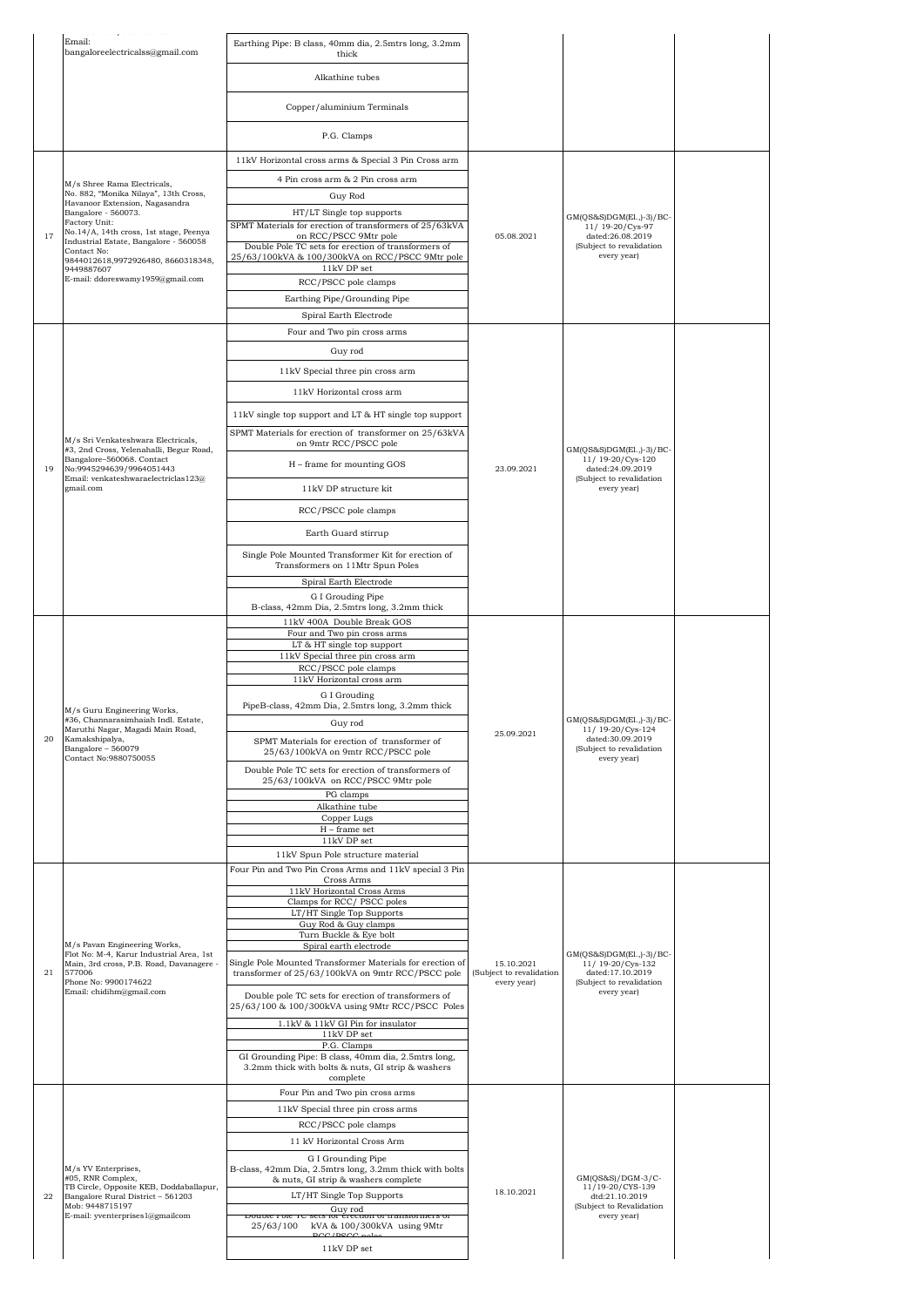|    | Email:                                                                                                     | Earthing Pipe: B class, 40mm dia, 2.5mtrs long, 3.2mm                                                                                        |                                                       |                                                                   |  |
|----|------------------------------------------------------------------------------------------------------------|----------------------------------------------------------------------------------------------------------------------------------------------|-------------------------------------------------------|-------------------------------------------------------------------|--|
|    | bangaloreelectricalss@gmail.com                                                                            | thick                                                                                                                                        |                                                       |                                                                   |  |
|    |                                                                                                            | Alkathine tubes                                                                                                                              |                                                       |                                                                   |  |
|    |                                                                                                            | Copper/aluminium Terminals                                                                                                                   |                                                       |                                                                   |  |
|    |                                                                                                            | P.G. Clamps                                                                                                                                  |                                                       |                                                                   |  |
|    |                                                                                                            | 11kV Horizontal cross arms & Special 3 Pin Cross arm                                                                                         |                                                       |                                                                   |  |
|    | M/s Shree Rama Electricals,                                                                                | 4 Pin cross arm & 2 Pin cross arm                                                                                                            |                                                       |                                                                   |  |
|    | No. 882. "Monika Nilava", 13th Cross.<br>Havanoor Extension, Nagasandra                                    | Guy Rod                                                                                                                                      |                                                       |                                                                   |  |
|    | Bangalore - 560073.<br>Factory Unit:                                                                       | HT/LT Single top supports                                                                                                                    |                                                       | $GM(QS&S)DGM(E1.,-3)/BC$                                          |  |
| 17 | No.14/A, 14th cross, 1st stage, Peenya<br>Industrial Estate, Bangalore - 560058                            | SPMT Materials for erection of transformers of 25/63kVA<br>on RCC/PSCC 9Mtr pole                                                             | 05.08.2021                                            | 11/19-20/Cys-97<br>dated:26.08.2019                               |  |
|    | Contact No:<br>9844012618,9972926480, 8660318348,                                                          | Double Pole TC sets for erection of transformers of<br>25/63/100kVA & 100/300kVA on RCC/PSCC 9Mtr pole                                       |                                                       | (Subject to revalidation<br>every year)                           |  |
|    | 9449887607<br>E-mail: ddoreswamy1959@gmail.com                                                             | 11kV DP set<br>RCC/PSCC pole clamps                                                                                                          |                                                       |                                                                   |  |
|    |                                                                                                            | Earthing Pipe/Grounding Pipe                                                                                                                 |                                                       |                                                                   |  |
|    |                                                                                                            | Spiral Earth Electrode                                                                                                                       |                                                       |                                                                   |  |
|    |                                                                                                            | Four and Two pin cross arms                                                                                                                  |                                                       |                                                                   |  |
|    |                                                                                                            | Guy rod                                                                                                                                      |                                                       |                                                                   |  |
|    |                                                                                                            | 11kV Special three pin cross arm                                                                                                             |                                                       |                                                                   |  |
|    |                                                                                                            | 11kV Horizontal cross arm                                                                                                                    |                                                       |                                                                   |  |
|    |                                                                                                            | 11kV single top support and LT & HT single top support                                                                                       |                                                       |                                                                   |  |
|    |                                                                                                            | SPMT Materials for erection of transformer on 25/63kVA                                                                                       |                                                       |                                                                   |  |
|    | M/s Sri Venkateshwara Electricals,<br>#3, 2nd Cross, Yelenahalli, Begur Road,<br>Bangalore-560068. Contact | on 9mtr RCC/PSCC pole                                                                                                                        |                                                       | $GM(QS&S)DGM(E1, -3)/BC$                                          |  |
| 19 | No:9945294639/9964051443<br>Email: venkateshwaraelectriclas123@                                            | H - frame for mounting GOS                                                                                                                   | 23.09.2021                                            | 11/ 19-20/Cys-120<br>dated:24.09.2019<br>(Subject to revalidation |  |
|    | gmail.com                                                                                                  | 11kV DP structure kit                                                                                                                        |                                                       | every year)                                                       |  |
|    |                                                                                                            | RCC/PSCC pole clamps                                                                                                                         |                                                       |                                                                   |  |
|    |                                                                                                            | Earth Guard stirrup                                                                                                                          |                                                       |                                                                   |  |
|    |                                                                                                            | Single Pole Mounted Transformer Kit for erection of                                                                                          |                                                       |                                                                   |  |
|    |                                                                                                            | Transformers on 11Mtr Spun Poles                                                                                                             |                                                       |                                                                   |  |
|    |                                                                                                            | Spiral Earth Electrode<br>G I Grouding Pipe                                                                                                  |                                                       |                                                                   |  |
|    |                                                                                                            | B-class, 42mm Dia, 2.5mtrs long, 3.2mm thick                                                                                                 |                                                       |                                                                   |  |
|    |                                                                                                            | 11kV 400A Double Break GOS<br>Four and Two pin cross arms                                                                                    |                                                       | $GM(QS&S)DGM(E1, -3)/BC$<br>11/ 19-20/Cys-124                     |  |
|    |                                                                                                            | LT & HT single top support                                                                                                                   | 25.09.2021                                            |                                                                   |  |
|    |                                                                                                            | 11kV Special three pin cross arm<br>RCC/PSCC pole clamps                                                                                     |                                                       |                                                                   |  |
|    |                                                                                                            | 11kV Horizontal cross arm                                                                                                                    |                                                       |                                                                   |  |
|    | M/s Guru Engineering Works,                                                                                | G I Grouding<br>PipeB-class, 42mm Dia, 2.5mtrs long, 3.2mm thick                                                                             |                                                       |                                                                   |  |
|    | #36, Channarasimhaiah Indl. Estate,<br>Maruthi Nagar, Magadi Main Road,                                    | Guy rod                                                                                                                                      |                                                       |                                                                   |  |
| 20 | Kamakshipalya,<br>Bangalore - 560079                                                                       | SPMT Materials for erection of transformer of<br>25/63/100kVA on 9mtr RCC/PSCC pole                                                          |                                                       | dated:30.09.2019<br>(Subject to revalidation                      |  |
|    | Contact No:9880750055                                                                                      | Double Pole TC sets for erection of transformers of                                                                                          |                                                       | every year)                                                       |  |
|    |                                                                                                            | 25/63/100kVA on RCC/PSCC 9Mtr pole<br>PG clamps                                                                                              |                                                       |                                                                   |  |
|    |                                                                                                            | Alkathine tube                                                                                                                               |                                                       |                                                                   |  |
|    |                                                                                                            | Copper Lugs<br>$H$ – frame set                                                                                                               |                                                       |                                                                   |  |
|    |                                                                                                            | 11kV DP set                                                                                                                                  |                                                       |                                                                   |  |
|    |                                                                                                            | 11kV Spun Pole structure material<br>Four Pin and Two Pin Cross Arms and 11kV special 3 Pin                                                  |                                                       |                                                                   |  |
|    |                                                                                                            | Cross Arms<br>11kV Horizontal Cross Arms                                                                                                     |                                                       |                                                                   |  |
|    |                                                                                                            | Clamps for RCC/PSCC poles<br>LT/HT Single Top Supports                                                                                       |                                                       |                                                                   |  |
|    |                                                                                                            | Guy Rod & Guy clamps                                                                                                                         |                                                       |                                                                   |  |
|    | M/s Pavan Engineering Works,<br>Flot No: M-4, Karur Industrial Area, 1st                                   | Turn Buckle & Eye bolt<br>Spiral earth electrode                                                                                             |                                                       | GM(QS&S)DGM(El.,)-3)/BC-                                          |  |
| 21 | Main, 3rd cross, P.B. Road, Davanagere -<br>577006<br>Phone No: 9900174622                                 | Single Pole Mounted Transformer Materials for erection of<br>transformer of 25/63/100kVA on 9mtr RCC/PSCC pole                               | 15.10.2021<br>(Subject to revalidation<br>every year) | 11/ 19-20/Cys-132<br>dated:17.10.2019<br>(Subject to revalidation |  |
|    | Email: chidihm@gmail.com                                                                                   | Double pole TC sets for erection of transformers of<br>25/63/100 & 100/300kVA using 9Mtr RCC/PSCC Poles<br>1.1kV & 11kV GI Pin for insulator |                                                       | every year)                                                       |  |
|    |                                                                                                            | $11\mathrm{kV}$ DP set                                                                                                                       |                                                       |                                                                   |  |
|    |                                                                                                            | P.G. Clamps<br>GI Grounding Pipe: B class, 40mm dia, 2.5mtrs long,                                                                           |                                                       |                                                                   |  |
|    |                                                                                                            | 3.2mm thick with bolts & nuts, GI strip & washers<br>complete<br>Four Pin and Two pin cross arms                                             |                                                       |                                                                   |  |
|    |                                                                                                            | 11kV Special three pin cross arms                                                                                                            |                                                       |                                                                   |  |
|    |                                                                                                            | RCC/PSCC pole clamps                                                                                                                         |                                                       |                                                                   |  |
|    |                                                                                                            | 11 kV Horizontal Cross Arm                                                                                                                   |                                                       |                                                                   |  |
|    | M/s YV Enterprises,                                                                                        | G I Grounding Pipe<br>B-class, 42mm Dia, 2.5mtrs long, 3.2mm thick with bolts                                                                |                                                       |                                                                   |  |
|    | #05, RNR Complex,<br>TB Circle, Opposite KEB, Doddaballapur,                                               | & nuts, GI strip & washers complete                                                                                                          | 18.10.2021                                            | GM(QS&S)/DGM-3/C-<br>11/19-20/CYS-139                             |  |
| 22 | Bangalore Rural District - 561203<br>Mob: 9448715197                                                       | LT/HT Single Top Supports<br>Guy rod                                                                                                         |                                                       | dtd:21.10.2019<br>(Subject to Revalidation                        |  |
|    | E-mail: yventerprises1@gmailcom                                                                            | DOUDIC FOIC TC SCIS IOI CIECTION OF LIBIISIONICIS OF<br>25/63/100 kVA & 100/300kVA using 9Mtr                                                |                                                       | every year)                                                       |  |
|    |                                                                                                            | 11kV DP set                                                                                                                                  |                                                       |                                                                   |  |
|    |                                                                                                            |                                                                                                                                              |                                                       |                                                                   |  |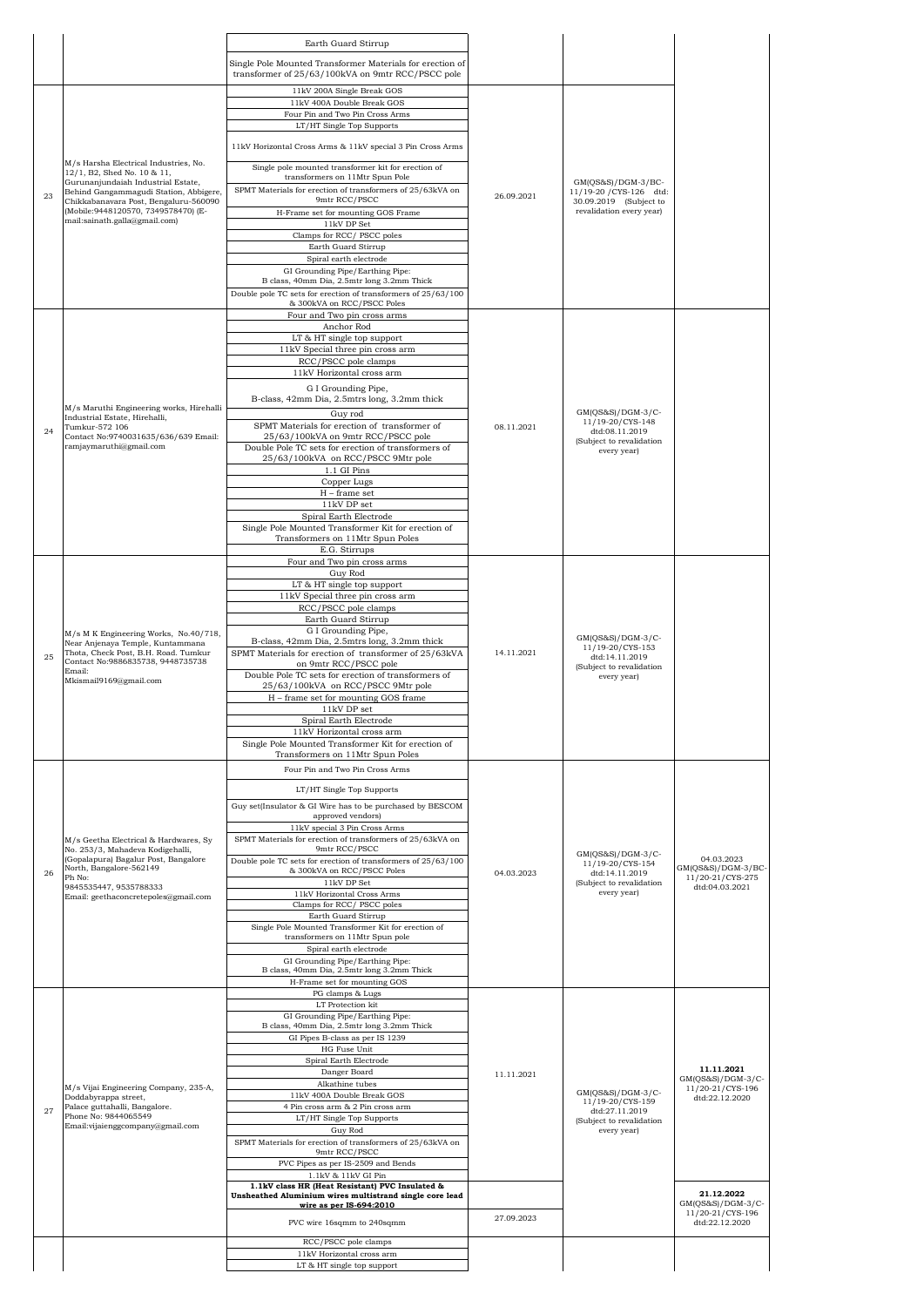|    |                                                                                                               | Earth Guard Stirrup                                                                                            |            |                                                                                                      |                                                         |
|----|---------------------------------------------------------------------------------------------------------------|----------------------------------------------------------------------------------------------------------------|------------|------------------------------------------------------------------------------------------------------|---------------------------------------------------------|
|    |                                                                                                               | Single Pole Mounted Transformer Materials for erection of<br>transformer of 25/63/100kVA on 9mtr RCC/PSCC pole |            |                                                                                                      |                                                         |
|    |                                                                                                               | 11kV 200A Single Break GOS<br>11kV 400A Double Break GOS                                                       |            |                                                                                                      |                                                         |
|    |                                                                                                               | Four Pin and Two Pin Cross Arms<br>LT/HT Single Top Supports                                                   |            |                                                                                                      |                                                         |
|    |                                                                                                               | 11kV Horizontal Cross Arms & 11kV special 3 Pin Cross Arms                                                     |            |                                                                                                      |                                                         |
|    | M/s Harsha Electrical Industries, No.<br>12/1, B2, Shed No. 10 & 11,                                          | Single pole mounted transformer kit for erection of<br>transformers on 11Mtr Spun Pole                         |            |                                                                                                      |                                                         |
| 23 | Gurunanjundaiah Industrial Estate,<br>Behind Gangammagudi Station, Abbigere,                                  | SPMT Materials for erection of transformers of 25/63kVA on                                                     | 26.09.2021 | $GM(QS&S)/DGM-3/BC-$<br>11/19-20 / CYS-126 dtd:                                                      |                                                         |
|    | Chikkabanavara Post, Bengaluru-560090<br>(Mobile: 9448120570, 7349578470) (E-                                 | 9mtr RCC/PSCC<br>H-Frame set for mounting GOS Frame                                                            |            | 30.09.2019 (Subject to<br>revalidation every year)                                                   |                                                         |
|    | mail:sainath.galla@gmail.com)                                                                                 | 11kV DP Set<br>Clamps for RCC/ PSCC poles                                                                      |            |                                                                                                      |                                                         |
|    |                                                                                                               | Earth Guard Stirrup                                                                                            |            |                                                                                                      |                                                         |
|    |                                                                                                               | Spiral earth electrode<br>GI Grounding Pipe/Earthing Pipe:                                                     |            |                                                                                                      |                                                         |
|    |                                                                                                               | B class, 40mm Dia, 2.5mtr long 3.2mm Thick<br>Double pole TC sets for erection of transformers of 25/63/100    |            |                                                                                                      |                                                         |
|    |                                                                                                               | & 300kVA on RCC/PSCC Poles                                                                                     |            |                                                                                                      |                                                         |
|    |                                                                                                               | Four and Two pin cross arms<br>Anchor Rod                                                                      |            |                                                                                                      |                                                         |
|    |                                                                                                               | LT & HT single top support<br>11kV Special three pin cross arm                                                 |            |                                                                                                      |                                                         |
|    |                                                                                                               | RCC/PSCC pole clamps                                                                                           |            |                                                                                                      |                                                         |
|    |                                                                                                               | 11kV Horizontal cross arm<br>G I Grounding Pipe,                                                               |            |                                                                                                      |                                                         |
|    | M/s Maruthi Engineering works, Hirehalli                                                                      | B-class, 42mm Dia, 2.5mtrs long, 3.2mm thick                                                                   |            |                                                                                                      |                                                         |
|    | Industrial Estate, Hirehalli,<br>Tumkur-572 106                                                               | Guv rod<br>SPMT Materials for erection of transformer of                                                       | 08.11.2021 | GM(QS&S)/DGM-3/C-<br>11/19-20/CYS-148                                                                |                                                         |
| 24 | Contact No:9740031635/636/639 Email:<br>ramjaymaruthi@gmail.com                                               | 25/63/100kVA on 9mtr RCC/PSCC pole<br>Double Pole TC sets for erection of transformers of                      |            | dtd:08.11.2019<br>(Subject to revalidation                                                           |                                                         |
|    |                                                                                                               | 25/63/100kVA on RCC/PSCC 9Mtr pole                                                                             |            | every year)                                                                                          |                                                         |
|    |                                                                                                               | 1.1 GI Pins<br>Copper Lugs                                                                                     |            |                                                                                                      |                                                         |
|    |                                                                                                               | H - frame set<br>$11\mathrm{kV}$ DP set                                                                        |            |                                                                                                      |                                                         |
|    |                                                                                                               | Spiral Earth Electrode                                                                                         |            |                                                                                                      |                                                         |
|    |                                                                                                               | Single Pole Mounted Transformer Kit for erection of<br>Transformers on 11Mtr Spun Poles                        |            |                                                                                                      |                                                         |
|    |                                                                                                               | E.G. Stirrups<br>Four and Two pin cross arms                                                                   |            |                                                                                                      |                                                         |
|    |                                                                                                               | Guy Rod<br>LT & HT single top support                                                                          |            |                                                                                                      |                                                         |
|    |                                                                                                               | 11kV Special three pin cross arm                                                                               |            |                                                                                                      |                                                         |
|    |                                                                                                               | RCC/PSCC pole clamps<br>Earth Guard Stirrup                                                                    |            |                                                                                                      |                                                         |
|    | M/s M K Engineering Works, No.40/718,                                                                         | G I Grounding Pipe,<br>B-class, 42mm Dia, 2.5mtrs long, 3.2mm thick                                            | 14.11.2021 | $GM(OS&S)/DGM-3/C-$<br>11/19-20/CYS-153<br>dtd:14.11.2019<br>(Subject to revalidation<br>every year) |                                                         |
| 25 | Near Anjenaya Temple, Kuntammana<br>Thota, Check Post, B.H. Road. Tumkur<br>Contact No:9886835738, 9448735738 | SPMT Materials for erection of transformer of 25/63kVA                                                         |            |                                                                                                      |                                                         |
|    | Email:                                                                                                        | on 9mtr RCC/PSCC pole<br>Double Pole TC sets for erection of transformers of                                   |            |                                                                                                      |                                                         |
|    | Mkismail9169@gmail.com                                                                                        | 25/63/100kVA on RCC/PSCC 9Mtr pole<br>H - frame set for mounting GOS frame                                     |            |                                                                                                      |                                                         |
|    |                                                                                                               | 11kV DP set<br>Spiral Earth Electrode                                                                          |            |                                                                                                      |                                                         |
|    |                                                                                                               | 11kV Horizontal cross arm                                                                                      |            |                                                                                                      |                                                         |
|    |                                                                                                               | Single Pole Mounted Transformer Kit for erection of<br>Transformers on 11Mtr Spun Poles                        |            |                                                                                                      |                                                         |
|    |                                                                                                               | Four Pin and Two Pin Cross Arms                                                                                |            |                                                                                                      |                                                         |
|    |                                                                                                               | LT/HT Single Top Supports                                                                                      |            |                                                                                                      |                                                         |
|    |                                                                                                               | Guy set(Insulator & GI Wire has to be purchased by BESCOM<br>approved vendors)                                 |            |                                                                                                      |                                                         |
|    | M/s Geetha Electrical & Hardwares, Sy                                                                         | 11kV special 3 Pin Cross Arms<br>SPMT Materials for erection of transformers of 25/63kVA on                    |            |                                                                                                      |                                                         |
|    | No. 253/3, Mahadeva Kodigehalli,<br>(Gopalapura) Bagalur Post, Bangalore                                      | 9mtr RCC/PSCC                                                                                                  |            | GM(QS&S)/DGM-3/C-                                                                                    | 04.03.2023                                              |
| 26 | North, Bangalore-562149<br>Ph No:                                                                             | Double pole TC sets for erection of transformers of 25/63/100<br>& 300kVA on RCC/PSCC Poles<br>11kV DP Set     | 04.03.2023 | 11/19-20/CYS-154<br>dtd:14.11.2019                                                                   | GM(QS&S)/DGM-3/BC-<br>11/20-21/CYS-275                  |
|    | 9845535447, 9535788333<br>Email: geethaconcretepoles@gmail.com                                                | 11kV Horizontal Cross Arms                                                                                     |            | (Subject to revalidation<br>every year)                                                              | dtd:04.03.2021                                          |
|    |                                                                                                               | Clamps for RCC/ PSCC poles<br>Earth Guard Stirrup                                                              |            |                                                                                                      |                                                         |
|    |                                                                                                               | Single Pole Mounted Transformer Kit for erection of<br>transformers on 11Mtr Spun pole                         |            |                                                                                                      |                                                         |
|    |                                                                                                               | Spiral earth electrode<br>GI Grounding Pipe/Earthing Pipe:                                                     |            |                                                                                                      |                                                         |
|    |                                                                                                               | B class, 40mm Dia, 2.5mtr long 3.2mm Thick<br>H-Frame set for mounting GOS                                     |            |                                                                                                      |                                                         |
|    |                                                                                                               | PG clamps & Lugs                                                                                               |            |                                                                                                      |                                                         |
|    |                                                                                                               | LT Protection kit<br>GI Grounding Pipe/Earthing Pipe:                                                          |            |                                                                                                      |                                                         |
|    |                                                                                                               | B class, 40mm Dia, 2.5mtr long 3.2mm Thick<br>GI Pipes B-class as per IS 1239                                  |            |                                                                                                      |                                                         |
|    |                                                                                                               | HG Fuse Unit<br>Spiral Earth Electrode                                                                         |            |                                                                                                      |                                                         |
|    |                                                                                                               | Danger Board                                                                                                   | 11.11.2021 |                                                                                                      | 11.11.2021<br>$GM(QS&S)/DGM-3/C-$                       |
|    | M/s Vijai Engineering Company, 235-A,<br>Doddabyrappa street,                                                 | Alkathine tubes<br>11kV 400A Double Break GOS                                                                  |            | $GM(QS&S)/DGM-3/C-$<br>11/19-20/CYS-159                                                              | 11/20-21/CYS-196<br>dtd:22.12.2020                      |
| 27 | Palace guttahalli, Bangalore.<br>Phone No: 9844065549                                                         | 4 Pin cross arm & 2 Pin cross arm<br>LT/HT Single Top Supports                                                 |            | dtd:27.11.2019<br>(Subject to revalidation                                                           |                                                         |
|    | Email:vijaienggcompany@gmail.com                                                                              | Guy Rod                                                                                                        |            | every year)                                                                                          |                                                         |
|    |                                                                                                               | SPMT Materials for erection of transformers of 25/63kVA on<br>9mtr RCC/PSCC                                    |            |                                                                                                      |                                                         |
|    |                                                                                                               | PVC Pipes as per IS-2509 and Bends<br>1.1kV & 11kV GI Pin                                                      |            |                                                                                                      |                                                         |
|    |                                                                                                               | 1.1kV class HR (Heat Resistant) PVC Insulated &<br>Unsheathed Aluminium wires multistrand single core lead     |            |                                                                                                      | 21.12.2022                                              |
|    |                                                                                                               | wire as per IS-694:2010                                                                                        | 27.09.2023 |                                                                                                      | GM(QS&S)/DGM-3/C-<br>11/20-21/CYS-196<br>dtd:22.12.2020 |
|    |                                                                                                               | PVC wire 16sqmm to 240sqmm                                                                                     |            |                                                                                                      |                                                         |
|    |                                                                                                               | RCC/PSCC pole clamps<br>11kV Horizontal cross arm                                                              |            |                                                                                                      |                                                         |
|    |                                                                                                               | LT & HT single top support                                                                                     |            |                                                                                                      |                                                         |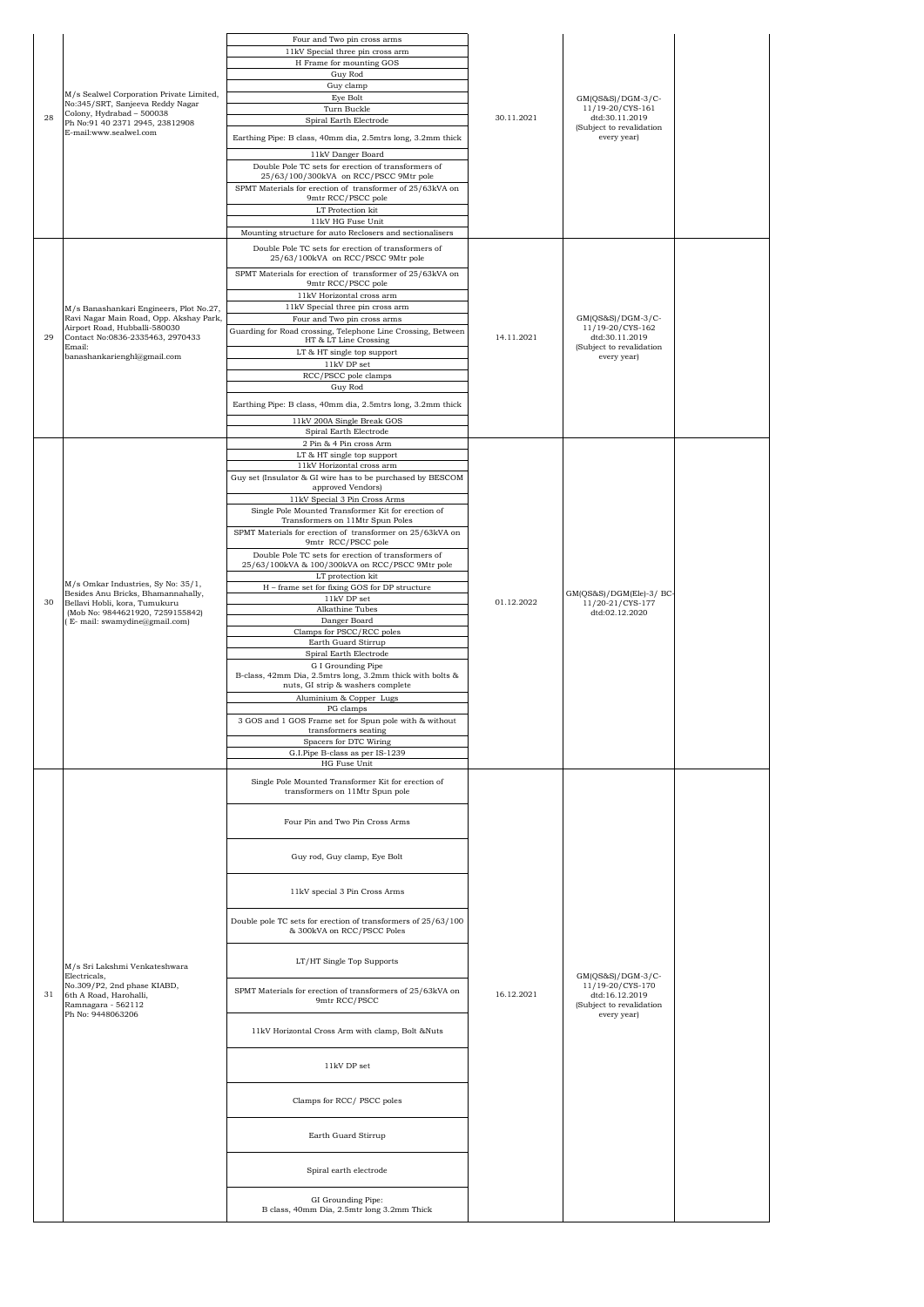| 28 | M/s Sealwel Corporation Private Limited,<br>No:345/SRT, Sanjeeva Reddy Nagar<br>Colony, Hydrabad - 500038<br>Ph No:91 40 2371 2945, 23812908<br>E-mail:www.sealwel.com                           | Four and Two pin cross arms<br>11kV Special three pin cross arm<br>H Frame for mounting GOS<br>Guy Rod<br>Guy clamp<br>Eye Bolt<br>Turn Buckle<br>Spiral Earth Electrode<br>Earthing Pipe: B class, 40mm dia, 2.5mtrs long, 3.2mm thick<br>11kV Danger Board<br>Double Pole TC sets for erection of transformers of<br>25/63/100/300kVA on RCC/PSCC 9Mtr pole<br>SPMT Materials for erection of transformer of 25/63kVA on<br>9mtr RCC/PSCC pole<br>LT Protection kit<br>11kV HG Fuse Unit<br>Mounting structure for auto Reclosers and sectionalisers                                                                                                                                                                                                                                                                                                                                                                                                                                                                              | 30.11.2021 | $GM(QS&S)/DGM-3/C-$<br>11/19-20/CYS-161<br>dtd:30.11.2019<br>(Subject to revalidation<br>every year) |  |
|----|--------------------------------------------------------------------------------------------------------------------------------------------------------------------------------------------------|-------------------------------------------------------------------------------------------------------------------------------------------------------------------------------------------------------------------------------------------------------------------------------------------------------------------------------------------------------------------------------------------------------------------------------------------------------------------------------------------------------------------------------------------------------------------------------------------------------------------------------------------------------------------------------------------------------------------------------------------------------------------------------------------------------------------------------------------------------------------------------------------------------------------------------------------------------------------------------------------------------------------------------------|------------|------------------------------------------------------------------------------------------------------|--|
| 29 | M/s Banashankari Engineers, Plot No.27,<br>Ravi Nagar Main Road, Opp. Akshay Park,<br>Airport Road, Hubballi-580030<br>Contact No:0836-2335463, 2970433<br>Email:<br>banashankarienghl@gmail.com | Double Pole TC sets for erection of transformers of<br>25/63/100kVA on RCC/PSCC 9Mtr pole<br>SPMT Materials for erection of transformer of 25/63kVA on<br>9mtr RCC/PSCC pole<br>11kV Horizontal cross arm<br>11kV Special three pin cross arm<br>Four and Two pin cross arms<br>Guarding for Road crossing, Telephone Line Crossing, Between<br>HT & LT Line Crossing<br>LT & HT single top support<br>$11\mathrm{kV}$ DP set<br>RCC/PSCC pole clamps<br>Guy Rod<br>Earthing Pipe: B class, 40mm dia, 2.5mtrs long, 3.2mm thick<br>11kV 200A Single Break GOS<br>Spiral Earth Electrode                                                                                                                                                                                                                                                                                                                                                                                                                                             | 14.11.2021 | $GM(QS&S)/DGM-3/C-$<br>11/19-20/CYS-162<br>dtd:30.11.2019<br>(Subject to revalidation<br>every year) |  |
| 30 | M/s Omkar Industries, Sy No: 35/1,<br>Besides Anu Bricks, Bhamannahally,<br>Bellavi Hobli, kora, Tumukuru<br>(Mob No: 9844621920, 7259155842)<br>(E- mail: swamydine@gmail.com)                  | 2 Pin & 4 Pin cross Arm<br>LT & HT single top support<br>11kV Horizontal cross arm<br>Guy set (Insulator & GI wire has to be purchased by BESCOM<br>approved Vendors)<br>11kV Special 3 Pin Cross Arms<br>Single Pole Mounted Transformer Kit for erection of<br>Transformers on 11Mtr Spun Poles<br>SPMT Materials for erection of transformer on 25/63kVA on<br>9mtr RCC/PSCC pole<br>Double Pole TC sets for erection of transformers of<br>25/63/100kVA & 100/300kVA on RCC/PSCC 9Mtr pole<br>LT protection kit<br>H - frame set for fixing GOS for DP structure<br>11kV DP set<br>Alkathine Tubes<br>Danger Board<br>Clamps for PSCC/RCC poles<br>Earth Guard Stirrup<br>Spiral Earth Electrode<br>G I Grounding Pipe<br>B-class, 42mm Dia, 2.5mtrs long, 3.2mm thick with bolts &<br>nuts, GI strip & washers complete<br>Aluminium & Copper Lugs<br>PG clamps<br>3 GOS and 1 GOS Frame set for Spun pole with & without<br>transformers seating<br>Spacers for DTC Wiring<br>G.I.Pipe B-class as per IS-1239<br>HG Fuse Unit | 01.12.2022 | GM(QS&S)/DGM(Ele)-3/ BC-<br>11/20-21/CYS-177<br>dtd:02.12.2020                                       |  |
| 31 | M/s Sri Lakshmi Venkateshwara<br>Electricals,<br>No.309/P2, 2nd phase KIABD,<br>6th A Road, Harohalli,<br>Ramnagara - 562112<br>Ph No: 9448063206                                                | Single Pole Mounted Transformer Kit for erection of<br>transformers on 11Mtr Spun pole<br>Four Pin and Two Pin Cross Arms<br>Guy rod, Guy clamp, Eye Bolt<br>11kV special 3 Pin Cross Arms<br>Double pole TC sets for erection of transformers of 25/63/100<br>& 300kVA on RCC/PSCC Poles<br>LT/HT Single Top Supports<br>SPMT Materials for erection of transformers of 25/63kVA on<br>9mtr RCC/PSCC<br>11kV Horizontal Cross Arm with clamp, Bolt &Nuts<br>11kV DP set<br>Clamps for RCC/ PSCC poles<br>Earth Guard Stirrup<br>Spiral earth electrode<br>GI Grounding Pipe:<br>B class, 40mm Dia, 2.5mtr long 3.2mm Thick                                                                                                                                                                                                                                                                                                                                                                                                         | 16.12.2021 | GM(QS&S)/DGM-3/C-<br>11/19-20/CYS-170<br>dtd:16.12.2019<br>(Subject to revalidation<br>every year)   |  |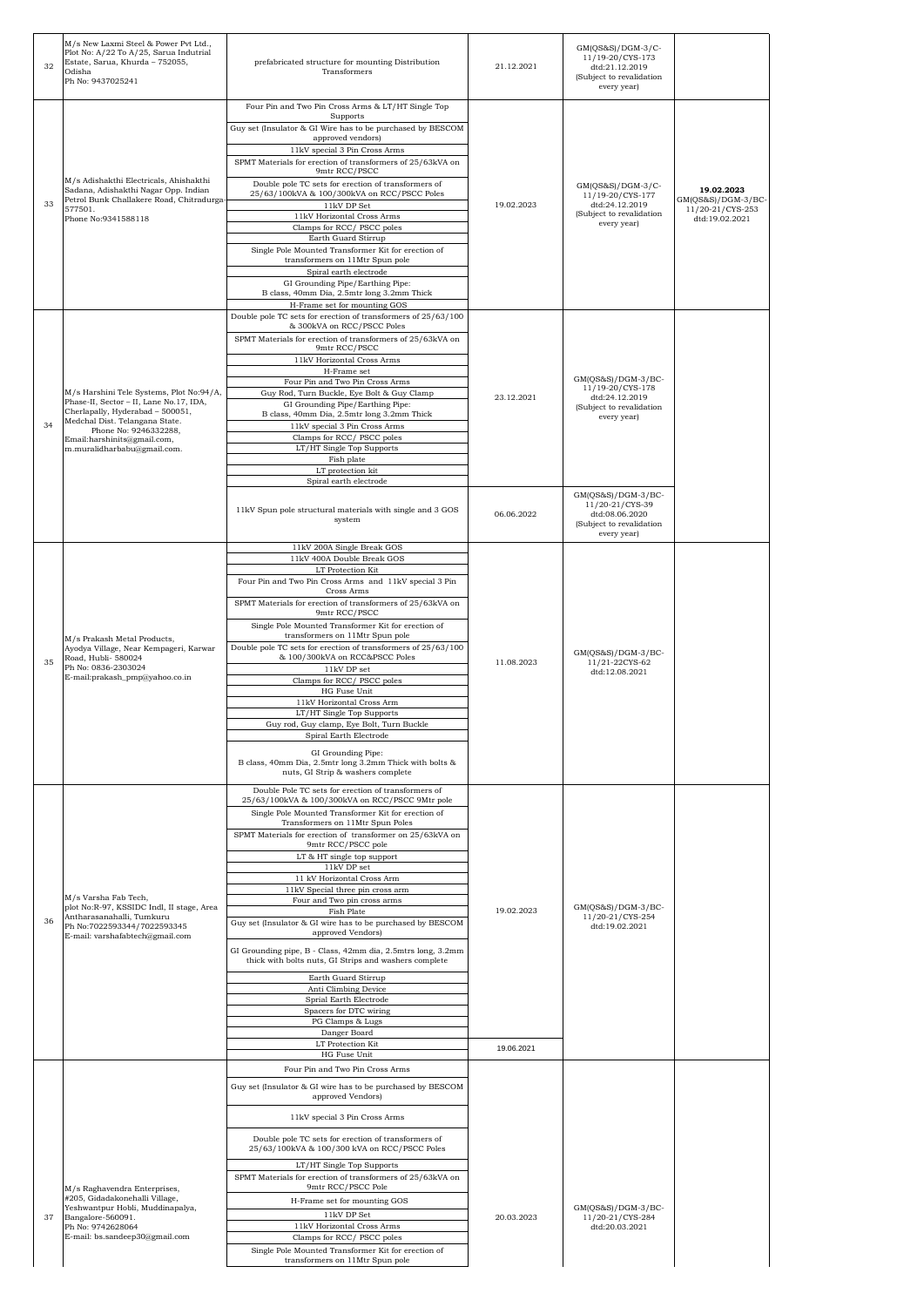| 32 | M/s New Laxmi Steel & Power Pvt Ltd.,<br>Plot No: A/22 To A/25, Sarua Indutrial<br>Estate, Sarua, Khurda - 752055,<br>Odisha<br>Ph No: 9437025241                                                                                                | prefabricated structure for mounting Distribution<br>Transformers                                                                                                                                                                                                                                                                                                                                                                                                                                                                                                                                                                                                                                                                                                                                                       | 21.12.2021               | GM(QS&S)/DGM-3/C-<br>11/19-20/CYS-173<br>dtd:21.12.2019<br>(Subject to revalidation<br>every year)   |                                                                         |
|----|--------------------------------------------------------------------------------------------------------------------------------------------------------------------------------------------------------------------------------------------------|-------------------------------------------------------------------------------------------------------------------------------------------------------------------------------------------------------------------------------------------------------------------------------------------------------------------------------------------------------------------------------------------------------------------------------------------------------------------------------------------------------------------------------------------------------------------------------------------------------------------------------------------------------------------------------------------------------------------------------------------------------------------------------------------------------------------------|--------------------------|------------------------------------------------------------------------------------------------------|-------------------------------------------------------------------------|
| 33 | M/s Adishakthi Electricals, Ahishakthi<br>Sadana, Adishakthi Nagar Opp. Indian<br>Petrol Bunk Challakere Road, Chitradurga-<br>577501.<br>Phone No:9341588118                                                                                    | Four Pin and Two Pin Cross Arms & LT/HT Single Top<br>Supports<br>Guy set (Insulator & GI Wire has to be purchased by BESCOM<br>approved vendors)<br>11kV special 3 Pin Cross Arms<br>SPMT Materials for erection of transformers of 25/63kVA on<br>9mtr RCC/PSCC<br>Double pole TC sets for erection of transformers of<br>25/63/100kVA & 100/300kVA on RCC/PSCC Poles<br>11kV DP Set<br>11kV Horizontal Cross Arms<br>Clamps for RCC/PSCC poles<br>Earth Guard Stirrup<br>Single Pole Mounted Transformer Kit for erection of<br>transformers on 11Mtr Spun pole<br>Spiral earth electrode<br>GI Grounding Pipe/Earthing Pipe:<br>B class, 40mm Dia, 2.5mtr long 3.2mm Thick<br>H-Frame set for mounting GOS                                                                                                          | 19.02.2023               | $GM(QS&S)/DGM-3/C-$<br>11/19-20/CYS-177<br>dtd:24.12.2019<br>(Subject to revalidation<br>every year) | 19.02.2023<br>$GM(QS&S)/DGM-3/BC$<br>11/20-21/CYS-253<br>dtd:19.02.2021 |
| 34 | M/s Harshini Tele Systems, Plot No:94/A,<br>Phase-II, Sector - II, Lane No.17, IDA,<br>Cherlapally, Hyderabad - 500051,<br>Medchal Dist. Telangana State.<br>Phone No: 9246332288,<br>Email:harshinits@gmail.com,<br>m.muralidharbabu@gmail.com. | Double pole TC sets for erection of transformers of 25/63/100<br>& 300kVA on RCC/PSCC Poles<br>SPMT Materials for erection of transformers of 25/63kVA on<br>9mtr RCC/PSCC<br>11kV Horizontal Cross Arms<br>H-Frame set<br>Four Pin and Two Pin Cross Arms<br>Guy Rod, Turn Buckle, Eye Bolt & Guy Clamp<br>GI Grounding Pipe/Earthing Pipe:<br>B class, 40mm Dia, 2.5mtr long 3.2mm Thick<br>11kV special 3 Pin Cross Arms<br>Clamps for RCC/PSCC poles<br>LT/HT Single Top Supports<br>Fish plate<br>LT protection kit<br>Spiral earth electrode                                                                                                                                                                                                                                                                      | 23.12.2021               | GM(QS&S)/DGM-3/BC-<br>11/19-20/CYS-178<br>dtd:24.12.2019<br>(Subject to revalidation<br>every year)  |                                                                         |
|    |                                                                                                                                                                                                                                                  | 11kV Spun pole structural materials with single and 3 GOS<br>system                                                                                                                                                                                                                                                                                                                                                                                                                                                                                                                                                                                                                                                                                                                                                     | 06.06.2022               | GM(QS&S)/DGM-3/BC-<br>11/20-21/CYS-39<br>dtd:08.06.2020<br>(Subject to revalidation<br>every year)   |                                                                         |
| 35 | M/s Prakash Metal Products,<br>Ayodya Village, Near Kempageri, Karwar<br>Road, Hubli- 580024<br>Ph No: 0836-2303024<br>E-mail:prakash_pmp@yahoo.co.in                                                                                            | 11kV 200A Single Break GOS<br>11kV 400A Double Break GOS<br>LT Protection Kit<br>Four Pin and Two Pin Cross Arms and 11kV special 3 Pin<br>Cross Arms<br>SPMT Materials for erection of transformers of 25/63kVA on<br>9mtr RCC/PSCC<br>Single Pole Mounted Transformer Kit for erection of<br>transformers on 11Mtr Spun pole<br>Double pole TC sets for erection of transformers of 25/63/100<br>& 100/300kVA on RCC&PSCC Poles<br>11kV DP set<br>Clamps for RCC/PSCC poles<br>HG Fuse Unit<br>11kV Horizontal Cross Arm<br>LT/HT Single Top Supports<br>Guy rod, Guy clamp, Eye Bolt, Turn Buckle<br>Spiral Earth Electrode<br>GI Grounding Pipe:<br>B class, 40mm Dia, 2.5mtr long 3.2mm Thick with bolts &<br>nuts, GI Strip & washers complete                                                                    | 11.08.2023               | GM(QS&S)/DGM-3/BC-<br>11/21-22CYS-62<br>dtd:12.08.2021                                               |                                                                         |
| 36 | M/s Varsha Fab Tech,<br>plot No:R-97, KSSIDC Indl, II stage, Area<br>Antharasanahalli, Tumkuru<br>Ph No:7022593344/7022593345<br>E-mail: varshafabtech@gmail.com                                                                                 | Double Pole TC sets for erection of transformers of<br>25/63/100kVA & 100/300kVA on RCC/PSCC 9Mtr pole<br>Single Pole Mounted Transformer Kit for erection of<br>Transformers on 11Mtr Spun Poles<br>SPMT Materials for erection of transformer on 25/63kVA on<br>9mtr RCC/PSCC pole<br>LT & HT single top support<br>11kV DP set<br>11 kV Horizontal Cross Arm<br>11kV Special three pin cross arm<br>Four and Two pin cross arms<br>Fish Plate<br>Guy set (Insulator & GI wire has to be purchased by BESCOM<br>approved Vendors)<br>GI Grounding pipe, B - Class, 42mm dia, 2.5mtrs long, 3.2mm<br>thick with bolts nuts, GI Strips and washers complete<br>Earth Guard Stirrup<br>Anti Climbing Device<br>Sprial Earth Electrode<br>Spacers for DTC wiring<br>PG Clamps & Lugs<br>Danger Board<br>LT Protection Kit | 19.02.2023               | GM(QS&S)/DGM-3/BC-<br>11/20-21/CYS-254<br>dtd:19.02.2021                                             |                                                                         |
| 37 | M/s Raghavendra Enterprises,<br>#205, Gidadakonehalli Village,<br>Yeshwantpur Hobli, Muddinapalya,<br>Bangalore-560091.<br>Ph No: 9742628064<br>E-mail: bs.sandeep30@gmail.com                                                                   | HG Fuse Unit<br>Four Pin and Two Pin Cross Arms<br>Guy set (Insulator & GI wire has to be purchased by BESCOM<br>approved Vendors)<br>11kV special 3 Pin Cross Arms<br>Double pole TC sets for erection of transformers of<br>25/63/100kVA & 100/300 kVA on RCC/PSCC Poles<br>LT/HT Single Top Supports<br>SPMT Materials for erection of transformers of 25/63kVA on<br>9mtr RCC/PSCC Pole<br>H-Frame set for mounting GOS<br>$11\mathrm{kV}$ DP Set<br>11kV Horizontal Cross Arms<br>Clamps for RCC/PSCC poles<br>Single Pole Mounted Transformer Kit for erection of<br>transformers on 11Mtr Spun pole                                                                                                                                                                                                              | 19.06.2021<br>20.03.2023 | GM(QS&S)/DGM-3/BC-<br>11/20-21/CYS-284<br>dtd:20.03.2021                                             |                                                                         |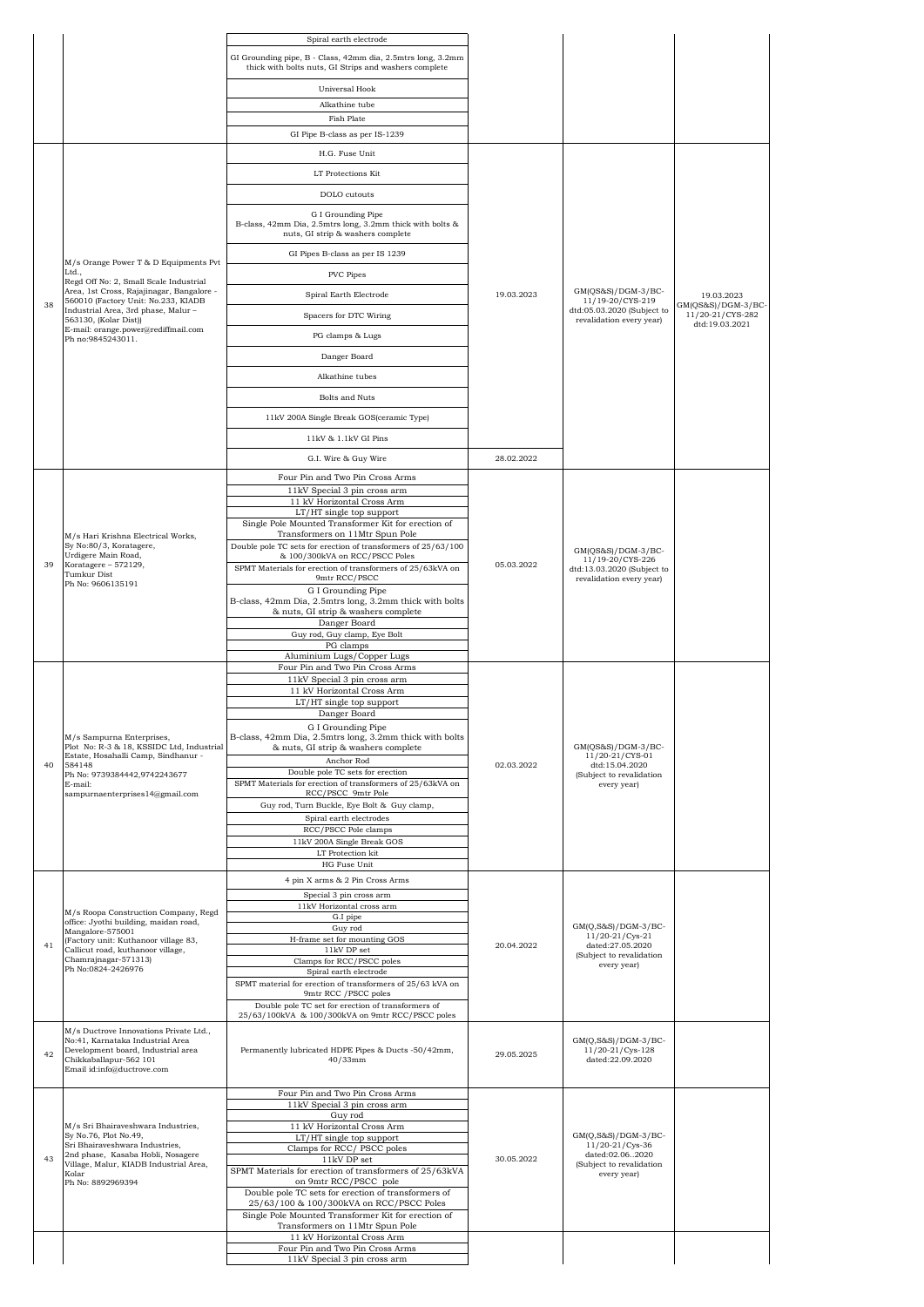|    |                                                                                                                  | Spiral earth electrode                                                                                 |            |                                                        |                                        |
|----|------------------------------------------------------------------------------------------------------------------|--------------------------------------------------------------------------------------------------------|------------|--------------------------------------------------------|----------------------------------------|
|    |                                                                                                                  | GI Grounding pipe, B - Class, 42mm dia, 2.5mtrs long, 3.2mm                                            |            |                                                        |                                        |
|    |                                                                                                                  | thick with bolts nuts, GI Strips and washers complete                                                  |            |                                                        |                                        |
|    |                                                                                                                  | Universal Hook                                                                                         |            |                                                        |                                        |
|    |                                                                                                                  | Alkathine tube<br>Fish Plate                                                                           |            |                                                        |                                        |
|    |                                                                                                                  | GI Pipe B-class as per IS-1239                                                                         |            |                                                        |                                        |
|    |                                                                                                                  | H.G. Fuse Unit                                                                                         |            |                                                        |                                        |
|    |                                                                                                                  | LT Protections Kit                                                                                     |            |                                                        |                                        |
|    |                                                                                                                  | DOLO cutouts                                                                                           |            |                                                        |                                        |
|    |                                                                                                                  | G I Grounding Pipe                                                                                     |            |                                                        |                                        |
|    |                                                                                                                  | B-class, 42mm Dia, 2.5mtrs long, 3.2mm thick with bolts &<br>nuts, GI strip & washers complete         |            |                                                        |                                        |
|    | M/s Orange Power T & D Equipments Pvt                                                                            | GI Pipes B-class as per IS 1239                                                                        |            |                                                        |                                        |
|    | Ltd.,<br>Regd Off No: 2, Small Scale Industrial                                                                  | PVC Pipes                                                                                              |            |                                                        |                                        |
|    | Area, 1st Cross, Rajajinagar, Bangalore -<br>560010 (Factory Unit: No.233, KIADB                                 | Spiral Earth Electrode                                                                                 | 19.03.2023 | $GM(QS&S)/DGM-3/BC-$<br>11/19-20/CYS-219               | 19.03.2023                             |
| 38 | Industrial Area, 3rd phase, Malur -<br>563130, (Kolar Dist))                                                     | Spacers for DTC Wiring                                                                                 |            | dtd:05.03.2020 (Subject to<br>revalidation every year) | GM(QS&S)/DGM-3/BC-<br>11/20-21/CYS-282 |
|    | E-mail: orange.power@rediffmail.com<br>Ph no:9845243011.                                                         | PG clamps & Lugs                                                                                       |            |                                                        | dtd:19.03.2021                         |
|    |                                                                                                                  | Danger Board                                                                                           |            |                                                        |                                        |
|    |                                                                                                                  | Alkathine tubes                                                                                        |            |                                                        |                                        |
|    |                                                                                                                  |                                                                                                        |            |                                                        |                                        |
|    |                                                                                                                  | <b>Bolts and Nuts</b>                                                                                  |            |                                                        |                                        |
|    |                                                                                                                  | 11kV 200A Single Break GOS(ceramic Type)                                                               |            |                                                        |                                        |
|    |                                                                                                                  | 11kV & 1.1kV GI Pins                                                                                   |            |                                                        |                                        |
|    |                                                                                                                  | G.I. Wire & Guy Wire                                                                                   | 28.02.2022 |                                                        |                                        |
|    |                                                                                                                  | Four Pin and Two Pin Cross Arms                                                                        |            |                                                        |                                        |
|    |                                                                                                                  | 11kV Special 3 pin cross arm<br>11 kV Horizontal Cross Arm                                             |            |                                                        |                                        |
|    |                                                                                                                  | LT/HT single top support<br>Single Pole Mounted Transformer Kit for erection of                        |            |                                                        |                                        |
|    | M/s Hari Krishna Electrical Works,                                                                               | Transformers on 11Mtr Spun Pole                                                                        |            |                                                        |                                        |
|    | Sy No:80/3, Koratagere,<br>Urdigere Main Road,                                                                   | Double pole TC sets for erection of transformers of 25/63/100<br>& 100/300kVA on RCC/PSCC Poles        |            | $GM(QS&S)/DGM-3/BC-$<br>11/19-20/CYS-226               |                                        |
| 39 | Koratagere - 572129,<br>Tumkur Dist                                                                              | SPMT Materials for erection of transformers of 25/63kVA on<br>9mtr RCC/PSCC                            | 05.03.2022 | dtd:13.03.2020 (Subject to<br>revalidation every year) |                                        |
|    | Ph No: 9606135191                                                                                                | G I Grounding Pipe                                                                                     |            |                                                        |                                        |
|    |                                                                                                                  | B-class, 42mm Dia, 2.5mtrs long, 3.2mm thick with bolts<br>& nuts, GI strip & washers complete         |            |                                                        |                                        |
|    |                                                                                                                  | Danger Board<br>Guy rod, Guy clamp, Eye Bolt                                                           |            |                                                        |                                        |
|    |                                                                                                                  | PG clamps                                                                                              |            |                                                        |                                        |
|    |                                                                                                                  | Aluminium Lugs/Copper Lugs<br>Four Pin and Two Pin Cross Arms                                          |            |                                                        |                                        |
|    |                                                                                                                  | 11kV Special 3 pin cross arm<br>11 kV Horizontal Cross Arm                                             |            |                                                        |                                        |
|    |                                                                                                                  | LT/HT single top support                                                                               |            |                                                        |                                        |
|    |                                                                                                                  | Danger Board<br>G I Grounding Pipe                                                                     |            |                                                        |                                        |
|    | M/s Sampurna Enterprises,<br>Plot No: R-3 & 18, KSSIDC Ltd, Industrial                                           | B-class, 42mm Dia, 2.5mtrs long, 3.2mm thick with bolts                                                |            | $GM(QS&S)/DGM-3/BC-$                                   |                                        |
| 40 | Estate, Hosahalli Camp, Sindhanur -<br>584148                                                                    | & nuts, GI strip & washers complete<br>Anchor Rod                                                      | 02.03.2022 | 11/20-21/CYS-01<br>dtd:15.04.2020                      |                                        |
|    | Ph No: 9739384442,9742243677<br>E-mail:                                                                          | Double pole TC sets for erection<br>SPMT Materials for erection of transformers of 25/63kVA on         |            | (Subject to revalidation                               |                                        |
|    | sampurnaenterprises14@gmail.com                                                                                  | RCC/PSCC 9mtr Pole                                                                                     |            | every year)                                            |                                        |
|    |                                                                                                                  | Guy rod, Turn Buckle, Eye Bolt & Guy clamp,<br>Spiral earth electrodes                                 |            |                                                        |                                        |
|    |                                                                                                                  | RCC/PSCC Pole clamps                                                                                   |            |                                                        |                                        |
|    |                                                                                                                  | 11kV 200A Single Break GOS<br>LT Protection kit                                                        |            |                                                        |                                        |
|    |                                                                                                                  | HG Fuse Unit                                                                                           |            |                                                        |                                        |
|    |                                                                                                                  | 4 pin X arms & 2 Pin Cross Arms                                                                        |            |                                                        |                                        |
|    | M/s Roopa Construction Company, Regd                                                                             | Special 3 pin cross arm<br>11kV Horizontal cross arm                                                   |            |                                                        |                                        |
|    | office: Jyothi building, maidan road,<br>Mangalore-575001                                                        | G.I pipe<br>Guy rod                                                                                    |            | GM(Q,S&S)/DGM-3/BC-                                    |                                        |
| 41 | (Factory unit: Kuthanoor village 83,                                                                             | H-frame set for mounting GOS                                                                           | 20.04.2022 | 11/20-21/Cys-21<br>dated:27.05.2020                    |                                        |
|    | Callicut road, kuthanoor village,<br>Chamrajnagar-571313)                                                        | $11\mathrm{kV}$ DP set<br>Clamps for RCC/PSCC poles                                                    |            | (Subject to revalidation<br>every year)                |                                        |
|    | Ph No:0824-2426976                                                                                               | Spiral earth electrode<br>SPMT material for erection of transformers of 25/63 kVA on                   |            |                                                        |                                        |
|    |                                                                                                                  | 9mtr RCC / PSCC poles                                                                                  |            |                                                        |                                        |
|    |                                                                                                                  | Double pole TC set for erection of transformers of<br>25/63/100kVA & 100/300kVA on 9mtr RCC/PSCC poles |            |                                                        |                                        |
|    | M/s Ductrove Innovations Private Ltd.,<br>No:41, Karnataka Industrial Area<br>Development board, Industrial area | Permanently lubricated HDPE Pipes & Ducts -50/42mm,                                                    |            | GM(Q,S&S)/DGM-3/BC-<br>11/20-21/Cys-128                |                                        |
| 42 | Chikkaballapur-562 101<br>Email id:info@ductrove.com                                                             | $40/33$ mm                                                                                             | 29.05.2025 | dated:22.09.2020                                       |                                        |
|    |                                                                                                                  | Four Pin and Two Pin Cross Arms                                                                        |            |                                                        |                                        |
|    |                                                                                                                  | 11kV Special 3 pin cross arm<br>Guy rod                                                                |            |                                                        |                                        |
|    | M/s Sri Bhairaveshwara Industries,<br>Sy No.76, Plot No.49,                                                      | 11 kV Horizontal Cross Arm<br>LT/HT single top support                                                 |            | $GM(Q, S\&S)/DGM-3/BC-$                                |                                        |
|    | Sri Bhairaveshwara Industries,<br>2nd phase, Kasaba Hobli, Nosagere                                              | Clamps for RCC/PSCC poles                                                                              |            | 11/20-21/Cys-36<br>dated:02.062020                     |                                        |
| 43 | Village, Malur, KIADB Industrial Area,<br>Kolar                                                                  | 11kV DP set<br>SPMT Materials for erection of transformers of 25/63kVA                                 | 30.05.2022 | (Subject to revalidation<br>every year)                |                                        |
|    | Ph No: 8892969394                                                                                                | on 9mtr RCC/PSCC pole<br>Double pole TC sets for erection of transformers of                           |            |                                                        |                                        |
|    |                                                                                                                  | 25/63/100 & 100/300kVA on RCC/PSCC Poles                                                               |            |                                                        |                                        |
|    |                                                                                                                  | Single Pole Mounted Transformer Kit for erection of<br>Transformers on 11Mtr Spun Pole                 |            |                                                        |                                        |
|    |                                                                                                                  | 11 kV Horizontal Cross Arm<br>Four Pin and Two Pin Cross Arms                                          |            |                                                        |                                        |
|    |                                                                                                                  | 11kV Special 3 pin cross arm                                                                           |            |                                                        |                                        |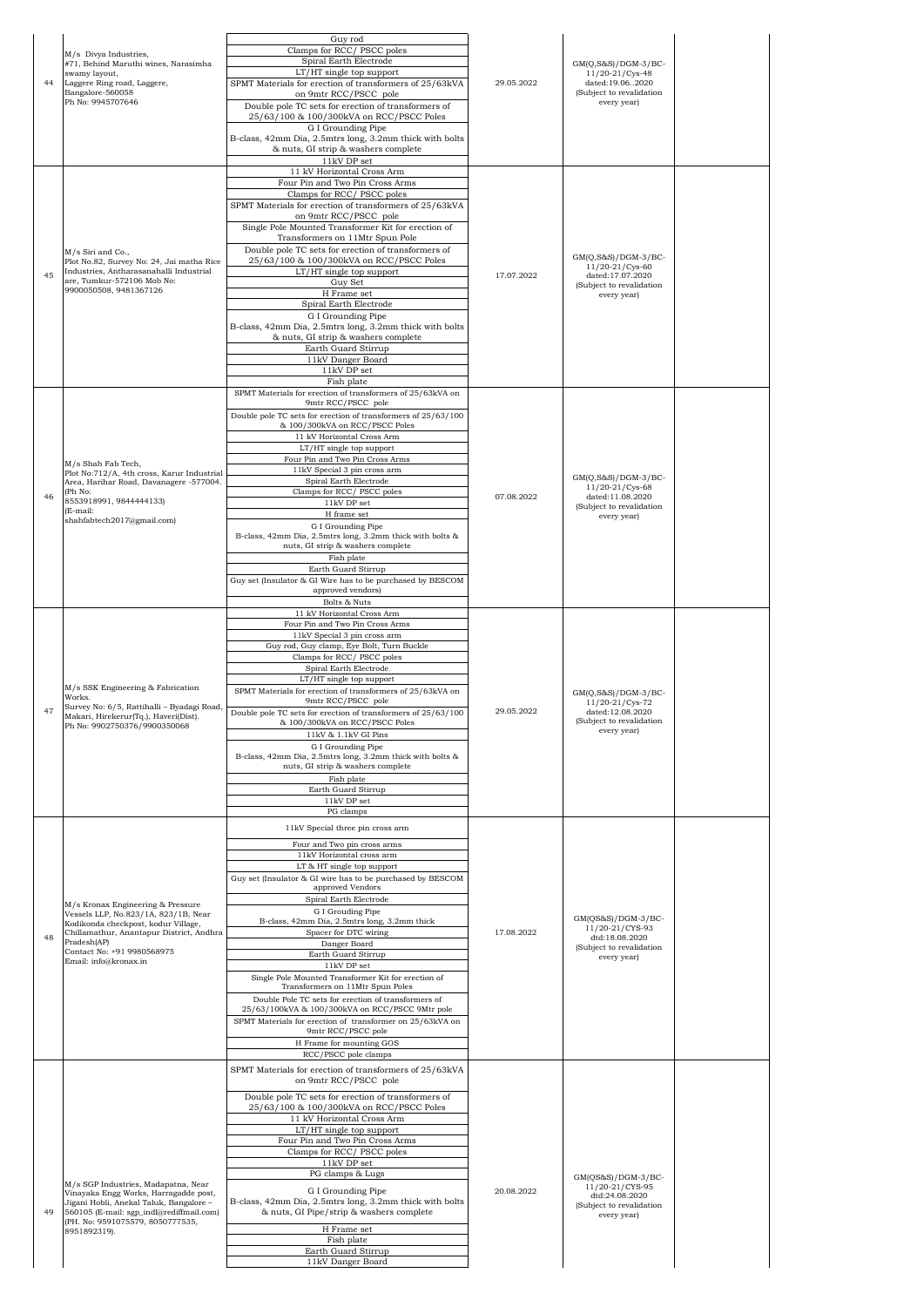|    | M/s Divya Industries,                                                                                                                                               | Guy rod<br>Clamps for RCC/PSCC poles                                                                                      |            |                                                                                                      |  |
|----|---------------------------------------------------------------------------------------------------------------------------------------------------------------------|---------------------------------------------------------------------------------------------------------------------------|------------|------------------------------------------------------------------------------------------------------|--|
|    | #71, Behind Maruthi wines, Narasimha<br>swamy layout,                                                                                                               | Spiral Earth Electrode<br>LT/HT single top support                                                                        |            | $GM(Q, S\&S)/DGM-3/BC-$<br>$11/20 - 21/Cys - 48$                                                     |  |
| 44 | Laggere Ring road, Laggere,<br>Bangalore-560058<br>Ph No: 9945707646                                                                                                | SPMT Materials for erection of transformers of 25/63kVA<br>on 9mtr RCC/PSCC pole                                          | 29.05.2022 | dated:19.062020<br>(Subject to revalidation<br>every year)                                           |  |
|    |                                                                                                                                                                     | Double pole TC sets for erection of transformers of<br>25/63/100 & 100/300kVA on RCC/PSCC Poles                           |            |                                                                                                      |  |
|    |                                                                                                                                                                     | G I Grounding Pipe<br>B-class, 42mm Dia, 2.5mtrs long, 3.2mm thick with bolts<br>& nuts, GI strip & washers complete      |            |                                                                                                      |  |
|    |                                                                                                                                                                     | 11kV DP set<br>11 kV Horizontal Cross Arm                                                                                 |            |                                                                                                      |  |
|    |                                                                                                                                                                     | Four Pin and Two Pin Cross Arms<br>Clamps for RCC/PSCC poles                                                              |            |                                                                                                      |  |
|    |                                                                                                                                                                     | SPMT Materials for erection of transformers of 25/63kVA<br>on 9mtr RCC/PSCC pole                                          |            |                                                                                                      |  |
|    |                                                                                                                                                                     | Single Pole Mounted Transformer Kit for erection of<br>Transformers on 11Mtr Spun Pole                                    |            |                                                                                                      |  |
|    | M/s Siri and Co.,<br>Plot No.82, Survey No: 24, Jai matha Rice                                                                                                      | Double pole TC sets for erection of transformers of<br>25/63/100 & 100/300kVA on RCC/PSCC Poles                           |            | GM(Q,S&S)/DGM-3/BC-                                                                                  |  |
| 45 | Industries, Antharasanahalli Industrial<br>are, Tumkur-572106 Mob No:                                                                                               | LT/HT single top support<br>Guy Set                                                                                       | 17.07.2022 | $11/20 - 21/Cys - 60$<br>dated:17.07.2020<br>(Subject to revalidation                                |  |
|    | 9900050508, 9481367126                                                                                                                                              | H Frame set<br>Spiral Earth Electrode                                                                                     |            | every year)                                                                                          |  |
|    |                                                                                                                                                                     | G I Grounding Pipe<br>B-class, 42mm Dia, 2.5mtrs long, 3.2mm thick with bolts<br>& nuts, GI strip & washers complete      |            |                                                                                                      |  |
|    |                                                                                                                                                                     | Earth Guard Stirrup<br>11kV Danger Board                                                                                  |            |                                                                                                      |  |
|    |                                                                                                                                                                     | 11kV DP set<br>Fish plate                                                                                                 |            |                                                                                                      |  |
|    |                                                                                                                                                                     | SPMT Materials for erection of transformers of 25/63kVA on<br>9mtr RCC/PSCC pole                                          |            |                                                                                                      |  |
|    |                                                                                                                                                                     | Double pole TC sets for erection of transformers of 25/63/100<br>& 100/300kVA on RCC/PSCC Poles                           |            |                                                                                                      |  |
|    |                                                                                                                                                                     | 11 kV Horizontal Cross Arm<br>LT/HT single top support                                                                    |            |                                                                                                      |  |
|    | M/s Shah Fab Tech,<br>Plot No:712/A, 4th cross, Karur Industrial                                                                                                    | Four Pin and Two Pin Cross Arms<br>11kV Special 3 pin cross arm                                                           |            |                                                                                                      |  |
| 46 | Area, Harihar Road, Davanagere -577004.<br>(Ph No:                                                                                                                  | Spiral Earth Electrode<br>Clamps for RCC/ PSCC poles                                                                      | 07.08.2022 | GM(Q,S&S)/DGM-3/BC-<br>11/20-21/Cys-68<br>dated:11.08.2020                                           |  |
|    | 8553918991, 9844444133)<br>(E-mail:<br>shahfabtech2017@gmail.com)                                                                                                   | $11\mathrm{kV}$ DP set<br>H frame set                                                                                     |            | (Subject to revalidation<br>every year)                                                              |  |
|    |                                                                                                                                                                     | G I Grounding Pipe<br>B-class, 42mm Dia, 2.5mtrs long, 3.2mm thick with bolts &                                           |            |                                                                                                      |  |
|    |                                                                                                                                                                     | nuts, GI strip & washers complete<br>Fish plate                                                                           |            |                                                                                                      |  |
|    |                                                                                                                                                                     | Earth Guard Stirrup<br>Guy set (Insulator & GI Wire has to be purchased by BESCOM<br>approved vendors)                    |            |                                                                                                      |  |
|    |                                                                                                                                                                     | Bolts & Nuts<br>11 kV Horizontal Cross Arm                                                                                |            |                                                                                                      |  |
|    |                                                                                                                                                                     | Four Pin and Two Pin Cross Arms<br>11kV Special 3 pin cross arm                                                           |            |                                                                                                      |  |
|    |                                                                                                                                                                     | Guy rod, Guy clamp, Eye Bolt, Turn Buckle<br>Clamps for RCC/PSCC poles                                                    |            |                                                                                                      |  |
|    |                                                                                                                                                                     | Spiral Earth Electrode<br>LT/HT single top support                                                                        |            |                                                                                                      |  |
|    | M/s SSK Engineering & Fabrication<br>Works.<br>Survey No: 6/5, Rattihalli - Byadagi Road,                                                                           | SPMT Materials for erection of transformers of 25/63kVA on<br>9mtr RCC/PSCC pole                                          |            | $GM(Q, S\&S)/DGM-3/BC-$<br>11/20-21/Cys-72                                                           |  |
| 47 | Makari, Hirekerur(Tq.), Haveri(Dist).<br>Ph No: 9902750376/9900350068                                                                                               | Double pole TC sets for erection of transformers of 25/63/100<br>& 100/300kVA on RCC/PSCC Poles                           | 29.05.2022 | dated:12.08.2020<br>(Subject to revalidation                                                         |  |
|    |                                                                                                                                                                     | 11kV & 1.1kV GI Pins<br>G I Grounding Pipe                                                                                |            | every year)                                                                                          |  |
|    |                                                                                                                                                                     | B-class, 42mm Dia, 2.5mtrs long, 3.2mm thick with bolts &<br>nuts, GI strip & washers complete<br>Fish plate              |            |                                                                                                      |  |
|    |                                                                                                                                                                     | Earth Guard Stirrup<br>$11\mathrm{kV}$ DP set                                                                             |            |                                                                                                      |  |
|    |                                                                                                                                                                     | PG clamps                                                                                                                 |            |                                                                                                      |  |
|    |                                                                                                                                                                     | 11kV Special three pin cross arm<br>Four and Two pin cross arms                                                           |            |                                                                                                      |  |
|    |                                                                                                                                                                     | 11kV Horizontal cross arm<br>LT & HT single top support                                                                   |            |                                                                                                      |  |
|    |                                                                                                                                                                     | Guy set (Insulator & GI wire has to be purchased by BESCOM<br>approved Vendors                                            |            |                                                                                                      |  |
|    | M/s Kronax Engineering & Pressure<br>Vessels LLP, No.823/1A, 823/1B, Near                                                                                           | Spiral Earth Electrode<br>G I Grouding Pipe                                                                               |            | GM(OS&S)/DGM-3/BC-                                                                                   |  |
| 48 | Kodikonda checkpost, kodur Village,<br>Chillamathur, Anantapur District, Andhra<br>Pradesh(AP)                                                                      | B-class, 42mm Dia, 2.5mtrs long, 3.2mm thick<br>Spacer for DTC wiring                                                     | 17.08.2022 | 11/20-21/CYS-93<br>dtd:18.08.2020                                                                    |  |
|    | Contact No: +91 9980568975<br>Email: info@kronax.in                                                                                                                 | Danger Board<br>Earth Guard Stirrup<br>11kV DP set                                                                        |            | (Subject to revalidation<br>every year)                                                              |  |
|    |                                                                                                                                                                     | Single Pole Mounted Transformer Kit for erection of<br>Transformers on 11Mtr Spun Poles                                   |            |                                                                                                      |  |
|    |                                                                                                                                                                     | Double Pole TC sets for erection of transformers of<br>25/63/100kVA & 100/300kVA on RCC/PSCC 9Mtr pole                    |            |                                                                                                      |  |
|    |                                                                                                                                                                     | SPMT Materials for erection of transformer on 25/63kVA on<br>9mtr RCC/PSCC pole                                           |            |                                                                                                      |  |
|    |                                                                                                                                                                     | H Frame for mounting GOS<br>RCC/PSCC pole clamps                                                                          |            |                                                                                                      |  |
|    |                                                                                                                                                                     | SPMT Materials for erection of transformers of 25/63kVA<br>on 9mtr RCC/PSCC pole                                          |            |                                                                                                      |  |
|    |                                                                                                                                                                     | Double pole TC sets for erection of transformers of                                                                       |            |                                                                                                      |  |
|    |                                                                                                                                                                     | 25/63/100 & 100/300kVA on RCC/PSCC Poles<br>11 kV Horizontal Cross Arm<br>LT/HT single top support                        |            |                                                                                                      |  |
|    |                                                                                                                                                                     | Four Pin and Two Pin Cross Arms<br>Clamps for RCC/PSCC poles                                                              |            |                                                                                                      |  |
|    |                                                                                                                                                                     | 11kV DP set<br>PG clamps & Lugs                                                                                           |            |                                                                                                      |  |
| 49 | M/s SGP Industries, Madapatna, Near<br>Vinayaka Engg Works, Harragadde post,<br>Jigani Hobli, Anekal Taluk, Bangalore -<br>560105 (E-mail: sgp_indl@rediffmail.com) | G I Grounding Pipe<br>B-class, 42mm Dia, 2.5mtrs long, 3.2mm thick with bolts<br>& nuts, GI Pipe/strip & washers complete | 20.08.2022 | $GM(QS&S)/DGM-3/BC-$<br>11/20-21/CYS-95<br>dtd:24.08.2020<br>(Subject to revalidation<br>every year) |  |
|    | (PH. No: 9591075579, 8050777535,<br>8951892319).                                                                                                                    | H Frame set<br>Fish plate                                                                                                 |            |                                                                                                      |  |
|    |                                                                                                                                                                     | Earth Guard Stirrup<br>11kV Danger Board                                                                                  |            |                                                                                                      |  |
|    |                                                                                                                                                                     |                                                                                                                           |            |                                                                                                      |  |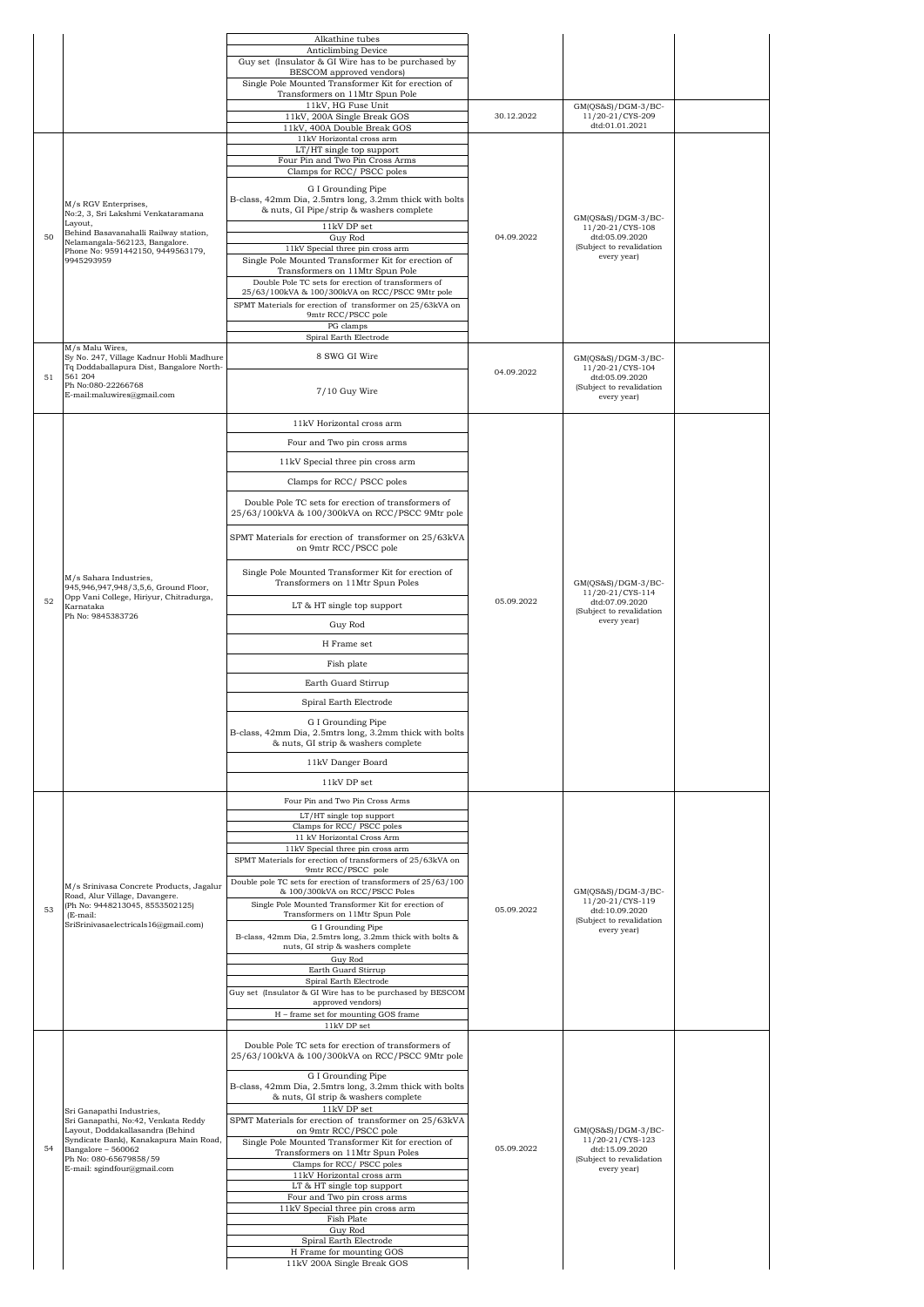|    |                                                                                 | Alkathine tubes                                                                                |            |                                                           |  |
|----|---------------------------------------------------------------------------------|------------------------------------------------------------------------------------------------|------------|-----------------------------------------------------------|--|
|    |                                                                                 | Anticlimbing Device                                                                            |            |                                                           |  |
|    |                                                                                 | Guy set (Insulator & GI Wire has to be purchased by                                            |            |                                                           |  |
|    |                                                                                 | BESCOM approved vendors)<br>Single Pole Mounted Transformer Kit for erection of                |            |                                                           |  |
|    |                                                                                 | Transformers on 11Mtr Spun Pole                                                                |            |                                                           |  |
|    |                                                                                 | 11kV, HG Fuse Unit                                                                             |            | GM(OS&S)/DGM-3/BC-                                        |  |
|    |                                                                                 | 11kV, 200A Single Break GOS<br>11kV, 400A Double Break GOS                                     | 30.12.2022 | 11/20-21/CYS-209<br>dtd:01.01.2021                        |  |
|    |                                                                                 | 11kV Horizontal cross arm                                                                      |            |                                                           |  |
|    |                                                                                 | LT/HT single top support                                                                       |            |                                                           |  |
|    |                                                                                 | Four Pin and Two Pin Cross Arms<br>Clamps for RCC/PSCC poles                                   |            |                                                           |  |
|    |                                                                                 |                                                                                                |            |                                                           |  |
|    |                                                                                 | G I Grounding Pipe<br>B-class, 42mm Dia, 2.5mtrs long, 3.2mm thick with bolts                  |            |                                                           |  |
|    | M/s RGV Enterprises,<br>No:2, 3, Sri Lakshmi Venkataramana                      | & nuts, GI Pipe/strip & washers complete                                                       |            |                                                           |  |
|    | Layout,                                                                         | 11kV DP set                                                                                    |            | GM(QS&S)/DGM-3/BC-                                        |  |
| 50 | Behind Basavanahalli Railway station,<br>Nelamangala-562123, Bangalore.         | Guy Rod                                                                                        | 04.09.2022 | 11/20-21/CYS-108<br>dtd:05.09.2020                        |  |
|    | Phone No: 9591442150, 9449563179,                                               | 11kV Special three pin cross arm                                                               |            | (Subject to revalidation<br>every year)                   |  |
|    | 9945293959                                                                      | Single Pole Mounted Transformer Kit for erection of<br>Transformers on 11Mtr Spun Pole         |            |                                                           |  |
|    |                                                                                 | Double Pole TC sets for erection of transformers of                                            |            |                                                           |  |
|    |                                                                                 | 25/63/100kVA & 100/300kVA on RCC/PSCC 9Mtr pole                                                |            |                                                           |  |
|    |                                                                                 | SPMT Materials for erection of transformer on 25/63kVA on<br>9mtr RCC/PSCC pole                |            |                                                           |  |
|    |                                                                                 | PG clamps                                                                                      |            |                                                           |  |
|    |                                                                                 | Spiral Earth Electrode                                                                         |            |                                                           |  |
|    | M/s Malu Wires,<br>Sy No. 247, Village Kadnur Hobli Madhure                     | 8 SWG GI Wire                                                                                  |            | GM(OS&S)/DGM-3/BC-                                        |  |
|    | Tq Doddaballapura Dist, Bangalore North-                                        |                                                                                                | 04.09.2022 | 11/20-21/CYS-104                                          |  |
| 51 | 561 204<br>Ph No:080-22266768<br>E-mail:maluwires@gmail.com                     | 7/10 Guy Wire                                                                                  |            | dtd:05.09.2020<br>(Subject to revalidation<br>every year) |  |
|    |                                                                                 |                                                                                                |            |                                                           |  |
|    |                                                                                 | 11kV Horizontal cross arm                                                                      |            |                                                           |  |
|    |                                                                                 | Four and Two pin cross arms                                                                    |            |                                                           |  |
|    |                                                                                 | 11kV Special three pin cross arm                                                               |            |                                                           |  |
|    |                                                                                 |                                                                                                |            |                                                           |  |
|    |                                                                                 | Clamps for RCC/PSCC poles                                                                      |            |                                                           |  |
|    |                                                                                 | Double Pole TC sets for erection of transformers of                                            |            |                                                           |  |
|    |                                                                                 | 25/63/100kVA & 100/300kVA on RCC/PSCC 9Mtr pole                                                |            |                                                           |  |
|    |                                                                                 | SPMT Materials for erection of transformer on 25/63kVA                                         |            |                                                           |  |
|    | M/s Sahara Industries,                                                          | on 9mtr RCC/PSCC pole                                                                          |            |                                                           |  |
|    |                                                                                 | Single Pole Mounted Transformer Kit for erection of<br>Transformers on 11Mtr Spun Poles        |            | $GM(QS&S)/DGM-3/BC-$                                      |  |
|    | 945,946,947,948/3,5,6, Ground Floor,<br>Opp Vani College, Hiriyur, Chitradurga, |                                                                                                |            | 11/20-21/CYS-114                                          |  |
| 52 | Karnataka                                                                       | LT & HT single top support                                                                     | 05.09.2022 | dtd:07.09.2020<br>(Subject to revalidation                |  |
|    | Ph No: 9845383726                                                               | Guy Rod                                                                                        |            | every year)                                               |  |
|    |                                                                                 |                                                                                                |            |                                                           |  |
|    |                                                                                 | H Frame set                                                                                    |            |                                                           |  |
|    |                                                                                 |                                                                                                |            |                                                           |  |
|    |                                                                                 | Fish plate                                                                                     |            |                                                           |  |
|    |                                                                                 |                                                                                                |            |                                                           |  |
|    |                                                                                 | Earth Guard Stirrup                                                                            |            |                                                           |  |
|    |                                                                                 | Spiral Earth Electrode                                                                         |            |                                                           |  |
|    |                                                                                 | G I Grounding Pipe                                                                             |            |                                                           |  |
|    |                                                                                 | B-class, 42mm Dia, 2.5mtrs long, 3.2mm thick with bolts                                        |            |                                                           |  |
|    |                                                                                 | & nuts, GI strip & washers complete                                                            |            |                                                           |  |
|    |                                                                                 | 11kV Danger Board                                                                              |            |                                                           |  |
|    |                                                                                 | 11kV DP set                                                                                    |            |                                                           |  |
|    |                                                                                 | Four Pin and Two Pin Cross Arms                                                                |            |                                                           |  |
|    |                                                                                 | LT/HT single top support                                                                       |            |                                                           |  |
|    |                                                                                 | Clamps for RCC/PSCC poles                                                                      |            |                                                           |  |
|    |                                                                                 | 11 kV Horizontal Cross Arm                                                                     |            |                                                           |  |
|    |                                                                                 | 11kV Special three pin cross arm<br>SPMT Materials for erection of transformers of 25/63kVA on |            |                                                           |  |
|    |                                                                                 | 9mtr RCC/PSCC pole                                                                             |            |                                                           |  |
|    | M/s Srinivasa Concrete Products, Jagalur                                        | Double pole TC sets for erection of transformers of 25/63/100                                  |            |                                                           |  |
|    | Road, Alur Village, Davangere.                                                  | & 100/300kVA on RCC/PSCC Poles<br>Single Pole Mounted Transformer Kit for erection of          |            | GM(OS&S)/DGM-3/BC-<br>11/20-21/CYS-119                    |  |
| 53 | (Ph No: 9448213045, 8553502125)<br>(E-mail:                                     | Transformers on 11Mtr Spun Pole                                                                | 05.09.2022 | dtd:10.09.2020                                            |  |
|    | SriSrinivasaelectricals16@gmail.com)                                            | G I Grounding Pipe                                                                             |            | (Subject to revalidation<br>every year)                   |  |
|    |                                                                                 | B-class, 42mm Dia, 2.5mtrs long, 3.2mm thick with bolts &<br>nuts, GI strip & washers complete |            |                                                           |  |
|    |                                                                                 | Guy Rod                                                                                        |            |                                                           |  |
|    |                                                                                 | Earth Guard Stirrup                                                                            |            |                                                           |  |
|    |                                                                                 | Spiral Earth Electrode                                                                         |            |                                                           |  |
|    |                                                                                 | Guy set (Insulator & GI Wire has to be purchased by BESCOM<br>approved vendors)                |            |                                                           |  |
|    |                                                                                 | H - frame set for mounting GOS frame                                                           |            |                                                           |  |
|    |                                                                                 | 11kV DP set                                                                                    |            |                                                           |  |
|    |                                                                                 | Double Pole TC sets for erection of transformers of                                            |            |                                                           |  |
|    |                                                                                 | 25/63/100kVA & 100/300kVA on RCC/PSCC 9Mtr pole                                                |            |                                                           |  |
|    |                                                                                 | G I Grounding Pipe                                                                             |            |                                                           |  |
|    |                                                                                 | B-class, 42mm Dia, 2.5mtrs long, 3.2mm thick with bolts                                        |            |                                                           |  |
|    | Sri Ganapathi Industries,                                                       | & nuts, GI strip & washers complete<br>11kV DP set                                             |            |                                                           |  |
|    | Sri Ganapathi, No:42, Venkata Reddy                                             | SPMT Materials for erection of transformer on 25/63kVA                                         |            |                                                           |  |
|    | Layout, Doddakallasandra (Behind<br>Syndicate Bank), Kanakapura Main Road,      | on 9mtr RCC/PSCC pole                                                                          |            | GM(QS&S)/DGM-3/BC-<br>11/20-21/CYS-123                    |  |
| 54 | Bangalore - 560062                                                              | Single Pole Mounted Transformer Kit for erection of<br>Transformers on 11Mtr Spun Poles        | 05.09.2022 | dtd:15.09.2020                                            |  |
|    | Ph No: 080-65679858/59<br>E-mail: sgindfour@gmail.com                           | Clamps for RCC/ PSCC poles                                                                     |            | (Subject to revalidation<br>every year)                   |  |
|    |                                                                                 | 11kV Horizontal cross arm                                                                      |            |                                                           |  |
|    |                                                                                 | LT & HT single top support<br>Four and Two pin cross arms                                      |            |                                                           |  |
|    |                                                                                 | 11kV Special three pin cross arm                                                               |            |                                                           |  |
|    |                                                                                 | Fish Plate                                                                                     |            |                                                           |  |
|    |                                                                                 | Guy Rod<br>Spiral Earth Electrode                                                              |            |                                                           |  |
|    |                                                                                 | H Frame for mounting GOS<br>11kV 200A Single Break GOS                                         |            |                                                           |  |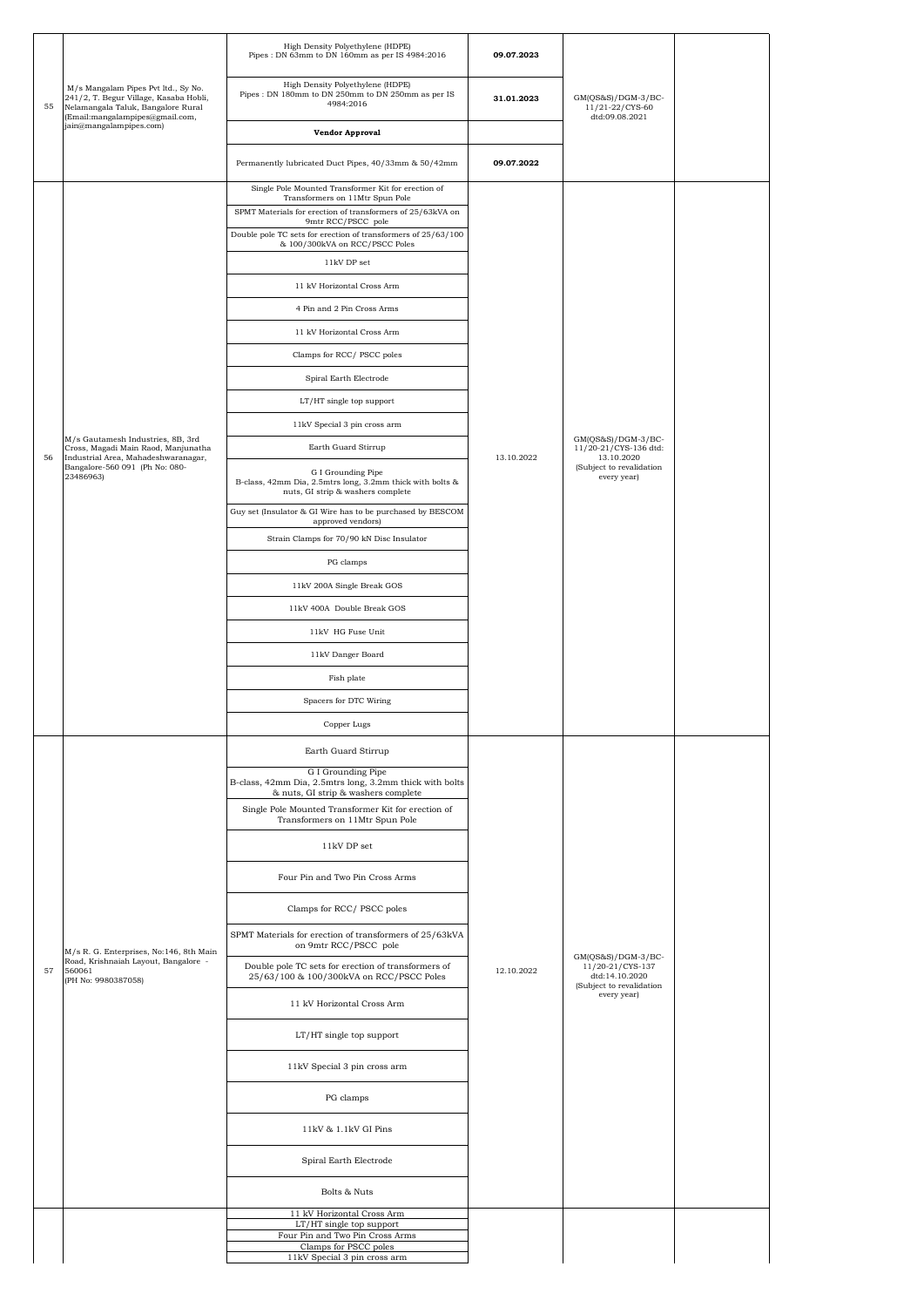|    |                                                                                                                                                        | High Density Polyethylene (HDPE)<br>Pipes: DN 63mm to DN 160mm as per IS 4984:2016                                   | 09.07.2023 |                                                                |  |
|----|--------------------------------------------------------------------------------------------------------------------------------------------------------|----------------------------------------------------------------------------------------------------------------------|------------|----------------------------------------------------------------|--|
| 55 | M/s Mangalam Pipes Pvt ltd., Sy No.<br>241/2, T. Begur Village, Kasaba Hobli,<br>Nelamangala Taluk, Bangalore Rural<br>(Email:mangalampipes@gmail.com, | High Density Polyethylene (HDPE)<br>Pipes : DN 180mm to DN 250mm to DN 250mm as per IS<br>4984:2016                  | 31.01.2023 | GM(QS&S)/DGM-3/BC-<br>11/21-22/CYS-60<br>dtd:09.08.2021        |  |
|    | jain@mangalampipes.com)                                                                                                                                | <b>Vendor Approval</b>                                                                                               |            |                                                                |  |
|    |                                                                                                                                                        | Permanently lubricated Duct Pipes, 40/33mm & 50/42mm                                                                 | 09.07.2022 |                                                                |  |
|    |                                                                                                                                                        | Single Pole Mounted Transformer Kit for erection of<br>Transformers on 11Mtr Spun Pole                               |            |                                                                |  |
|    |                                                                                                                                                        | SPMT Materials for erection of transformers of 25/63kVA on<br>9mtr RCC/PSCC pole                                     |            |                                                                |  |
|    |                                                                                                                                                        | Double pole TC sets for erection of transformers of 25/63/100<br>& 100/300kVA on RCC/PSCC Poles                      |            |                                                                |  |
|    |                                                                                                                                                        | 11kV DP set                                                                                                          |            |                                                                |  |
|    |                                                                                                                                                        | 11 kV Horizontal Cross Arm                                                                                           |            |                                                                |  |
|    |                                                                                                                                                        | 4 Pin and 2 Pin Cross Arms                                                                                           |            |                                                                |  |
|    |                                                                                                                                                        | 11 kV Horizontal Cross Arm                                                                                           |            |                                                                |  |
|    |                                                                                                                                                        | Clamps for RCC/PSCC poles                                                                                            |            |                                                                |  |
|    |                                                                                                                                                        | Spiral Earth Electrode                                                                                               |            |                                                                |  |
|    |                                                                                                                                                        | LT/HT single top support                                                                                             |            |                                                                |  |
|    |                                                                                                                                                        | 11kV Special 3 pin cross arm                                                                                         |            |                                                                |  |
| 56 | M/s Gautamesh Industries, 8B, 3rd<br>Cross, Magadi Main Raod, Manjunatha<br>Industrial Area, Mahadeshwaranagar,                                        | Earth Guard Stirrup                                                                                                  | 13.10.2022 | $GM(QS&S)/DGM-3/BC-$<br>11/20-21/CYS-136 dtd:<br>13.10.2020    |  |
|    | Bangalore-560 091 (Ph No: 080-<br>23486963)                                                                                                            | G I Grounding Pipe<br>B-class, 42mm Dia, 2.5mtrs long, 3.2mm thick with bolts &<br>nuts, GI strip & washers complete |            | (Subject to revalidation<br>every year)                        |  |
|    |                                                                                                                                                        | Guy set (Insulator & GI Wire has to be purchased by BESCOM<br>approved vendors)                                      |            |                                                                |  |
|    |                                                                                                                                                        | Strain Clamps for 70/90 kN Disc Insulator                                                                            |            |                                                                |  |
|    |                                                                                                                                                        | PG clamps                                                                                                            |            |                                                                |  |
|    |                                                                                                                                                        | 11kV 200A Single Break GOS                                                                                           |            |                                                                |  |
|    |                                                                                                                                                        | 11kV 400A Double Break GOS                                                                                           |            |                                                                |  |
|    |                                                                                                                                                        | 11kV HG Fuse Unit                                                                                                    |            |                                                                |  |
|    |                                                                                                                                                        | 11kV Danger Board                                                                                                    |            |                                                                |  |
|    |                                                                                                                                                        | Fish plate                                                                                                           |            |                                                                |  |
|    |                                                                                                                                                        | Spacers for DTC Wiring                                                                                               |            |                                                                |  |
|    |                                                                                                                                                        | Copper Lugs                                                                                                          |            |                                                                |  |
|    |                                                                                                                                                        | Earth Guard Stirrup                                                                                                  |            |                                                                |  |
|    |                                                                                                                                                        | G I Grounding Pipe<br>B-class, 42mm Dia, 2.5mtrs long, 3.2mm thick with bolts<br>& nuts, GI strip & washers complete |            |                                                                |  |
|    |                                                                                                                                                        | Single Pole Mounted Transformer Kit for erection of<br>Transformers on 11Mtr Spun Pole                               |            |                                                                |  |
|    |                                                                                                                                                        | 11kV DP set                                                                                                          |            |                                                                |  |
|    |                                                                                                                                                        | Four Pin and Two Pin Cross Arms                                                                                      |            |                                                                |  |
|    |                                                                                                                                                        | Clamps for RCC/PSCC poles                                                                                            |            |                                                                |  |
|    | M/s R. G. Enterprises, No:146, 8th Main                                                                                                                | SPMT Materials for erection of transformers of 25/63kVA<br>on 9mtr RCC/PSCC pole                                     |            | $GM(QS&S)/DGM-3/BC-$                                           |  |
| 57 | Road, Krishnaiah Layout, Bangalore -<br>560061<br>(PH No: 9980387058)                                                                                  | Double pole TC sets for erection of transformers of<br>25/63/100 & 100/300kVA on RCC/PSCC Poles                      | 12.10.2022 | 11/20-21/CYS-137<br>dtd:14.10.2020<br>(Subject to revalidation |  |
|    |                                                                                                                                                        | 11 kV Horizontal Cross Arm                                                                                           |            | every year)                                                    |  |
|    |                                                                                                                                                        | LT/HT single top support                                                                                             |            |                                                                |  |
|    |                                                                                                                                                        | 11kV Special 3 pin cross arm                                                                                         |            |                                                                |  |
|    |                                                                                                                                                        | PG clamps                                                                                                            |            |                                                                |  |
|    |                                                                                                                                                        | 11kV & 1.1kV GI Pins                                                                                                 |            |                                                                |  |
|    |                                                                                                                                                        | Spiral Earth Electrode                                                                                               |            |                                                                |  |
|    |                                                                                                                                                        | Bolts & Nuts                                                                                                         |            |                                                                |  |
|    |                                                                                                                                                        | 11 kV Horizontal Cross Arm<br>LT/HT single top support                                                               |            |                                                                |  |
|    |                                                                                                                                                        | Four Pin and Two Pin Cross Arms<br>Clamps for PSCC poles                                                             |            |                                                                |  |
|    |                                                                                                                                                        | 11kV Special 3 pin cross arm                                                                                         |            |                                                                |  |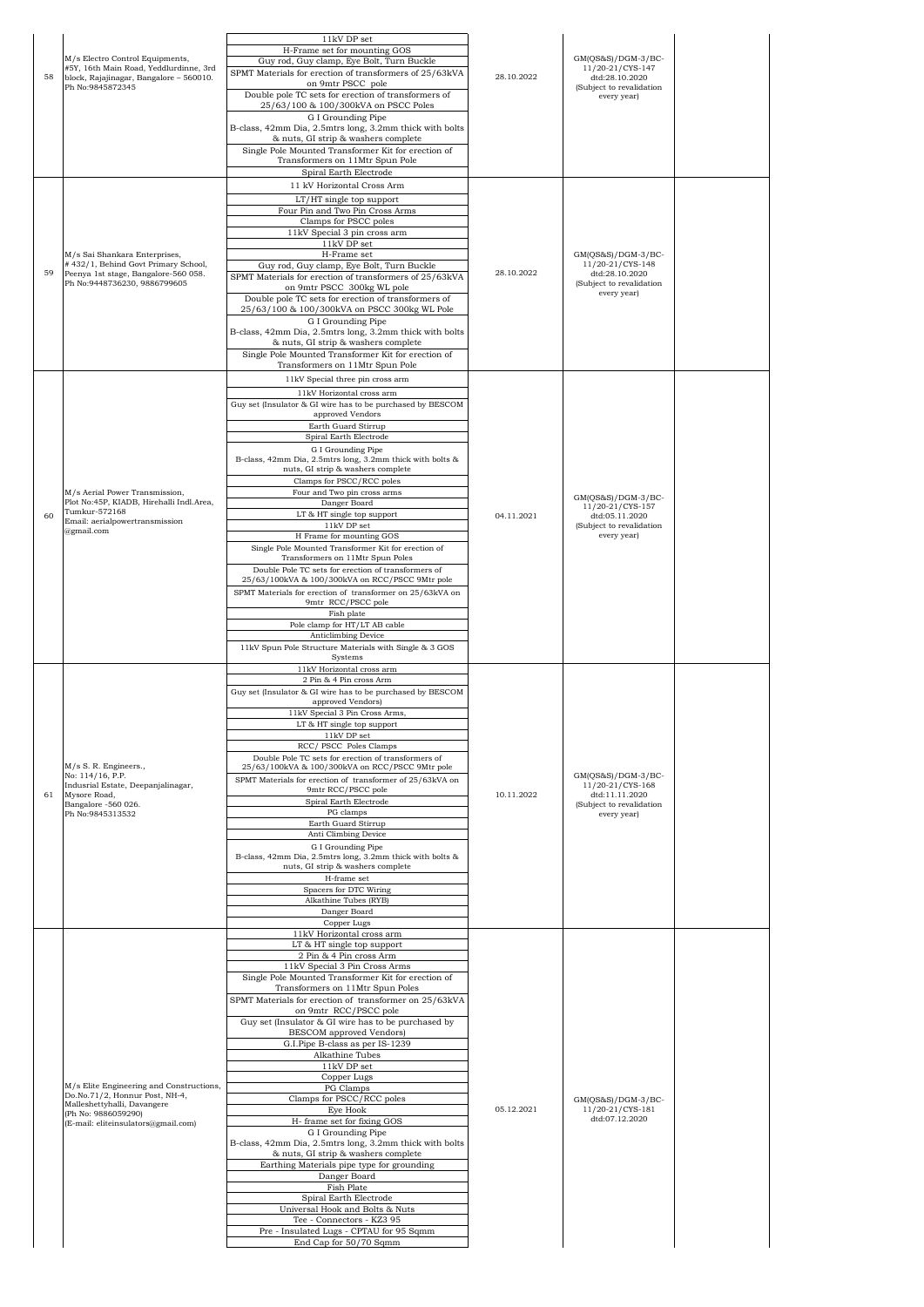| 58 | M/s Electro Control Equipments,<br>#5Y, 16th Main Road, Yeddlurdinne, 3rd<br>block, Rajajinagar, Bangalore - 560010.<br>Ph No:9845872345                                | 11kV DP set<br>H-Frame set for mounting GOS<br>Guy rod, Guy clamp, Eye Bolt, Turn Buckle<br>SPMT Materials for erection of transformers of 25/63kVA<br>on 9mtr PSCC pole<br>Double pole TC sets for erection of transformers of<br>25/63/100 & 100/300kVA on PSCC Poles<br>G I Grounding Pipe<br>B-class, 42mm Dia, 2.5mtrs long, 3.2mm thick with bolts<br>& nuts, GI strip & washers complete<br>Single Pole Mounted Transformer Kit for erection of<br>Transformers on 11Mtr Spun Pole<br>Spiral Earth Electrode<br>11 kV Horizontal Cross Arm                                                                                                                                                                                                                                                                                                                                                                                        | 28.10.2022 | GM(OS&S)/DGM-3/BC-<br>11/20-21/CYS-147<br>dtd:28.10.2020<br>(Subject to revalidation<br>every year)   |  |
|----|-------------------------------------------------------------------------------------------------------------------------------------------------------------------------|------------------------------------------------------------------------------------------------------------------------------------------------------------------------------------------------------------------------------------------------------------------------------------------------------------------------------------------------------------------------------------------------------------------------------------------------------------------------------------------------------------------------------------------------------------------------------------------------------------------------------------------------------------------------------------------------------------------------------------------------------------------------------------------------------------------------------------------------------------------------------------------------------------------------------------------|------------|-------------------------------------------------------------------------------------------------------|--|
| 59 | M/s Sai Shankara Enterprises,<br>#432/1, Behind Govt Primary School,<br>Peenya 1st stage, Bangalore-560 058.<br>Ph No:9448736230, 9886799605                            | LT/HT single top support<br>Four Pin and Two Pin Cross Arms<br>Clamps for PSCC poles<br>11kV Special 3 pin cross arm<br>$11\mathrm{kV}$ DP set<br>H-Frame set<br>Guy rod, Guy clamp, Eye Bolt, Turn Buckle<br>SPMT Materials for erection of transformers of 25/63kVA<br>on 9mtr PSCC 300kg WL pole<br>Double pole TC sets for erection of transformers of<br>25/63/100 & 100/300kVA on PSCC 300kg WL Pole<br>G I Grounding Pipe<br>B-class, 42mm Dia, 2.5mtrs long, 3.2mm thick with bolts<br>& nuts, GI strip & washers complete<br>Single Pole Mounted Transformer Kit for erection of<br>Transformers on 11Mtr Spun Pole                                                                                                                                                                                                                                                                                                             | 28.10.2022 | $GM(QS&S)/DGM-3/BC-$<br>11/20-21/CYS-148<br>dtd:28.10.2020<br>(Subject to revalidation<br>every year) |  |
| 60 | M/s Aerial Power Transmission,<br>Plot No:45P, KIADB, Hirehalli Indl.Area,<br>Tumkur-572168<br>Email: aerialpowertransmission<br>@gmail.com                             | 11kV Special three pin cross arm<br>11kV Horizontal cross arm<br>Guy set (Insulator & GI wire has to be purchased by BESCOM<br>approved Vendors<br>Earth Guard Stirrup<br>Spiral Earth Electrode<br>G I Grounding Pipe<br>B-class, 42mm Dia, 2.5mtrs long, 3.2mm thick with bolts &<br>nuts, GI strip & washers complete<br>Clamps for PSCC/RCC poles<br>Four and Two pin cross arms<br>Danger Board<br>LT & HT single top support<br>11kV DP set<br>H Frame for mounting GOS<br>Single Pole Mounted Transformer Kit for erection of<br>Transformers on 11Mtr Spun Poles<br>Double Pole TC sets for erection of transformers of<br>25/63/100kVA & 100/300kVA on RCC/PSCC 9Mtr pole<br>SPMT Materials for erection of transformer on 25/63kVA on<br>9mtr RCC/PSCC pole<br>Fish plate<br>Pole clamp for HT/LT AB cable<br>Anticlimbing Device<br>11kV Spun Pole Structure Materials with Single & 3 GOS<br>Systems                         | 04.11.2021 | GM(QS&S)/DGM-3/BC-<br>11/20-21/CYS-157<br>dtd:05.11.2020<br>(Subject to revalidation<br>every year)   |  |
| 61 | M/s S. R. Engineers.,<br>No: 114/16, P.P.<br>Indusrial Estate, Deepanjalinagar,<br>Mysore Road,<br>Bangalore -560 026.<br>Ph No:9845313532                              | 11kV Horizontal cross arm<br>2 Pin & 4 Pin cross Arm<br>Guy set (Insulator & GI wire has to be purchased by BESCOM<br>approved Vendors)<br>11kV Special 3 Pin Cross Arms,<br>LT & HT single top support<br>11kV DP set<br>RCC/ PSCC Poles Clamps<br>Double Pole TC sets for erection of transformers of<br>25/63/100kVA & 100/300kVA on RCC/PSCC 9Mtr pole<br>SPMT Materials for erection of transformer of 25/63kVA on<br>9mtr RCC/PSCC pole<br>Spiral Earth Electrode<br>PG clamps<br>Earth Guard Stirrup<br>Anti Climbing Device<br>G I Grounding Pipe<br>B-class, 42mm Dia, 2.5mtrs long, 3.2mm thick with bolts &<br>nuts, GI strip & washers complete<br>H-frame set<br>Spacers for DTC Wiring<br>Alkathine Tubes (RYB)<br>Danger Board<br>Copper Lugs                                                                                                                                                                             | 10.11.2022 | $GM(QS&S)/DGM-3/BC-$<br>11/20-21/CYS-168<br>dtd:11.11.2020<br>(Subject to revalidation<br>every year) |  |
|    | M/s Elite Engineering and Constructions,<br>Do.No.71/2, Honnur Post, NH-4,<br>Malleshettyhalli, Davangere<br>(Ph No: 9886059290)<br>(E-mail: eliteinsulators@gmail.com) | 11kV Horizontal cross arm<br>LT & HT single top support<br>2 Pin & 4 Pin cross Arm<br>11kV Special 3 Pin Cross Arms<br>Single Pole Mounted Transformer Kit for erection of<br>Transformers on 11Mtr Spun Poles<br>SPMT Materials for erection of transformer on 25/63kVA<br>on 9mtr RCC/PSCC pole<br>Guy set (Insulator & GI wire has to be purchased by<br><b>BESCOM</b> approved Vendors)<br>G.I.Pipe B-class as per IS-1239<br>Alkathine Tubes<br>11kV DP set<br>Copper Lugs<br>PG Clamps<br>Clamps for PSCC/RCC poles<br>Eye Hook<br>H- frame set for fixing GOS<br>G I Grounding Pipe<br>B-class, 42mm Dia, 2.5mtrs long, 3.2mm thick with bolts<br>& nuts, GI strip & washers complete<br>Earthing Materials pipe type for grounding<br>Danger Board<br>Fish Plate<br>Spiral Earth Electrode<br>Universal Hook and Bolts & Nuts<br>Tee - Connectors - KZ3 95<br>Pre - Insulated Lugs - CPTAU for 95 Sqmm<br>End Cap for 50/70 Sqmm | 05.12.2021 | GM(QS&S)/DGM-3/BC-<br>11/20-21/CYS-181<br>dtd:07.12.2020                                              |  |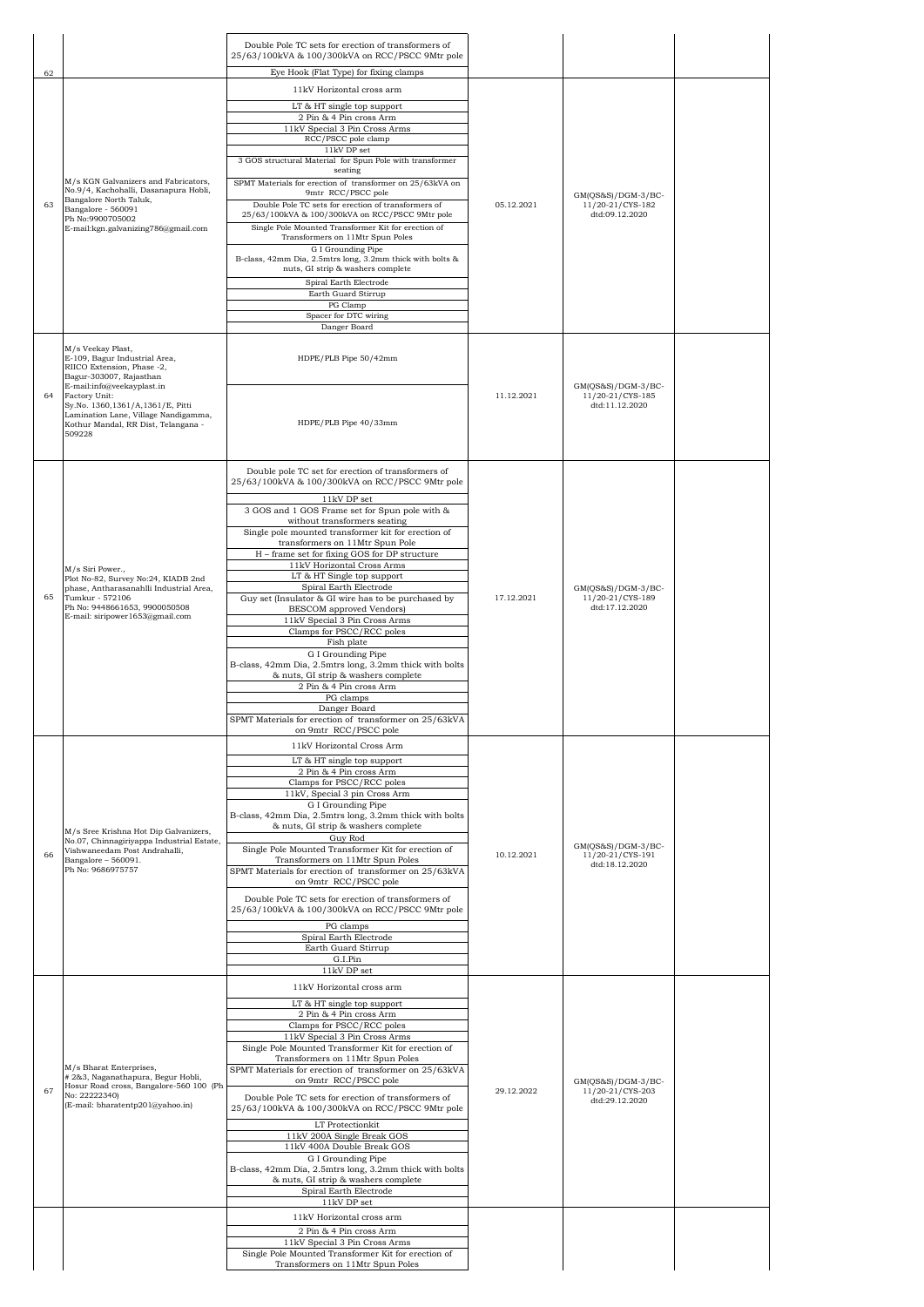|    |                                                                                                                                            | Double Pole TC sets for erection of transformers of                                                                                        |            |                                          |
|----|--------------------------------------------------------------------------------------------------------------------------------------------|--------------------------------------------------------------------------------------------------------------------------------------------|------------|------------------------------------------|
| 62 |                                                                                                                                            | 25/63/100kVA & 100/300kVA on RCC/PSCC 9Mtr pole<br>Eye Hook (Flat Type) for fixing clamps                                                  |            |                                          |
|    |                                                                                                                                            | 11kV Horizontal cross arm                                                                                                                  |            |                                          |
|    |                                                                                                                                            | LT & HT single top support                                                                                                                 |            |                                          |
|    |                                                                                                                                            | 2 Pin & 4 Pin cross Arm<br>11kV Special 3 Pin Cross Arms                                                                                   |            |                                          |
|    |                                                                                                                                            | RCC/PSCC pole clamp<br>11kV DP set                                                                                                         |            |                                          |
|    |                                                                                                                                            | 3 GOS structural Material for Spun Pole with transformer                                                                                   |            |                                          |
|    | M/s KGN Galvanizers and Fabricators,                                                                                                       | seating<br>SPMT Materials for erection of transformer on 25/63kVA on                                                                       |            |                                          |
| 63 | No.9/4, Kachohalli, Dasanapura Hobli,<br>Bangalore North Taluk,                                                                            | 9mtr RCC/PSCC pole<br>Double Pole TC sets for erection of transformers of                                                                  | 05.12.2021 | $GM(QS&S)/DGM-3/BC-$<br>11/20-21/CYS-182 |
|    | Bangalore - 560091<br>Ph No:9900705002<br>E-mail:kgn.galvanizing786@gmail.com                                                              | 25/63/100kVA & 100/300kVA on RCC/PSCC 9Mtr pole<br>Single Pole Mounted Transformer Kit for erection of<br>Transformers on 11Mtr Spun Poles |            | dtd:09.12.2020                           |
|    |                                                                                                                                            | G I Grounding Pipe                                                                                                                         |            |                                          |
|    |                                                                                                                                            | B-class, 42mm Dia, 2.5mtrs long, 3.2mm thick with bolts &<br>nuts, GI strip & washers complete                                             |            |                                          |
|    |                                                                                                                                            | Spiral Earth Electrode<br>Earth Guard Stirrup                                                                                              |            |                                          |
|    |                                                                                                                                            | PG Clamp                                                                                                                                   |            |                                          |
|    |                                                                                                                                            | Spacer for DTC wiring<br>Danger Board                                                                                                      |            |                                          |
|    | M/s Veekay Plast,                                                                                                                          |                                                                                                                                            |            |                                          |
|    | E-109, Bagur Industrial Area,<br>RIICO Extension, Phase -2,<br>Bagur-303007, Rajasthan<br>E-mail:info@veekayplast.in                       | HDPE/PLB Pipe 50/42mm                                                                                                                      |            | $GM(QS&S)/DGM-3/BC-$                     |
| 64 | Factory Unit:<br>Sy.No. 1360,1361/A,1361/E, Pitti<br>Lamination Lane, Village Nandigamma,<br>Kothur Mandal, RR Dist, Telangana -<br>509228 | HDPE/PLB Pipe 40/33mm                                                                                                                      | 11.12.2021 | 11/20-21/CYS-185<br>dtd:11.12.2020       |
|    |                                                                                                                                            |                                                                                                                                            |            |                                          |
|    |                                                                                                                                            | Double pole TC set for erection of transformers of<br>25/63/100kVA & 100/300kVA on RCC/PSCC 9Mtr pole                                      |            |                                          |
|    |                                                                                                                                            | 11kV DP set                                                                                                                                |            |                                          |
|    |                                                                                                                                            | 3 GOS and 1 GOS Frame set for Spun pole with &                                                                                             |            |                                          |
|    |                                                                                                                                            | without transformers seating<br>Single pole mounted transformer kit for erection of                                                        |            |                                          |
|    |                                                                                                                                            | transformers on 11Mtr Spun Pole<br>H - frame set for fixing GOS for DP structure                                                           |            |                                          |
|    | M/s Siri Power.,<br>Plot No-82, Survey No:24, KIADB 2nd<br>phase, Antharasanahlli Industrial Area,                                         | 11kV Horizontal Cross Arms                                                                                                                 |            |                                          |
|    |                                                                                                                                            | LT & HT Single top support<br>Spiral Earth Electrode                                                                                       |            | $GM(QS&S)/DGM-3/BC-$                     |
| 65 | Tumkur - 572106<br>Ph No: 9448661653, 9900050508                                                                                           | Guy set (Insulator & GI wire has to be purchased by<br>BESCOM approved Vendors)                                                            | 17.12.2021 | 11/20-21/CYS-189<br>dtd:17.12.2020       |
|    | E-mail: siripower1653@gmail.com                                                                                                            | 11kV Special 3 Pin Cross Arms                                                                                                              |            |                                          |
|    |                                                                                                                                            | Clamps for PSCC/RCC poles<br>Fish plate                                                                                                    |            |                                          |
|    |                                                                                                                                            | G I Grounding Pipe<br>B-class, 42mm Dia, 2.5mtrs long, 3.2mm thick with bolts                                                              |            |                                          |
|    |                                                                                                                                            | & nuts, GI strip & washers complete                                                                                                        |            |                                          |
|    |                                                                                                                                            | 2 Pin & 4 Pin cross Arm<br>PG clamps                                                                                                       |            |                                          |
|    |                                                                                                                                            | Danger Board<br>SPMT Materials for erection of transformer on 25/63kVA                                                                     |            |                                          |
|    |                                                                                                                                            | on 9mtr RCC/PSCC pole                                                                                                                      |            |                                          |
|    |                                                                                                                                            | 11kV Horizontal Cross Arm<br>LT & HT single top support                                                                                    |            |                                          |
|    |                                                                                                                                            | 2 Pin & 4 Pin cross Arm                                                                                                                    |            |                                          |
|    |                                                                                                                                            | Clamps for PSCC/RCC poles<br>11kV, Special 3 pin Cross Arm                                                                                 |            |                                          |
|    |                                                                                                                                            | G I Grounding Pipe<br>B-class, 42mm Dia, 2.5mtrs long, 3.2mm thick with bolts                                                              |            |                                          |
|    | M/s Sree Krishna Hot Dip Galvanizers,                                                                                                      | & nuts, GI strip & washers complete                                                                                                        |            |                                          |
|    | No.07, Chinnagiriyappa Industrial Estate,<br>Vishwaneedam Post Andrahalli,                                                                 | Guy Rod<br>Single Pole Mounted Transformer Kit for erection of                                                                             |            | GM(QS&S)/DGM-3/BC-                       |
| 66 | Bangalore - 560091.<br>Ph No: 9686975757                                                                                                   | Transformers on 11Mtr Spun Poles<br>SPMT Materials for erection of transformer on 25/63kVA                                                 | 10.12.2021 | 11/20-21/CYS-191<br>dtd:18.12.2020       |
|    |                                                                                                                                            | on 9mtr RCC/PSCC pole                                                                                                                      |            |                                          |
|    |                                                                                                                                            | Double Pole TC sets for erection of transformers of<br>25/63/100kVA & 100/300kVA on RCC/PSCC 9Mtr pole<br>PG clamps                        |            |                                          |
|    |                                                                                                                                            | Spiral Earth Electrode                                                                                                                     |            |                                          |
|    |                                                                                                                                            | Earth Guard Stirrup<br>G.I.Pin                                                                                                             |            |                                          |
|    |                                                                                                                                            | 11kV DP set                                                                                                                                |            |                                          |
|    |                                                                                                                                            | 11kV Horizontal cross arm                                                                                                                  |            |                                          |
|    |                                                                                                                                            | LT & HT single top support<br>2 Pin & 4 Pin cross Arm                                                                                      |            |                                          |
|    |                                                                                                                                            | Clamps for PSCC/RCC poles                                                                                                                  |            |                                          |
|    |                                                                                                                                            | 11kV Special 3 Pin Cross Arms<br>Single Pole Mounted Transformer Kit for erection of                                                       |            |                                          |
|    | M/s Bharat Enterprises,                                                                                                                    | Transformers on 11Mtr Spun Poles<br>SPMT Materials for erection of transformer on 25/63kVA                                                 |            |                                          |
| 67 | #2&3, Naganathapura, Begur Hobli,<br>Hosur Road cross, Bangalore-560 100 (Ph                                                               | on 9mtr RCC/PSCC pole                                                                                                                      | 29.12.2022 | $GM(QS&S)/DGM-3/BC-$<br>11/20-21/CYS-203 |
|    | No: 22222340)<br>(E-mail: bharatentp201@yahoo.in)                                                                                          | Double Pole TC sets for erection of transformers of<br>25/63/100kVA & 100/300kVA on RCC/PSCC 9Mtr pole                                     |            | dtd:29.12.2020                           |
|    |                                                                                                                                            | LT Protectionkit                                                                                                                           |            |                                          |
|    |                                                                                                                                            | 11kV 200A Single Break GOS<br>11kV 400A Double Break GOS                                                                                   |            |                                          |
|    |                                                                                                                                            | G I Grounding Pipe                                                                                                                         |            |                                          |
|    |                                                                                                                                            | B-class, 42mm Dia, 2.5mtrs long, 3.2mm thick with bolts<br>& nuts, GI strip & washers complete                                             |            |                                          |
|    |                                                                                                                                            | Spiral Earth Electrode<br>11kV DP set                                                                                                      |            |                                          |
|    |                                                                                                                                            | 11kV Horizontal cross arm                                                                                                                  |            |                                          |
|    |                                                                                                                                            | 2 Pin & 4 Pin cross Arm                                                                                                                    |            |                                          |
|    |                                                                                                                                            | 11kV Special 3 Pin Cross Arms<br>Single Pole Mounted Transformer Kit for erection of                                                       |            |                                          |
|    |                                                                                                                                            | Transformers on 11Mtr Spun Poles                                                                                                           |            |                                          |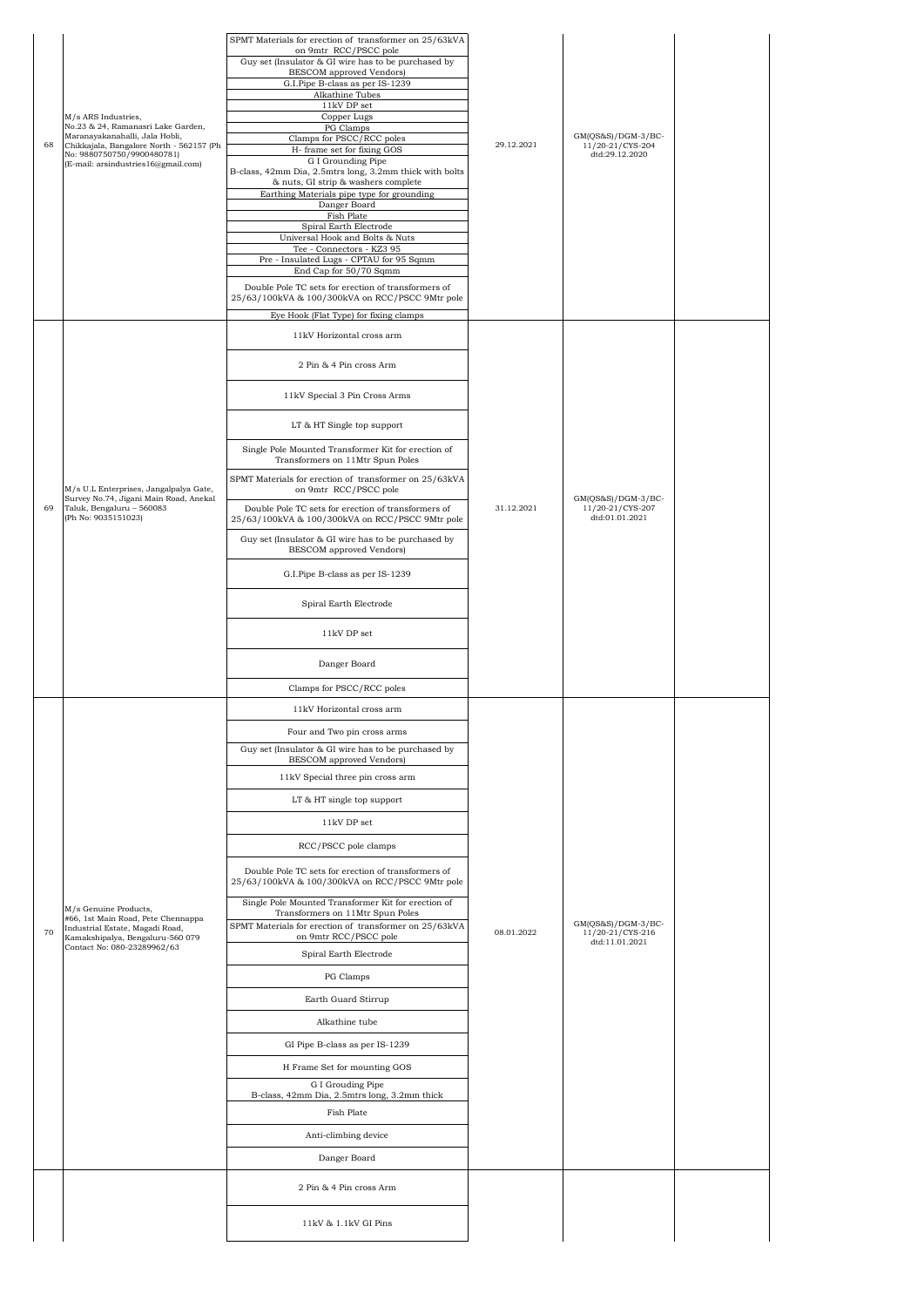| Guy set (Insulator & GI wire has to be purchased by<br><b>BESCOM</b> approved Vendors)<br>G.I.Pipe B-class as per IS-1239<br>Alkathine Tubes<br>$11\mathrm{kV}$ DP set<br>M/s ARS Industries.<br>Copper Lugs<br>No.23 & 24, Ramanasri Lake Garden,<br>PG Clamps<br>$GM(QS&S)/DGM-3/BC-$<br>Maranayakanahalli, Jala Hobli,<br>Clamps for PSCC/RCC poles<br>Chikkajala, Bangalore North - 562157 (Ph<br>29.12.2021<br>11/20-21/CYS-204<br>68<br>H- frame set for fixing GOS<br>No: 9880750750/9900480781)<br>dtd:29.12.2020<br>G I Grounding Pipe<br>(E-mail: arsindustries16@gmail.com)<br>B-class, 42mm Dia, 2.5mtrs long, 3.2mm thick with bolts<br>& nuts, GI strip & washers complete<br>Earthing Materials pipe type for grounding<br>Danger Board<br>Fish Plate<br>Spiral Earth Electrode<br>Universal Hook and Bolts & Nuts<br>Tee - Connectors - KZ3 95<br>Pre - Insulated Lugs - CPTAU for 95 Sqmm<br>End Cap for 50/70 Sqmm<br>Double Pole TC sets for erection of transformers of<br>25/63/100kVA & 100/300kVA on RCC/PSCC 9Mtr pole<br>Eye Hook (Flat Type) for fixing clamps<br>11kV Horizontal cross arm<br>2 Pin & 4 Pin cross Arm<br>11kV Special 3 Pin Cross Arms<br>LT & HT Single top support<br>Single Pole Mounted Transformer Kit for erection of<br>Transformers on 11Mtr Spun Poles<br>SPMT Materials for erection of transformer on 25/63kVA<br>M/s U.L Enterprises, Jangalpalya Gate,<br>on 9mtr RCC/PSCC pole<br>Survey No.74, Jigani Main Road, Anekal<br>$GM(QS&S)/DGM-3/BC-$<br>Taluk, Bengaluru - 560083<br>31.12.2021<br>11/20-21/CYS-207<br>69<br>Double Pole TC sets for erection of transformers of<br>(Ph No: 9035151023)<br>dtd:01.01.2021<br>25/63/100kVA & 100/300kVA on RCC/PSCC 9Mtr pole<br>Guy set (Insulator & GI wire has to be purchased by<br>BESCOM approved Vendors)<br>G.I.Pipe B-class as per IS-1239<br>Spiral Earth Electrode<br>11kV DP set<br>Danger Board<br>Clamps for PSCC/RCC poles<br>11kV Horizontal cross arm<br>Four and Two pin cross arms<br>Guy set (Insulator & GI wire has to be purchased by<br><b>BESCOM</b> approved Vendors)<br>11kV Special three pin cross arm<br>LT & HT single top support<br>11kV DP set<br>RCC/PSCC pole clamps<br>Double Pole TC sets for erection of transformers of<br>25/63/100kVA & 100/300kVA on RCC/PSCC 9Mtr pole<br>Single Pole Mounted Transformer Kit for erection of<br>M/s Genuine Products,<br>Transformers on 11Mtr Spun Poles<br>#66, 1st Main Road, Pete Chennappa<br>$GM(QS&S)/DGM-3/BC-$<br>SPMT Materials for erection of transformer on 25/63kVA<br>Industrial Estate, Magadi Road,<br>70<br>08.01.2022<br>11/20-21/CYS-216<br>on 9mtr RCC/PSCC pole<br>Kamakshipalya, Bengaluru-560 079<br>dtd:11.01.2021<br>Contact No: 080-23289962/63<br>Spiral Earth Electrode<br>PG Clamps<br>Earth Guard Stirrup<br>Alkathine tube<br>GI Pipe B-class as per IS-1239<br>H Frame Set for mounting GOS<br>G I Grouding Pipe<br>B-class, 42mm Dia, 2.5mtrs long, 3.2mm thick<br>Fish Plate<br>Anti-climbing device<br>Danger Board<br>2 Pin & 4 Pin cross Arm<br>11kV & 1.1kV GI Pins |  |  | SPMT Materials for erection of transformer on 25/63kVA |  |  |  |
|---------------------------------------------------------------------------------------------------------------------------------------------------------------------------------------------------------------------------------------------------------------------------------------------------------------------------------------------------------------------------------------------------------------------------------------------------------------------------------------------------------------------------------------------------------------------------------------------------------------------------------------------------------------------------------------------------------------------------------------------------------------------------------------------------------------------------------------------------------------------------------------------------------------------------------------------------------------------------------------------------------------------------------------------------------------------------------------------------------------------------------------------------------------------------------------------------------------------------------------------------------------------------------------------------------------------------------------------------------------------------------------------------------------------------------------------------------------------------------------------------------------------------------------------------------------------------------------------------------------------------------------------------------------------------------------------------------------------------------------------------------------------------------------------------------------------------------------------------------------------------------------------------------------------------------------------------------------------------------------------------------------------------------------------------------------------------------------------------------------------------------------------------------------------------------------------------------------------------------------------------------------------------------------------------------------------------------------------------------------------------------------------------------------------------------------------------------------------------------------------------------------------------------------------------------------------------------------------------------------------------------------------------------------------------------------------------------------------------------------------------------------------------------------------------------------------------------------------------------------------------------------------------------------------------------------------------------------------------------------------------------------------------------------------------------------------------------------------|--|--|--------------------------------------------------------|--|--|--|
|                                                                                                                                                                                                                                                                                                                                                                                                                                                                                                                                                                                                                                                                                                                                                                                                                                                                                                                                                                                                                                                                                                                                                                                                                                                                                                                                                                                                                                                                                                                                                                                                                                                                                                                                                                                                                                                                                                                                                                                                                                                                                                                                                                                                                                                                                                                                                                                                                                                                                                                                                                                                                                                                                                                                                                                                                                                                                                                                                                                                                                                                                             |  |  | on 9mtr RCC/PSCC pole                                  |  |  |  |
|                                                                                                                                                                                                                                                                                                                                                                                                                                                                                                                                                                                                                                                                                                                                                                                                                                                                                                                                                                                                                                                                                                                                                                                                                                                                                                                                                                                                                                                                                                                                                                                                                                                                                                                                                                                                                                                                                                                                                                                                                                                                                                                                                                                                                                                                                                                                                                                                                                                                                                                                                                                                                                                                                                                                                                                                                                                                                                                                                                                                                                                                                             |  |  |                                                        |  |  |  |
|                                                                                                                                                                                                                                                                                                                                                                                                                                                                                                                                                                                                                                                                                                                                                                                                                                                                                                                                                                                                                                                                                                                                                                                                                                                                                                                                                                                                                                                                                                                                                                                                                                                                                                                                                                                                                                                                                                                                                                                                                                                                                                                                                                                                                                                                                                                                                                                                                                                                                                                                                                                                                                                                                                                                                                                                                                                                                                                                                                                                                                                                                             |  |  |                                                        |  |  |  |
|                                                                                                                                                                                                                                                                                                                                                                                                                                                                                                                                                                                                                                                                                                                                                                                                                                                                                                                                                                                                                                                                                                                                                                                                                                                                                                                                                                                                                                                                                                                                                                                                                                                                                                                                                                                                                                                                                                                                                                                                                                                                                                                                                                                                                                                                                                                                                                                                                                                                                                                                                                                                                                                                                                                                                                                                                                                                                                                                                                                                                                                                                             |  |  |                                                        |  |  |  |
|                                                                                                                                                                                                                                                                                                                                                                                                                                                                                                                                                                                                                                                                                                                                                                                                                                                                                                                                                                                                                                                                                                                                                                                                                                                                                                                                                                                                                                                                                                                                                                                                                                                                                                                                                                                                                                                                                                                                                                                                                                                                                                                                                                                                                                                                                                                                                                                                                                                                                                                                                                                                                                                                                                                                                                                                                                                                                                                                                                                                                                                                                             |  |  |                                                        |  |  |  |
|                                                                                                                                                                                                                                                                                                                                                                                                                                                                                                                                                                                                                                                                                                                                                                                                                                                                                                                                                                                                                                                                                                                                                                                                                                                                                                                                                                                                                                                                                                                                                                                                                                                                                                                                                                                                                                                                                                                                                                                                                                                                                                                                                                                                                                                                                                                                                                                                                                                                                                                                                                                                                                                                                                                                                                                                                                                                                                                                                                                                                                                                                             |  |  |                                                        |  |  |  |
|                                                                                                                                                                                                                                                                                                                                                                                                                                                                                                                                                                                                                                                                                                                                                                                                                                                                                                                                                                                                                                                                                                                                                                                                                                                                                                                                                                                                                                                                                                                                                                                                                                                                                                                                                                                                                                                                                                                                                                                                                                                                                                                                                                                                                                                                                                                                                                                                                                                                                                                                                                                                                                                                                                                                                                                                                                                                                                                                                                                                                                                                                             |  |  |                                                        |  |  |  |
|                                                                                                                                                                                                                                                                                                                                                                                                                                                                                                                                                                                                                                                                                                                                                                                                                                                                                                                                                                                                                                                                                                                                                                                                                                                                                                                                                                                                                                                                                                                                                                                                                                                                                                                                                                                                                                                                                                                                                                                                                                                                                                                                                                                                                                                                                                                                                                                                                                                                                                                                                                                                                                                                                                                                                                                                                                                                                                                                                                                                                                                                                             |  |  |                                                        |  |  |  |
|                                                                                                                                                                                                                                                                                                                                                                                                                                                                                                                                                                                                                                                                                                                                                                                                                                                                                                                                                                                                                                                                                                                                                                                                                                                                                                                                                                                                                                                                                                                                                                                                                                                                                                                                                                                                                                                                                                                                                                                                                                                                                                                                                                                                                                                                                                                                                                                                                                                                                                                                                                                                                                                                                                                                                                                                                                                                                                                                                                                                                                                                                             |  |  |                                                        |  |  |  |
|                                                                                                                                                                                                                                                                                                                                                                                                                                                                                                                                                                                                                                                                                                                                                                                                                                                                                                                                                                                                                                                                                                                                                                                                                                                                                                                                                                                                                                                                                                                                                                                                                                                                                                                                                                                                                                                                                                                                                                                                                                                                                                                                                                                                                                                                                                                                                                                                                                                                                                                                                                                                                                                                                                                                                                                                                                                                                                                                                                                                                                                                                             |  |  |                                                        |  |  |  |
|                                                                                                                                                                                                                                                                                                                                                                                                                                                                                                                                                                                                                                                                                                                                                                                                                                                                                                                                                                                                                                                                                                                                                                                                                                                                                                                                                                                                                                                                                                                                                                                                                                                                                                                                                                                                                                                                                                                                                                                                                                                                                                                                                                                                                                                                                                                                                                                                                                                                                                                                                                                                                                                                                                                                                                                                                                                                                                                                                                                                                                                                                             |  |  |                                                        |  |  |  |
|                                                                                                                                                                                                                                                                                                                                                                                                                                                                                                                                                                                                                                                                                                                                                                                                                                                                                                                                                                                                                                                                                                                                                                                                                                                                                                                                                                                                                                                                                                                                                                                                                                                                                                                                                                                                                                                                                                                                                                                                                                                                                                                                                                                                                                                                                                                                                                                                                                                                                                                                                                                                                                                                                                                                                                                                                                                                                                                                                                                                                                                                                             |  |  |                                                        |  |  |  |
|                                                                                                                                                                                                                                                                                                                                                                                                                                                                                                                                                                                                                                                                                                                                                                                                                                                                                                                                                                                                                                                                                                                                                                                                                                                                                                                                                                                                                                                                                                                                                                                                                                                                                                                                                                                                                                                                                                                                                                                                                                                                                                                                                                                                                                                                                                                                                                                                                                                                                                                                                                                                                                                                                                                                                                                                                                                                                                                                                                                                                                                                                             |  |  |                                                        |  |  |  |
|                                                                                                                                                                                                                                                                                                                                                                                                                                                                                                                                                                                                                                                                                                                                                                                                                                                                                                                                                                                                                                                                                                                                                                                                                                                                                                                                                                                                                                                                                                                                                                                                                                                                                                                                                                                                                                                                                                                                                                                                                                                                                                                                                                                                                                                                                                                                                                                                                                                                                                                                                                                                                                                                                                                                                                                                                                                                                                                                                                                                                                                                                             |  |  |                                                        |  |  |  |
|                                                                                                                                                                                                                                                                                                                                                                                                                                                                                                                                                                                                                                                                                                                                                                                                                                                                                                                                                                                                                                                                                                                                                                                                                                                                                                                                                                                                                                                                                                                                                                                                                                                                                                                                                                                                                                                                                                                                                                                                                                                                                                                                                                                                                                                                                                                                                                                                                                                                                                                                                                                                                                                                                                                                                                                                                                                                                                                                                                                                                                                                                             |  |  |                                                        |  |  |  |
|                                                                                                                                                                                                                                                                                                                                                                                                                                                                                                                                                                                                                                                                                                                                                                                                                                                                                                                                                                                                                                                                                                                                                                                                                                                                                                                                                                                                                                                                                                                                                                                                                                                                                                                                                                                                                                                                                                                                                                                                                                                                                                                                                                                                                                                                                                                                                                                                                                                                                                                                                                                                                                                                                                                                                                                                                                                                                                                                                                                                                                                                                             |  |  |                                                        |  |  |  |
|                                                                                                                                                                                                                                                                                                                                                                                                                                                                                                                                                                                                                                                                                                                                                                                                                                                                                                                                                                                                                                                                                                                                                                                                                                                                                                                                                                                                                                                                                                                                                                                                                                                                                                                                                                                                                                                                                                                                                                                                                                                                                                                                                                                                                                                                                                                                                                                                                                                                                                                                                                                                                                                                                                                                                                                                                                                                                                                                                                                                                                                                                             |  |  |                                                        |  |  |  |
|                                                                                                                                                                                                                                                                                                                                                                                                                                                                                                                                                                                                                                                                                                                                                                                                                                                                                                                                                                                                                                                                                                                                                                                                                                                                                                                                                                                                                                                                                                                                                                                                                                                                                                                                                                                                                                                                                                                                                                                                                                                                                                                                                                                                                                                                                                                                                                                                                                                                                                                                                                                                                                                                                                                                                                                                                                                                                                                                                                                                                                                                                             |  |  |                                                        |  |  |  |
|                                                                                                                                                                                                                                                                                                                                                                                                                                                                                                                                                                                                                                                                                                                                                                                                                                                                                                                                                                                                                                                                                                                                                                                                                                                                                                                                                                                                                                                                                                                                                                                                                                                                                                                                                                                                                                                                                                                                                                                                                                                                                                                                                                                                                                                                                                                                                                                                                                                                                                                                                                                                                                                                                                                                                                                                                                                                                                                                                                                                                                                                                             |  |  |                                                        |  |  |  |
|                                                                                                                                                                                                                                                                                                                                                                                                                                                                                                                                                                                                                                                                                                                                                                                                                                                                                                                                                                                                                                                                                                                                                                                                                                                                                                                                                                                                                                                                                                                                                                                                                                                                                                                                                                                                                                                                                                                                                                                                                                                                                                                                                                                                                                                                                                                                                                                                                                                                                                                                                                                                                                                                                                                                                                                                                                                                                                                                                                                                                                                                                             |  |  |                                                        |  |  |  |
|                                                                                                                                                                                                                                                                                                                                                                                                                                                                                                                                                                                                                                                                                                                                                                                                                                                                                                                                                                                                                                                                                                                                                                                                                                                                                                                                                                                                                                                                                                                                                                                                                                                                                                                                                                                                                                                                                                                                                                                                                                                                                                                                                                                                                                                                                                                                                                                                                                                                                                                                                                                                                                                                                                                                                                                                                                                                                                                                                                                                                                                                                             |  |  |                                                        |  |  |  |
|                                                                                                                                                                                                                                                                                                                                                                                                                                                                                                                                                                                                                                                                                                                                                                                                                                                                                                                                                                                                                                                                                                                                                                                                                                                                                                                                                                                                                                                                                                                                                                                                                                                                                                                                                                                                                                                                                                                                                                                                                                                                                                                                                                                                                                                                                                                                                                                                                                                                                                                                                                                                                                                                                                                                                                                                                                                                                                                                                                                                                                                                                             |  |  |                                                        |  |  |  |
|                                                                                                                                                                                                                                                                                                                                                                                                                                                                                                                                                                                                                                                                                                                                                                                                                                                                                                                                                                                                                                                                                                                                                                                                                                                                                                                                                                                                                                                                                                                                                                                                                                                                                                                                                                                                                                                                                                                                                                                                                                                                                                                                                                                                                                                                                                                                                                                                                                                                                                                                                                                                                                                                                                                                                                                                                                                                                                                                                                                                                                                                                             |  |  |                                                        |  |  |  |
|                                                                                                                                                                                                                                                                                                                                                                                                                                                                                                                                                                                                                                                                                                                                                                                                                                                                                                                                                                                                                                                                                                                                                                                                                                                                                                                                                                                                                                                                                                                                                                                                                                                                                                                                                                                                                                                                                                                                                                                                                                                                                                                                                                                                                                                                                                                                                                                                                                                                                                                                                                                                                                                                                                                                                                                                                                                                                                                                                                                                                                                                                             |  |  |                                                        |  |  |  |
|                                                                                                                                                                                                                                                                                                                                                                                                                                                                                                                                                                                                                                                                                                                                                                                                                                                                                                                                                                                                                                                                                                                                                                                                                                                                                                                                                                                                                                                                                                                                                                                                                                                                                                                                                                                                                                                                                                                                                                                                                                                                                                                                                                                                                                                                                                                                                                                                                                                                                                                                                                                                                                                                                                                                                                                                                                                                                                                                                                                                                                                                                             |  |  |                                                        |  |  |  |
|                                                                                                                                                                                                                                                                                                                                                                                                                                                                                                                                                                                                                                                                                                                                                                                                                                                                                                                                                                                                                                                                                                                                                                                                                                                                                                                                                                                                                                                                                                                                                                                                                                                                                                                                                                                                                                                                                                                                                                                                                                                                                                                                                                                                                                                                                                                                                                                                                                                                                                                                                                                                                                                                                                                                                                                                                                                                                                                                                                                                                                                                                             |  |  |                                                        |  |  |  |
|                                                                                                                                                                                                                                                                                                                                                                                                                                                                                                                                                                                                                                                                                                                                                                                                                                                                                                                                                                                                                                                                                                                                                                                                                                                                                                                                                                                                                                                                                                                                                                                                                                                                                                                                                                                                                                                                                                                                                                                                                                                                                                                                                                                                                                                                                                                                                                                                                                                                                                                                                                                                                                                                                                                                                                                                                                                                                                                                                                                                                                                                                             |  |  |                                                        |  |  |  |
|                                                                                                                                                                                                                                                                                                                                                                                                                                                                                                                                                                                                                                                                                                                                                                                                                                                                                                                                                                                                                                                                                                                                                                                                                                                                                                                                                                                                                                                                                                                                                                                                                                                                                                                                                                                                                                                                                                                                                                                                                                                                                                                                                                                                                                                                                                                                                                                                                                                                                                                                                                                                                                                                                                                                                                                                                                                                                                                                                                                                                                                                                             |  |  |                                                        |  |  |  |
|                                                                                                                                                                                                                                                                                                                                                                                                                                                                                                                                                                                                                                                                                                                                                                                                                                                                                                                                                                                                                                                                                                                                                                                                                                                                                                                                                                                                                                                                                                                                                                                                                                                                                                                                                                                                                                                                                                                                                                                                                                                                                                                                                                                                                                                                                                                                                                                                                                                                                                                                                                                                                                                                                                                                                                                                                                                                                                                                                                                                                                                                                             |  |  |                                                        |  |  |  |
|                                                                                                                                                                                                                                                                                                                                                                                                                                                                                                                                                                                                                                                                                                                                                                                                                                                                                                                                                                                                                                                                                                                                                                                                                                                                                                                                                                                                                                                                                                                                                                                                                                                                                                                                                                                                                                                                                                                                                                                                                                                                                                                                                                                                                                                                                                                                                                                                                                                                                                                                                                                                                                                                                                                                                                                                                                                                                                                                                                                                                                                                                             |  |  |                                                        |  |  |  |
|                                                                                                                                                                                                                                                                                                                                                                                                                                                                                                                                                                                                                                                                                                                                                                                                                                                                                                                                                                                                                                                                                                                                                                                                                                                                                                                                                                                                                                                                                                                                                                                                                                                                                                                                                                                                                                                                                                                                                                                                                                                                                                                                                                                                                                                                                                                                                                                                                                                                                                                                                                                                                                                                                                                                                                                                                                                                                                                                                                                                                                                                                             |  |  |                                                        |  |  |  |
|                                                                                                                                                                                                                                                                                                                                                                                                                                                                                                                                                                                                                                                                                                                                                                                                                                                                                                                                                                                                                                                                                                                                                                                                                                                                                                                                                                                                                                                                                                                                                                                                                                                                                                                                                                                                                                                                                                                                                                                                                                                                                                                                                                                                                                                                                                                                                                                                                                                                                                                                                                                                                                                                                                                                                                                                                                                                                                                                                                                                                                                                                             |  |  |                                                        |  |  |  |
|                                                                                                                                                                                                                                                                                                                                                                                                                                                                                                                                                                                                                                                                                                                                                                                                                                                                                                                                                                                                                                                                                                                                                                                                                                                                                                                                                                                                                                                                                                                                                                                                                                                                                                                                                                                                                                                                                                                                                                                                                                                                                                                                                                                                                                                                                                                                                                                                                                                                                                                                                                                                                                                                                                                                                                                                                                                                                                                                                                                                                                                                                             |  |  |                                                        |  |  |  |
|                                                                                                                                                                                                                                                                                                                                                                                                                                                                                                                                                                                                                                                                                                                                                                                                                                                                                                                                                                                                                                                                                                                                                                                                                                                                                                                                                                                                                                                                                                                                                                                                                                                                                                                                                                                                                                                                                                                                                                                                                                                                                                                                                                                                                                                                                                                                                                                                                                                                                                                                                                                                                                                                                                                                                                                                                                                                                                                                                                                                                                                                                             |  |  |                                                        |  |  |  |
|                                                                                                                                                                                                                                                                                                                                                                                                                                                                                                                                                                                                                                                                                                                                                                                                                                                                                                                                                                                                                                                                                                                                                                                                                                                                                                                                                                                                                                                                                                                                                                                                                                                                                                                                                                                                                                                                                                                                                                                                                                                                                                                                                                                                                                                                                                                                                                                                                                                                                                                                                                                                                                                                                                                                                                                                                                                                                                                                                                                                                                                                                             |  |  |                                                        |  |  |  |
|                                                                                                                                                                                                                                                                                                                                                                                                                                                                                                                                                                                                                                                                                                                                                                                                                                                                                                                                                                                                                                                                                                                                                                                                                                                                                                                                                                                                                                                                                                                                                                                                                                                                                                                                                                                                                                                                                                                                                                                                                                                                                                                                                                                                                                                                                                                                                                                                                                                                                                                                                                                                                                                                                                                                                                                                                                                                                                                                                                                                                                                                                             |  |  |                                                        |  |  |  |
|                                                                                                                                                                                                                                                                                                                                                                                                                                                                                                                                                                                                                                                                                                                                                                                                                                                                                                                                                                                                                                                                                                                                                                                                                                                                                                                                                                                                                                                                                                                                                                                                                                                                                                                                                                                                                                                                                                                                                                                                                                                                                                                                                                                                                                                                                                                                                                                                                                                                                                                                                                                                                                                                                                                                                                                                                                                                                                                                                                                                                                                                                             |  |  |                                                        |  |  |  |
|                                                                                                                                                                                                                                                                                                                                                                                                                                                                                                                                                                                                                                                                                                                                                                                                                                                                                                                                                                                                                                                                                                                                                                                                                                                                                                                                                                                                                                                                                                                                                                                                                                                                                                                                                                                                                                                                                                                                                                                                                                                                                                                                                                                                                                                                                                                                                                                                                                                                                                                                                                                                                                                                                                                                                                                                                                                                                                                                                                                                                                                                                             |  |  |                                                        |  |  |  |
|                                                                                                                                                                                                                                                                                                                                                                                                                                                                                                                                                                                                                                                                                                                                                                                                                                                                                                                                                                                                                                                                                                                                                                                                                                                                                                                                                                                                                                                                                                                                                                                                                                                                                                                                                                                                                                                                                                                                                                                                                                                                                                                                                                                                                                                                                                                                                                                                                                                                                                                                                                                                                                                                                                                                                                                                                                                                                                                                                                                                                                                                                             |  |  |                                                        |  |  |  |
|                                                                                                                                                                                                                                                                                                                                                                                                                                                                                                                                                                                                                                                                                                                                                                                                                                                                                                                                                                                                                                                                                                                                                                                                                                                                                                                                                                                                                                                                                                                                                                                                                                                                                                                                                                                                                                                                                                                                                                                                                                                                                                                                                                                                                                                                                                                                                                                                                                                                                                                                                                                                                                                                                                                                                                                                                                                                                                                                                                                                                                                                                             |  |  |                                                        |  |  |  |
|                                                                                                                                                                                                                                                                                                                                                                                                                                                                                                                                                                                                                                                                                                                                                                                                                                                                                                                                                                                                                                                                                                                                                                                                                                                                                                                                                                                                                                                                                                                                                                                                                                                                                                                                                                                                                                                                                                                                                                                                                                                                                                                                                                                                                                                                                                                                                                                                                                                                                                                                                                                                                                                                                                                                                                                                                                                                                                                                                                                                                                                                                             |  |  |                                                        |  |  |  |
|                                                                                                                                                                                                                                                                                                                                                                                                                                                                                                                                                                                                                                                                                                                                                                                                                                                                                                                                                                                                                                                                                                                                                                                                                                                                                                                                                                                                                                                                                                                                                                                                                                                                                                                                                                                                                                                                                                                                                                                                                                                                                                                                                                                                                                                                                                                                                                                                                                                                                                                                                                                                                                                                                                                                                                                                                                                                                                                                                                                                                                                                                             |  |  |                                                        |  |  |  |
|                                                                                                                                                                                                                                                                                                                                                                                                                                                                                                                                                                                                                                                                                                                                                                                                                                                                                                                                                                                                                                                                                                                                                                                                                                                                                                                                                                                                                                                                                                                                                                                                                                                                                                                                                                                                                                                                                                                                                                                                                                                                                                                                                                                                                                                                                                                                                                                                                                                                                                                                                                                                                                                                                                                                                                                                                                                                                                                                                                                                                                                                                             |  |  |                                                        |  |  |  |
|                                                                                                                                                                                                                                                                                                                                                                                                                                                                                                                                                                                                                                                                                                                                                                                                                                                                                                                                                                                                                                                                                                                                                                                                                                                                                                                                                                                                                                                                                                                                                                                                                                                                                                                                                                                                                                                                                                                                                                                                                                                                                                                                                                                                                                                                                                                                                                                                                                                                                                                                                                                                                                                                                                                                                                                                                                                                                                                                                                                                                                                                                             |  |  |                                                        |  |  |  |
|                                                                                                                                                                                                                                                                                                                                                                                                                                                                                                                                                                                                                                                                                                                                                                                                                                                                                                                                                                                                                                                                                                                                                                                                                                                                                                                                                                                                                                                                                                                                                                                                                                                                                                                                                                                                                                                                                                                                                                                                                                                                                                                                                                                                                                                                                                                                                                                                                                                                                                                                                                                                                                                                                                                                                                                                                                                                                                                                                                                                                                                                                             |  |  |                                                        |  |  |  |
|                                                                                                                                                                                                                                                                                                                                                                                                                                                                                                                                                                                                                                                                                                                                                                                                                                                                                                                                                                                                                                                                                                                                                                                                                                                                                                                                                                                                                                                                                                                                                                                                                                                                                                                                                                                                                                                                                                                                                                                                                                                                                                                                                                                                                                                                                                                                                                                                                                                                                                                                                                                                                                                                                                                                                                                                                                                                                                                                                                                                                                                                                             |  |  |                                                        |  |  |  |
|                                                                                                                                                                                                                                                                                                                                                                                                                                                                                                                                                                                                                                                                                                                                                                                                                                                                                                                                                                                                                                                                                                                                                                                                                                                                                                                                                                                                                                                                                                                                                                                                                                                                                                                                                                                                                                                                                                                                                                                                                                                                                                                                                                                                                                                                                                                                                                                                                                                                                                                                                                                                                                                                                                                                                                                                                                                                                                                                                                                                                                                                                             |  |  |                                                        |  |  |  |
|                                                                                                                                                                                                                                                                                                                                                                                                                                                                                                                                                                                                                                                                                                                                                                                                                                                                                                                                                                                                                                                                                                                                                                                                                                                                                                                                                                                                                                                                                                                                                                                                                                                                                                                                                                                                                                                                                                                                                                                                                                                                                                                                                                                                                                                                                                                                                                                                                                                                                                                                                                                                                                                                                                                                                                                                                                                                                                                                                                                                                                                                                             |  |  |                                                        |  |  |  |
|                                                                                                                                                                                                                                                                                                                                                                                                                                                                                                                                                                                                                                                                                                                                                                                                                                                                                                                                                                                                                                                                                                                                                                                                                                                                                                                                                                                                                                                                                                                                                                                                                                                                                                                                                                                                                                                                                                                                                                                                                                                                                                                                                                                                                                                                                                                                                                                                                                                                                                                                                                                                                                                                                                                                                                                                                                                                                                                                                                                                                                                                                             |  |  |                                                        |  |  |  |
|                                                                                                                                                                                                                                                                                                                                                                                                                                                                                                                                                                                                                                                                                                                                                                                                                                                                                                                                                                                                                                                                                                                                                                                                                                                                                                                                                                                                                                                                                                                                                                                                                                                                                                                                                                                                                                                                                                                                                                                                                                                                                                                                                                                                                                                                                                                                                                                                                                                                                                                                                                                                                                                                                                                                                                                                                                                                                                                                                                                                                                                                                             |  |  |                                                        |  |  |  |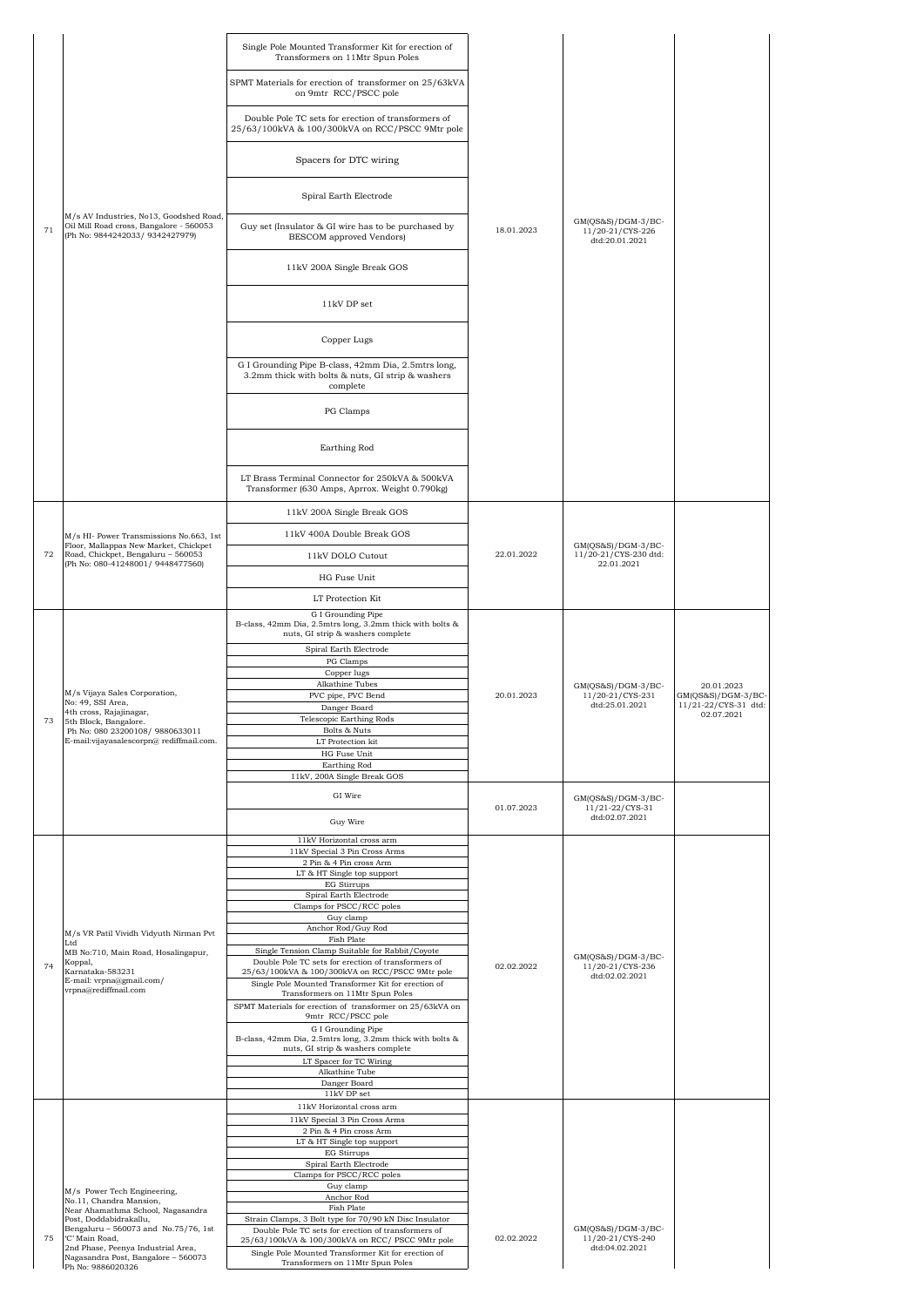|    |                                                                                                                       | Single Pole Mounted Transformer Kit for erection of<br>Transformers on 11Mtr Spun Poles                              |            |                                                            |                                            |
|----|-----------------------------------------------------------------------------------------------------------------------|----------------------------------------------------------------------------------------------------------------------|------------|------------------------------------------------------------|--------------------------------------------|
|    |                                                                                                                       | SPMT Materials for erection of transformer on 25/63kVA<br>on 9mtr RCC/PSCC pole                                      |            |                                                            |                                            |
|    |                                                                                                                       | Double Pole TC sets for erection of transformers of<br>25/63/100kVA & 100/300kVA on RCC/PSCC 9Mtr pole               |            |                                                            |                                            |
|    |                                                                                                                       | Spacers for DTC wiring                                                                                               |            |                                                            |                                            |
|    |                                                                                                                       | Spiral Earth Electrode                                                                                               |            |                                                            |                                            |
| 71 | M/s AV Industries, No13, Goodshed Road,<br>Oil Mill Road cross, Bangalore - 560053<br>(Ph No: 9844242033/ 9342427979) | Guy set (Insulator & GI wire has to be purchased by<br>BESCOM approved Vendors)                                      | 18.01.2023 | $GM(QS&S)/DGM-3/BC-$<br>11/20-21/CYS-226<br>dtd:20.01.2021 |                                            |
|    |                                                                                                                       | 11kV 200A Single Break GOS                                                                                           |            |                                                            |                                            |
|    |                                                                                                                       | 11kV DP set                                                                                                          |            |                                                            |                                            |
|    |                                                                                                                       | Copper Lugs                                                                                                          |            |                                                            |                                            |
|    |                                                                                                                       | G I Grounding Pipe B-class, 42mm Dia, 2.5mtrs long,<br>3.2mm thick with bolts & nuts, GI strip & washers<br>complete |            |                                                            |                                            |
|    |                                                                                                                       | PG Clamps                                                                                                            |            |                                                            |                                            |
|    |                                                                                                                       | Earthing Rod                                                                                                         |            |                                                            |                                            |
|    |                                                                                                                       | LT Brass Terminal Connector for 250kVA & 500kVA<br>Transformer (630 Amps, Aprrox. Weight 0.790kg)                    |            |                                                            |                                            |
|    |                                                                                                                       | 11kV 200A Single Break GOS                                                                                           |            |                                                            |                                            |
|    | M/s HI- Power Transmissions No.663, 1st                                                                               | 11kV 400A Double Break GOS                                                                                           |            |                                                            |                                            |
| 72 | Floor, Mallappas New Market, Chickpet<br>Road, Chickpet, Bengaluru - 560053                                           | 11kV DOLO Cutout                                                                                                     | 22.01.2022 | GM(QS&S)/DGM-3/BC-<br>11/20-21/CYS-230 dtd:<br>22.01.2021  |                                            |
|    | (Ph No: 080-41248001/ 9448477560)                                                                                     | HG Fuse Unit                                                                                                         |            |                                                            |                                            |
|    |                                                                                                                       | LT Protection Kit                                                                                                    |            |                                                            |                                            |
|    |                                                                                                                       | G I Grounding Pipe<br>B-class, 42mm Dia, 2.5mtrs long, 3.2mm thick with bolts &                                      |            |                                                            |                                            |
|    |                                                                                                                       | nuts, GI strip & washers complete                                                                                    |            |                                                            |                                            |
|    |                                                                                                                       | Spiral Earth Electrode<br>PG Clamps                                                                                  |            |                                                            |                                            |
|    |                                                                                                                       | Copper lugs<br>Alkathine Tubes                                                                                       |            | GM(OS&S)/DGM-3/BC-                                         | 20.01.2023                                 |
|    | M/s Vijaya Sales Corporation,<br>No: 49, SSI Area,                                                                    | PVC pipe, PVC Bend<br>Danger Board                                                                                   | 20.01.2023 | 11/20-21/CYS-231<br>dtd:25.01.2021                         | GM(QS&S)/DGM-3/BC-<br>11/21-22/CYS-31 dtd: |
|    | 4th cross, Rajajinagar,<br>5th Block, Bangalore.                                                                      | Telescopic Earthing Rods                                                                                             |            |                                                            | 02.07.2021                                 |
|    | Ph No: 080 23200108/ 9880633011<br>E-mail: vijayasalescorpn@rediffmail.com.                                           | Bolts & Nuts<br>LT Protection kit                                                                                    |            |                                                            |                                            |
|    |                                                                                                                       | HG Fuse Unit<br>Earthing Rod                                                                                         |            |                                                            |                                            |
|    |                                                                                                                       | 11kV, 200A Single Break GOS                                                                                          |            |                                                            |                                            |
|    |                                                                                                                       | GI Wire                                                                                                              |            | GM(QS&S)/DGM-3/BC-                                         |                                            |
|    |                                                                                                                       | Guy Wire                                                                                                             | 01.07.2023 | $11/21 - 22/CYS - 31$<br>dtd:02.07.2021                    |                                            |
|    |                                                                                                                       | 11kV Horizontal cross arm                                                                                            |            |                                                            |                                            |
|    |                                                                                                                       | 11kV Special 3 Pin Cross Arms<br>2 Pin & 4 Pin cross Arm                                                             |            |                                                            |                                            |
|    |                                                                                                                       | LT & HT Single top support<br>EG Stirrups                                                                            |            |                                                            |                                            |
|    |                                                                                                                       | Spiral Earth Electrode<br>Clamps for PSCC/RCC poles                                                                  |            |                                                            |                                            |
|    |                                                                                                                       | Guy clamp                                                                                                            |            |                                                            |                                            |
|    | M/s VR Patil Vividh Vidyuth Nirman Pvt<br>Ltd                                                                         | Anchor Rod/Guy Rod<br>Fish Plate                                                                                     |            |                                                            |                                            |
|    | MB No:710, Main Road, Hosalingapur,<br>Koppal,                                                                        | Single Tension Clamp Suitable for Rabbit/Coyote<br>Double Pole TC sets for erection of transformers of               |            | GM(QS&S)/DGM-3/BC-                                         |                                            |
| 74 | Karnataka-583231<br>E-mail: vrpna@gmail.com/                                                                          | 25/63/100kVA & 100/300kVA on RCC/PSCC 9Mtr pole<br>Single Pole Mounted Transformer Kit for erection of               | 02.02.2022 | 11/20-21/CYS-236<br>dtd:02.02.2021                         |                                            |
|    | vrpna@rediffmail.com                                                                                                  | Transformers on 11Mtr Spun Poles<br>SPMT Materials for erection of transformer on 25/63kVA on                        |            |                                                            |                                            |
|    |                                                                                                                       | 9mtr RCC/PSCC pole                                                                                                   |            |                                                            |                                            |
|    |                                                                                                                       | G I Grounding Pipe<br>B-class, 42mm Dia, 2.5mtrs long, 3.2mm thick with bolts &<br>nuts, GI strip & washers complete |            |                                                            |                                            |
|    |                                                                                                                       | LT Spacer for TC Wiring                                                                                              |            |                                                            |                                            |
|    |                                                                                                                       | Alkathine Tube<br>Danger Board                                                                                       |            |                                                            |                                            |
|    |                                                                                                                       | $11\mathrm{kV}$ DP set<br>11kV Horizontal cross arm                                                                  |            |                                                            |                                            |
|    |                                                                                                                       | 11kV Special 3 Pin Cross Arms                                                                                        |            |                                                            |                                            |
|    |                                                                                                                       | 2 Pin & 4 Pin cross Arm<br>LT & HT Single top support                                                                |            |                                                            |                                            |
|    |                                                                                                                       | <b>EG</b> Stirrups<br>Spiral Earth Electrode                                                                         |            |                                                            |                                            |
|    |                                                                                                                       | Clamps for PSCC/RCC poles<br>Guy clamp                                                                               |            |                                                            |                                            |
|    | M/s Power Tech Engineering,<br>No.11, Chandra Mansion,                                                                | Anchor Rod                                                                                                           |            |                                                            |                                            |
|    | Near Ahamathma School, Nagasandra<br>Post, Doddabidrakallu,                                                           | Fish Plate<br>Strain Clamps, 3 Bolt type for 70/90 kN Disc Insulator                                                 |            |                                                            |                                            |
| 75 | Bengaluru - 560073 and No.75/76, 1st<br>'C' Main Road.                                                                | Double Pole TC sets for erection of transformers of<br>25/63/100kVA & 100/300kVA on RCC/ PSCC 9Mtr pole              | 02.02.2022 | $GM(QS&S)/DGM-3/BC-$<br>11/20-21/CYS-240                   |                                            |
|    | 2nd Phase, Peenya Industrial Area,<br>Nagasandra Post, Bangalore - 560073                                             | Single Pole Mounted Transformer Kit for erection of<br>Transformers on 11Mtr Spun Poles                              |            | dtd:04.02.2021                                             |                                            |
|    | Ph No: 9886020326                                                                                                     |                                                                                                                      |            |                                                            |                                            |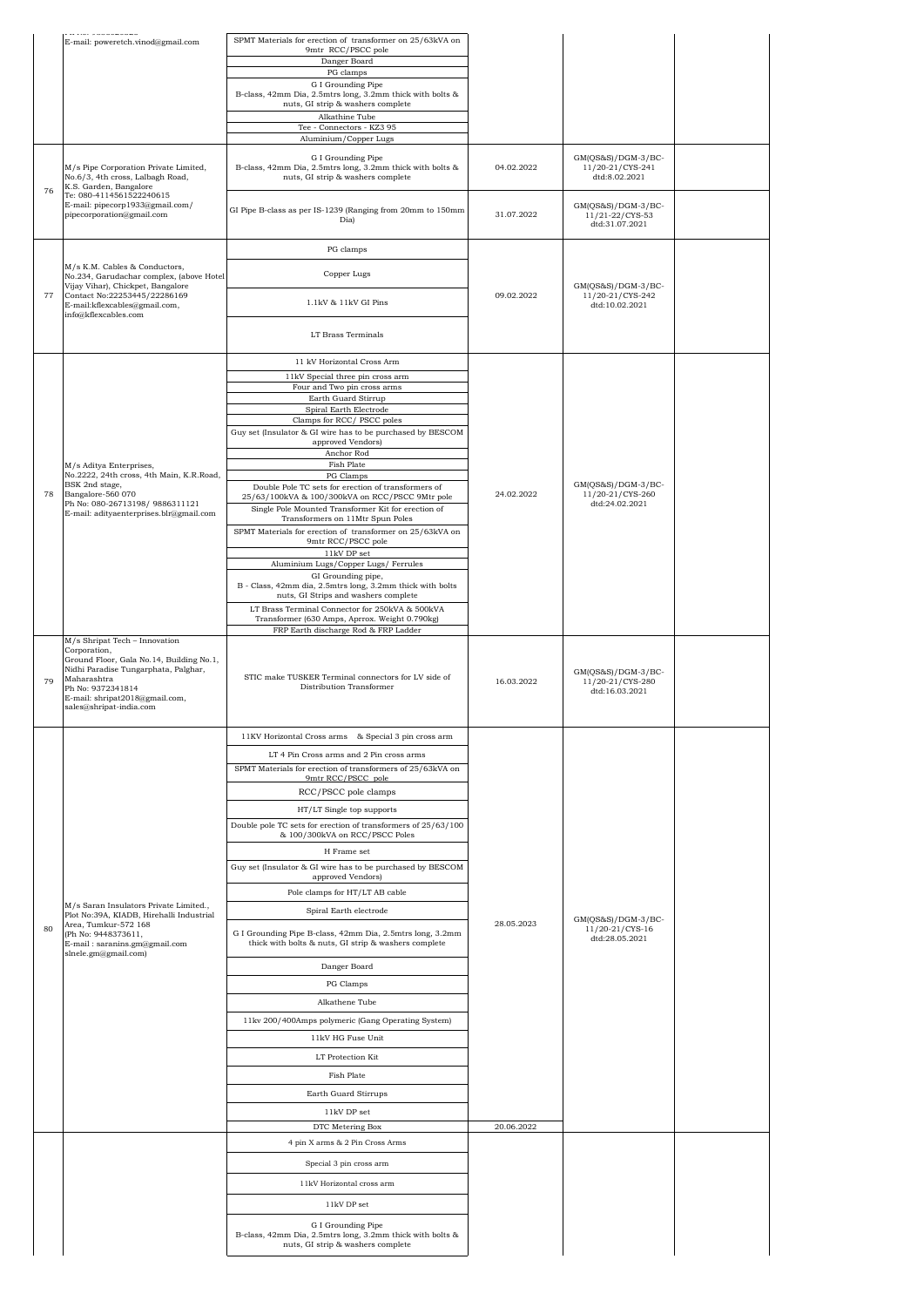|    | . <u>. .</u><br>E-mail: poweretch.vinod@gmail.com                                                                                                                                                 | SPMT Materials for erection of transformer on 25/63kVA on                                                            |            |                                                           |  |
|----|---------------------------------------------------------------------------------------------------------------------------------------------------------------------------------------------------|----------------------------------------------------------------------------------------------------------------------|------------|-----------------------------------------------------------|--|
|    |                                                                                                                                                                                                   | 9mtr RCC/PSCC pole<br>Danger Board                                                                                   |            |                                                           |  |
|    |                                                                                                                                                                                                   | PG clamps<br>G I Grounding Pipe                                                                                      |            |                                                           |  |
|    |                                                                                                                                                                                                   | B-class, 42mm Dia, 2.5mtrs long, 3.2mm thick with bolts &<br>nuts, GI strip & washers complete                       |            |                                                           |  |
|    |                                                                                                                                                                                                   | Alkathine Tube                                                                                                       |            |                                                           |  |
|    |                                                                                                                                                                                                   | Tee - Connectors - KZ3 95<br>Aluminium/Copper Lugs                                                                   |            |                                                           |  |
|    | M/s Pipe Corporation Private Limited,<br>No.6/3, 4th cross, Lalbagh Road,                                                                                                                         | G I Grounding Pipe<br>B-class, 42mm Dia, 2.5mtrs long, 3.2mm thick with bolts &<br>nuts, GI strip & washers complete | 04.02.2022 | $GM(QS&S)/DGM-3/BC-$<br>11/20-21/CYS-241<br>dtd:8.02.2021 |  |
| 76 | K.S. Garden, Bangalore<br>Te: 080-4114561522240615<br>E-mail: pipecorp1933@gmail.com/<br>pipecorporation@gmail.com                                                                                | GI Pipe B-class as per IS-1239 (Ranging from 20mm to 150mm<br>Dia)                                                   | 31.07.2022 | GM(QS&S)/DGM-3/BC-<br>11/21-22/CYS-53<br>dtd:31.07.2021   |  |
|    |                                                                                                                                                                                                   | PG clamps                                                                                                            |            |                                                           |  |
|    | M/s K.M. Cables & Conductors,                                                                                                                                                                     |                                                                                                                      |            |                                                           |  |
|    | No.234, Garudachar complex, (above Hotel<br>Vijay Vihar), Chickpet, Bangalore                                                                                                                     | Copper Lugs                                                                                                          |            | $GM(QS&S)/DGM-3/BC-$                                      |  |
| 77 | Contact No:22253445/22286169<br>E-mail:kflexcables@gmail.com,<br>info@kflexcables.com                                                                                                             | 1.1kV & 11kV GI Pins                                                                                                 | 09.02.2022 | 11/20-21/CYS-242<br>dtd:10.02.2021                        |  |
|    |                                                                                                                                                                                                   | LT Brass Terminals                                                                                                   |            |                                                           |  |
|    |                                                                                                                                                                                                   | 11 kV Horizontal Cross Arm                                                                                           |            |                                                           |  |
|    |                                                                                                                                                                                                   | 11kV Special three pin cross arm<br>Four and Two pin cross arms                                                      |            |                                                           |  |
|    |                                                                                                                                                                                                   | Earth Guard Stirrup<br>Spiral Earth Electrode                                                                        |            |                                                           |  |
|    |                                                                                                                                                                                                   | Clamps for RCC/ PSCC poles                                                                                           |            |                                                           |  |
|    |                                                                                                                                                                                                   | Guy set (Insulator & GI wire has to be purchased by BESCOM<br>approved Vendors)                                      |            |                                                           |  |
|    | M/s Aditya Enterprises,                                                                                                                                                                           | Anchor Rod<br>Fish Plate                                                                                             |            |                                                           |  |
|    | No.2222, 24th cross, 4th Main, K.R.Road,<br>BSK 2nd stage,                                                                                                                                        | PG Clamps                                                                                                            |            | $GM(QS&S)/DGM-3/BC-$                                      |  |
| 78 | Bangalore-560 070<br>Ph No: 080-26713198/ 9886311121                                                                                                                                              | Double Pole TC sets for erection of transformers of<br>25/63/100kVA & 100/300kVA on RCC/PSCC 9Mtr pole               | 24.02.2022 | 11/20-21/CYS-260<br>dtd:24.02.2021                        |  |
|    | E-mail: adityaenterprises.blr@gmail.com                                                                                                                                                           | Single Pole Mounted Transformer Kit for erection of<br>Transformers on 11Mtr Spun Poles                              |            |                                                           |  |
|    |                                                                                                                                                                                                   | SPMT Materials for erection of transformer on 25/63kVA on<br>9mtr RCC/PSCC pole                                      |            |                                                           |  |
|    |                                                                                                                                                                                                   | $11\mathrm{kV}$ DP set                                                                                               |            |                                                           |  |
|    |                                                                                                                                                                                                   | Aluminium Lugs/Copper Lugs/ Ferrules<br>GI Grounding pipe,                                                           |            |                                                           |  |
|    |                                                                                                                                                                                                   | B - Class, 42mm dia, 2.5mtrs long, 3.2mm thick with bolts<br>nuts, GI Strips and washers complete                    |            |                                                           |  |
|    |                                                                                                                                                                                                   | LT Brass Terminal Connector for 250kVA & 500kVA<br>Transformer (630 Amps, Aprrox. Weight 0.790kg)                    |            |                                                           |  |
|    | M/s Shripat Tech - Innovation                                                                                                                                                                     | FRP Earth discharge Rod & FRP Ladder                                                                                 |            |                                                           |  |
| 79 | Corporation,<br>Ground Floor, Gala No.14, Building No.1,<br>Nidhi Paradise Tungarphata, Palghar,<br>Maharashtra<br>Ph No: 9372341814<br>E-mail: shripat2018@gmail.com,<br>sales@shripat-india.com | STIC make TUSKER Terminal connectors for LV side of<br>Distribution Transformer                                      | 16.03.2022 | GM(QS&S)/DGM-3/BC-<br>11/20-21/CYS-280<br>dtd:16.03.2021  |  |
|    |                                                                                                                                                                                                   | 11KV Horizontal Cross arms & Special 3 pin cross arm                                                                 |            |                                                           |  |
|    |                                                                                                                                                                                                   | LT 4 Pin Cross arms and 2 Pin cross arms                                                                             |            |                                                           |  |
|    |                                                                                                                                                                                                   | SPMT Materials for erection of transformers of 25/63kVA on<br>9mtr RCC/PSCC pole                                     |            |                                                           |  |
|    |                                                                                                                                                                                                   | RCC/PSCC pole clamps                                                                                                 |            |                                                           |  |
|    |                                                                                                                                                                                                   | HT/LT Single top supports                                                                                            |            |                                                           |  |
|    |                                                                                                                                                                                                   | Double pole TC sets for erection of transformers of 25/63/100<br>& 100/300kVA on RCC/PSCC Poles                      |            |                                                           |  |
|    |                                                                                                                                                                                                   | H Frame set                                                                                                          |            |                                                           |  |
|    |                                                                                                                                                                                                   | Guy set (Insulator & GI wire has to be purchased by BESCOM<br>approved Vendors)                                      |            |                                                           |  |
|    |                                                                                                                                                                                                   | Pole clamps for HT/LT AB cable                                                                                       |            |                                                           |  |
|    | M/s Saran Insulators Private Limited.,<br>Plot No:39A, KIADB, Hirehalli Industrial                                                                                                                | Spiral Earth electrode                                                                                               |            |                                                           |  |
| 80 | Area, Tumkur-572 168<br>(Ph No: 9448373611,<br>E-mail: saranins.gm@gmail.com                                                                                                                      | G I Grounding Pipe B-class, 42mm Dia, 2.5mtrs long, 3.2mm<br>thick with bolts & nuts, GI strip & washers complete    | 28.05.2023 | $GM(QS&S)/DGM-3/BC-$<br>11/20-21/CYS-16<br>dtd:28.05.2021 |  |
|    | slnele.gm@gmail.com)                                                                                                                                                                              | Danger Board                                                                                                         |            |                                                           |  |
|    |                                                                                                                                                                                                   | PG Clamps                                                                                                            |            |                                                           |  |
|    |                                                                                                                                                                                                   | Alkathene Tube                                                                                                       |            |                                                           |  |
|    |                                                                                                                                                                                                   | 11kv 200/400Amps polymeric (Gang Operating System)                                                                   |            |                                                           |  |
|    |                                                                                                                                                                                                   | 11kV HG Fuse Unit                                                                                                    |            |                                                           |  |
|    |                                                                                                                                                                                                   | LT Protection Kit                                                                                                    |            |                                                           |  |
|    |                                                                                                                                                                                                   | Fish Plate                                                                                                           |            |                                                           |  |
|    |                                                                                                                                                                                                   | Earth Guard Stirrups                                                                                                 |            |                                                           |  |
|    |                                                                                                                                                                                                   | 11kV DP set<br>DTC Metering Box                                                                                      | 20.06.2022 |                                                           |  |
|    |                                                                                                                                                                                                   | 4 pin X arms & 2 Pin Cross Arms                                                                                      |            |                                                           |  |
|    |                                                                                                                                                                                                   | Special 3 pin cross arm                                                                                              |            |                                                           |  |
|    |                                                                                                                                                                                                   | 11kV Horizontal cross arm                                                                                            |            |                                                           |  |
|    |                                                                                                                                                                                                   | 11kV DP set                                                                                                          |            |                                                           |  |
|    |                                                                                                                                                                                                   | G I Grounding Pipe<br>B-class, 42mm Dia, 2.5mtrs long, 3.2mm thick with bolts &                                      |            |                                                           |  |
|    |                                                                                                                                                                                                   | nuts, GI strip & washers complete                                                                                    |            |                                                           |  |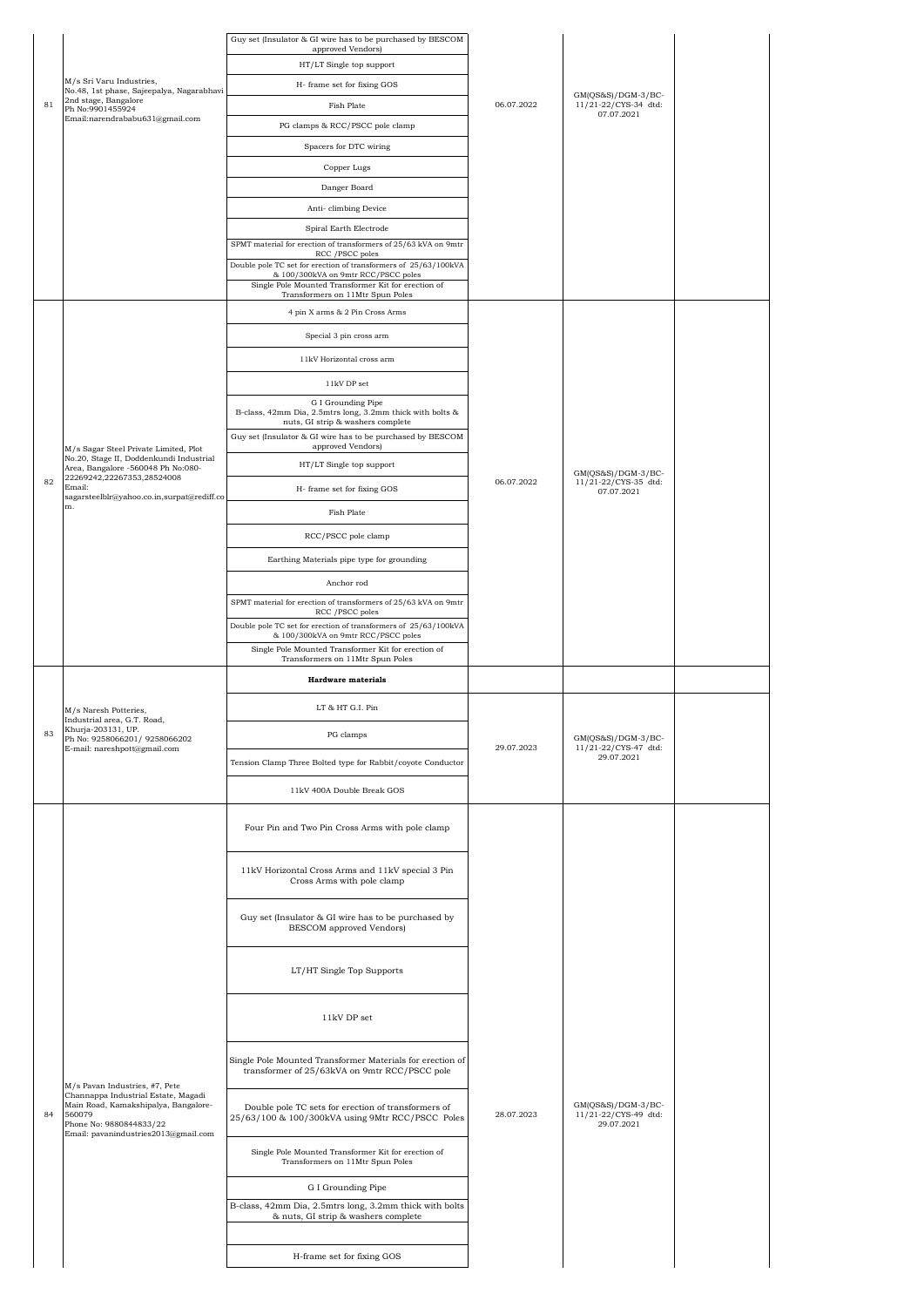|    |                                                                                                                                                          | Guy set (Insulator & GI wire has to be purchased by BESCOM<br>approved Vendors)                            |            |                                                            |  |
|----|----------------------------------------------------------------------------------------------------------------------------------------------------------|------------------------------------------------------------------------------------------------------------|------------|------------------------------------------------------------|--|
|    |                                                                                                                                                          | HT/LT Single top support                                                                                   |            |                                                            |  |
|    | M/s Sri Varu Industries,                                                                                                                                 | H- frame set for fixing GOS                                                                                |            |                                                            |  |
| 81 | No.48, 1st phase, Sajeepalya, Nagarabhavi<br>2nd stage, Bangalore                                                                                        | Fish Plate                                                                                                 | 06.07.2022 | $GM(QS&S)/DGM-3/BC-$<br>11/21-22/CYS-34 dtd:               |  |
|    | Ph No:9901455924<br>Email:narendrababu631@gmail.com                                                                                                      | PG clamps & RCC/PSCC pole clamp                                                                            |            | 07.07.2021                                                 |  |
|    |                                                                                                                                                          | Spacers for DTC wiring                                                                                     |            |                                                            |  |
|    |                                                                                                                                                          | Copper Lugs                                                                                                |            |                                                            |  |
|    |                                                                                                                                                          | Danger Board                                                                                               |            |                                                            |  |
|    |                                                                                                                                                          | Anti-climbing Device                                                                                       |            |                                                            |  |
|    |                                                                                                                                                          | Spiral Earth Electrode                                                                                     |            |                                                            |  |
|    |                                                                                                                                                          | SPMT material for erection of transformers of 25/63 kVA on 9mtr                                            |            |                                                            |  |
|    |                                                                                                                                                          | RCC / PSCC poles<br>Double pole TC set for erection of transformers of 25/63/100kVA                        |            |                                                            |  |
|    |                                                                                                                                                          | & 100/300kVA on 9mtr RCC/PSCC poles<br>Single Pole Mounted Transformer Kit for erection of                 |            |                                                            |  |
|    |                                                                                                                                                          | Transformers on 11Mtr Spun Poles                                                                           |            |                                                            |  |
|    |                                                                                                                                                          | 4 pin X arms & 2 Pin Cross Arms                                                                            |            |                                                            |  |
|    |                                                                                                                                                          | Special 3 pin cross arm                                                                                    |            |                                                            |  |
|    |                                                                                                                                                          | 11kV Horizontal cross arm                                                                                  |            |                                                            |  |
|    |                                                                                                                                                          | 11kV DP set                                                                                                |            |                                                            |  |
|    |                                                                                                                                                          | G I Grounding Pipe<br>B-class, 42mm Dia, 2.5mtrs long, 3.2mm thick with bolts &                            |            |                                                            |  |
|    |                                                                                                                                                          | nuts, GI strip & washers complete<br>Guy set (Insulator & GI wire has to be purchased by BESCOM            |            |                                                            |  |
|    | M/s Sagar Steel Private Limited, Plot                                                                                                                    | approved Vendors)                                                                                          |            |                                                            |  |
|    | No.20, Stage II, Doddenkundi Industrial<br>Area, Bangalore -560048 Ph No:080-                                                                            | HT/LT Single top support                                                                                   |            | GM(QS&S)/DGM-3/BC-                                         |  |
| 82 | 22269242,22267353,28524008<br>Email:<br>sagarsteelblr@yahoo.co.in,surpat@rediff.co                                                                       | H- frame set for fixing GOS                                                                                | 06.07.2022 | 11/21-22/CYS-35 dtd:<br>07.07.2021                         |  |
|    | m.                                                                                                                                                       | Fish Plate                                                                                                 |            |                                                            |  |
|    |                                                                                                                                                          | RCC/PSCC pole clamp                                                                                        |            |                                                            |  |
|    |                                                                                                                                                          |                                                                                                            |            |                                                            |  |
|    |                                                                                                                                                          | Earthing Materials pipe type for grounding                                                                 |            |                                                            |  |
|    |                                                                                                                                                          | Anchor rod                                                                                                 |            |                                                            |  |
|    |                                                                                                                                                          | SPMT material for erection of transformers of 25/63 kVA on 9mtr<br>RCC /PSCC poles                         |            |                                                            |  |
|    |                                                                                                                                                          | Double pole TC set for erection of transformers of 25/63/100kVA<br>& 100/300kVA on 9mtr RCC/PSCC poles     |            |                                                            |  |
|    |                                                                                                                                                          | Single Pole Mounted Transformer Kit for erection of                                                        |            |                                                            |  |
|    |                                                                                                                                                          |                                                                                                            |            |                                                            |  |
|    |                                                                                                                                                          | Transformers on 11Mtr Spun Poles<br><b>Hardware</b> materials                                              |            |                                                            |  |
|    |                                                                                                                                                          |                                                                                                            |            |                                                            |  |
|    | M/s Naresh Potteries,<br>Industrial area, G.T. Road,<br>Khurja-203131, UP.                                                                               | LT & HT G.I. Pin                                                                                           |            |                                                            |  |
| 83 | Ph No: 9258066201/ 9258066202<br>E-mail: nareshpott@gmail.com                                                                                            | PG clamps                                                                                                  | 29.07.2023 | GM(QS&S)/DGM-3/BC-<br>11/21-22/CYS-47 dtd:                 |  |
|    |                                                                                                                                                          | Tension Clamp Three Bolted type for Rabbit/coyote Conductor                                                |            | 29.07.2021                                                 |  |
|    |                                                                                                                                                          | 11kV 400A Double Break GOS                                                                                 |            |                                                            |  |
|    |                                                                                                                                                          | Four Pin and Two Pin Cross Arms with pole clamp                                                            |            |                                                            |  |
|    |                                                                                                                                                          | 11kV Horizontal Cross Arms and 11kV special 3 Pin<br>Cross Arms with pole clamp                            |            |                                                            |  |
|    |                                                                                                                                                          | Guy set (Insulator & GI wire has to be purchased by<br>BESCOM approved Vendors)                            |            |                                                            |  |
|    |                                                                                                                                                          | LT/HT Single Top Supports                                                                                  |            |                                                            |  |
|    |                                                                                                                                                          | 11kV DP set                                                                                                |            |                                                            |  |
|    | M/s Pavan Industries, #7, Pete                                                                                                                           | Single Pole Mounted Transformer Materials for erection of<br>transformer of 25/63kVA on 9mtr RCC/PSCC pole |            |                                                            |  |
| 84 | Channappa Industrial Estate, Magadi<br>Main Road, Kamakshipalya, Bangalore-<br>560079<br>Phone No: 9880844833/22<br>Email: pavanindustries2013@gmail.com | Double pole TC sets for erection of transformers of<br>25/63/100 & 100/300kVA using 9Mtr RCC/PSCC Poles    | 28.07.2023 | $GM(QS&S)/DGM-3/BC-$<br>11/21-22/CYS-49 dtd:<br>29.07.2021 |  |
|    |                                                                                                                                                          | Single Pole Mounted Transformer Kit for erection of<br>Transformers on 11Mtr Spun Poles                    |            |                                                            |  |
|    |                                                                                                                                                          | G I Grounding Pipe                                                                                         |            |                                                            |  |
|    |                                                                                                                                                          | B-class, 42mm Dia, 2.5mtrs long, 3.2mm thick with bolts<br>& nuts, GI strip & washers complete             |            |                                                            |  |
|    |                                                                                                                                                          | H-frame set for fixing GOS                                                                                 |            |                                                            |  |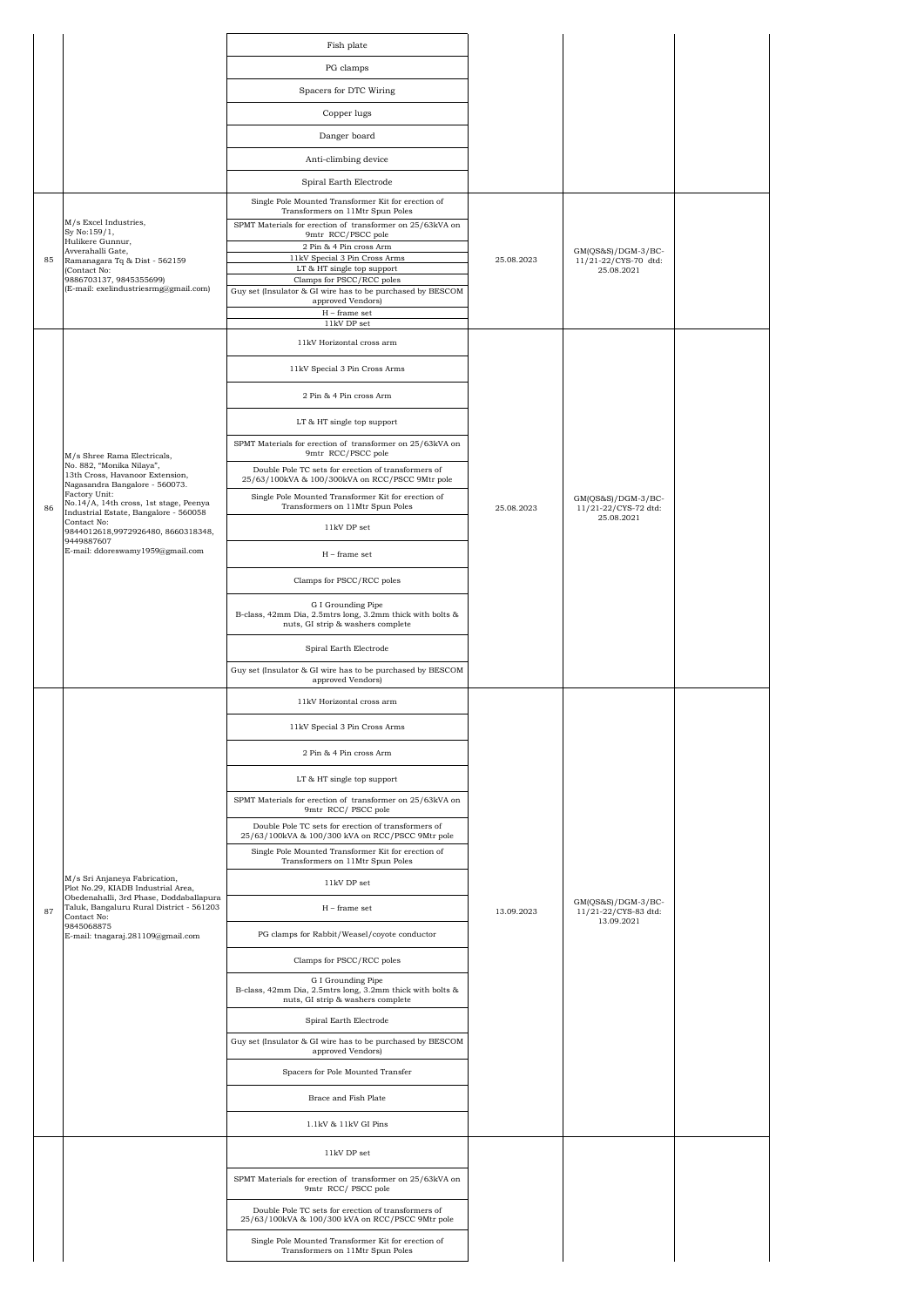|    |                                                                                                                           | Fish plate                                                                                                           |            |                                              |  |
|----|---------------------------------------------------------------------------------------------------------------------------|----------------------------------------------------------------------------------------------------------------------|------------|----------------------------------------------|--|
|    |                                                                                                                           | PG clamps                                                                                                            |            |                                              |  |
|    |                                                                                                                           | Spacers for DTC Wiring                                                                                               |            |                                              |  |
|    |                                                                                                                           | Copper lugs                                                                                                          |            |                                              |  |
|    |                                                                                                                           | Danger board                                                                                                         |            |                                              |  |
|    |                                                                                                                           | Anti-climbing device                                                                                                 |            |                                              |  |
|    |                                                                                                                           | Spiral Earth Electrode                                                                                               |            |                                              |  |
|    |                                                                                                                           | Single Pole Mounted Transformer Kit for erection of<br>Transformers on 11Mtr Spun Poles                              |            |                                              |  |
|    | M/s Excel Industries,<br>Sy No:159/1,                                                                                     | SPMT Materials for erection of transformer on 25/63kVA on<br>9mtr RCC/PSCC pole                                      |            |                                              |  |
| 85 | Hulikere Gunnur,<br>Avverahalli Gate,<br>Ramanagara Tq & Dist - 562159                                                    | $2$ Pin $\&$ 4 Pin cross Arm<br>11kV Special 3 Pin Cross Arms                                                        | 25.08.2023 | $GM(QS&S)/DGM-3/BC-$<br>11/21-22/CYS-70 dtd: |  |
|    | (Contact No:<br>9886703137, 9845355699)                                                                                   | LT & HT single top support<br>Clamps for PSCC/RCC poles                                                              |            | 25.08.2021                                   |  |
|    | (E-mail: exelindustriesrmg@gmail.com)                                                                                     | Guy set (Insulator & GI wire has to be purchased by BESCOM<br>approved Vendors)                                      |            |                                              |  |
|    |                                                                                                                           | $\mathcal{H}$ – frame set<br>$11\mathrm{kV}$ DP set                                                                  |            |                                              |  |
|    |                                                                                                                           | 11kV Horizontal cross arm                                                                                            |            |                                              |  |
|    |                                                                                                                           | 11kV Special 3 Pin Cross Arms                                                                                        |            |                                              |  |
|    |                                                                                                                           | 2 Pin & 4 Pin cross Arm                                                                                              |            |                                              |  |
|    |                                                                                                                           | LT & HT single top support                                                                                           |            |                                              |  |
|    | M/s Shree Rama Electricals,                                                                                               | SPMT Materials for erection of transformer on 25/63kVA on<br>9mtr RCC/PSCC pole                                      |            |                                              |  |
|    | No. 882, "Monika Nilaya",<br>13th Cross, Havanoor Extension,                                                              | Double Pole TC sets for erection of transformers of<br>25/63/100kVA & 100/300kVA on RCC/PSCC 9Mtr pole               |            |                                              |  |
|    | Nagasandra Bangalore - 560073.<br>Factory Unit:<br>No.14/A, 14th cross, 1st stage, Peenya                                 | Single Pole Mounted Transformer Kit for erection of                                                                  |            | $GM(QS&S)/DGM-3/BC-$                         |  |
| 86 | Industrial Estate, Bangalore - 560058<br>Contact No:                                                                      | Transformers on 11Mtr Spun Poles<br>11kV DP set                                                                      | 25.08.2023 | 11/21-22/CYS-72 dtd:<br>25.08.2021           |  |
|    | 9844012618,9972926480, 8660318348,<br>9449887607<br>E-mail: ddoreswamy1959@gmail.com                                      |                                                                                                                      |            |                                              |  |
|    |                                                                                                                           | $H$ – frame set                                                                                                      |            |                                              |  |
|    |                                                                                                                           | Clamps for PSCC/RCC poles                                                                                            |            |                                              |  |
|    |                                                                                                                           | G I Grounding Pipe<br>B-class, 42mm Dia, 2.5mtrs long, 3.2mm thick with bolts &<br>nuts, GI strip & washers complete |            |                                              |  |
|    |                                                                                                                           | Spiral Earth Electrode                                                                                               |            |                                              |  |
|    |                                                                                                                           | Guy set (Insulator & GI wire has to be purchased by BESCOM<br>approved Vendors)                                      |            |                                              |  |
|    |                                                                                                                           | 11kV Horizontal cross arm                                                                                            |            |                                              |  |
|    |                                                                                                                           | 11kV Special 3 Pin Cross Arms                                                                                        |            |                                              |  |
|    |                                                                                                                           | 2 Pin & 4 Pin cross Arm                                                                                              |            |                                              |  |
|    |                                                                                                                           | LT & HT single top support                                                                                           |            |                                              |  |
|    |                                                                                                                           | SPMT Materials for erection of transformer on 25/63kVA on<br>9mtr RCC/ PSCC pole                                     |            |                                              |  |
|    |                                                                                                                           | Double Pole TC sets for erection of transformers of<br>25/63/100kVA & 100/300 kVA on RCC/PSCC 9Mtr pole              |            |                                              |  |
|    |                                                                                                                           | Single Pole Mounted Transformer Kit for erection of<br>Transformers on 11Mtr Spun Poles                              |            |                                              |  |
|    | M/s Sri Anjaneya Fabrication,                                                                                             | 11kV DP set                                                                                                          |            |                                              |  |
| 87 | Plot No.29, KIADB Industrial Area,<br>Obedenahalli, 3rd Phase, Doddaballapura<br>Taluk, Bangaluru Rural District - 561203 | $H$ – frame set                                                                                                      | 13.09.2023 | $GM(OS&S)/DGM-3/BC-$<br>11/21-22/CYS-83 dtd: |  |
|    | Contact No:<br>9845068875<br>E-mail: tnagaraj.281109@gmail.com                                                            | PG clamps for Rabbit/Weasel/coyote conductor                                                                         |            | 13.09.2021                                   |  |
|    |                                                                                                                           | Clamps for PSCC/RCC poles                                                                                            |            |                                              |  |
|    |                                                                                                                           | G I Grounding Pipe<br>B-class, 42mm Dia, 2.5mtrs long, 3.2mm thick with bolts &<br>nuts, GI strip & washers complete |            |                                              |  |
|    |                                                                                                                           | Spiral Earth Electrode                                                                                               |            |                                              |  |
|    |                                                                                                                           | Guy set (Insulator & GI wire has to be purchased by BESCOM<br>approved Vendors)                                      |            |                                              |  |
|    |                                                                                                                           | Spacers for Pole Mounted Transfer                                                                                    |            |                                              |  |
|    |                                                                                                                           | Brace and Fish Plate                                                                                                 |            |                                              |  |
|    |                                                                                                                           | 1.1kV & 11kV GI Pins                                                                                                 |            |                                              |  |
|    |                                                                                                                           | 11kV DP set                                                                                                          |            |                                              |  |
|    |                                                                                                                           | SPMT Materials for erection of transformer on 25/63kVA on<br>9mtr RCC/ PSCC pole                                     |            |                                              |  |
|    |                                                                                                                           | Double Pole TC sets for erection of transformers of<br>25/63/100kVA & 100/300 kVA on RCC/PSCC 9Mtr pole              |            |                                              |  |
|    |                                                                                                                           | Single Pole Mounted Transformer Kit for erection of<br>Transformers on 11Mtr Spun Poles                              |            |                                              |  |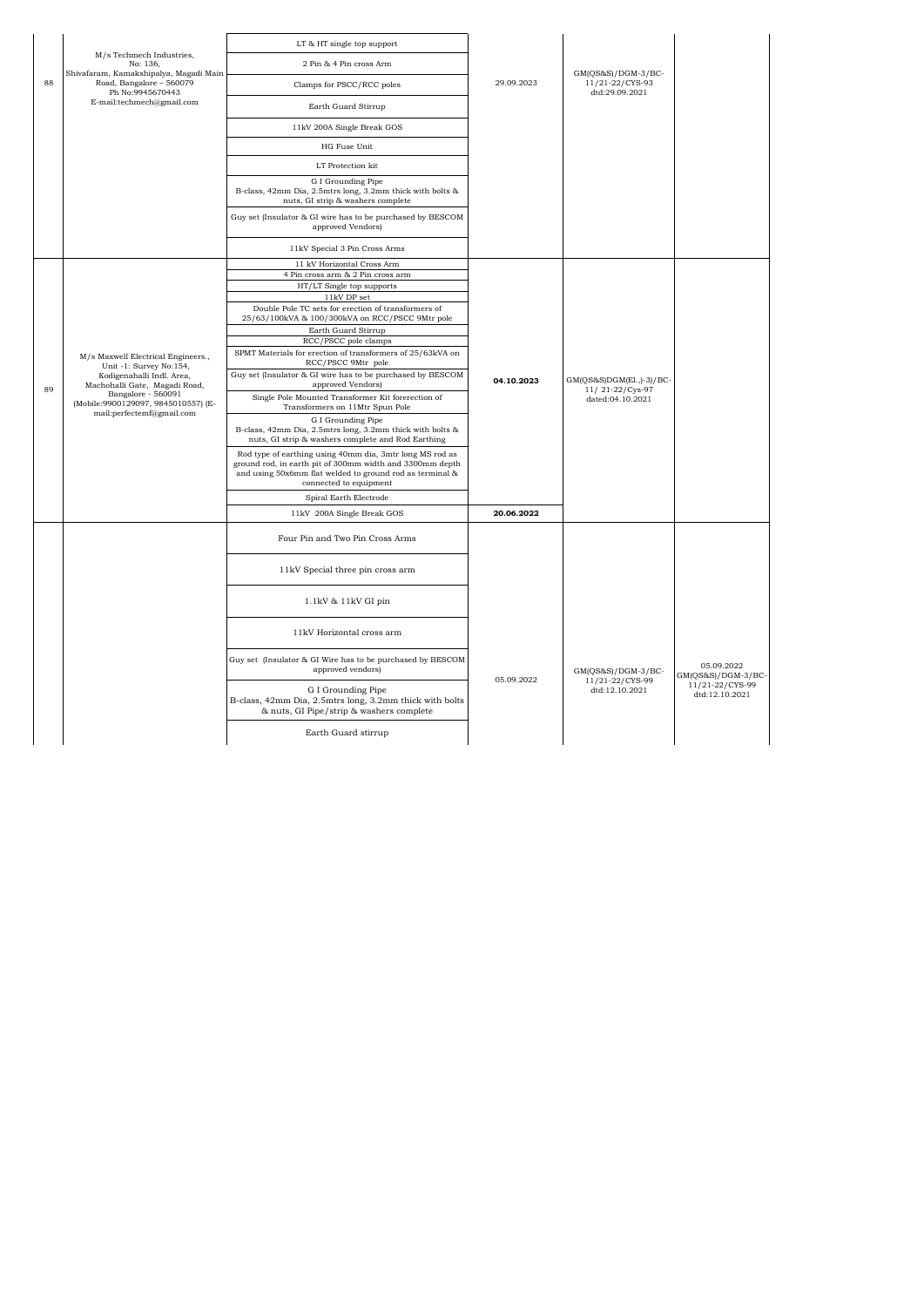|    |                                                                                                                                                                                                                       | LT & HT single top support                                                                                                                                                                                 |            |                                                           |                                   |
|----|-----------------------------------------------------------------------------------------------------------------------------------------------------------------------------------------------------------------------|------------------------------------------------------------------------------------------------------------------------------------------------------------------------------------------------------------|------------|-----------------------------------------------------------|-----------------------------------|
|    | M/s Techmech Industries,<br>No: 136.                                                                                                                                                                                  | 2 Pin & 4 Pin cross Arm                                                                                                                                                                                    |            |                                                           |                                   |
| 88 | Shivafaram, Kamakshipalya, Magadi Main<br>Road, Bangalore - 560079<br>Ph No:9945670443                                                                                                                                | Clamps for PSCC/RCC poles                                                                                                                                                                                  | 29.09.2023 | $GM(QS&S)/DGM-3/BC-$<br>11/21-22/CYS-93<br>dtd:29.09.2021 |                                   |
|    | E-mail:techmech@gmail.com                                                                                                                                                                                             | Earth Guard Stirrup                                                                                                                                                                                        |            |                                                           |                                   |
|    |                                                                                                                                                                                                                       | 11kV 200A Single Break GOS                                                                                                                                                                                 |            |                                                           |                                   |
|    |                                                                                                                                                                                                                       | HG Fuse Unit                                                                                                                                                                                               |            |                                                           |                                   |
|    |                                                                                                                                                                                                                       | LT Protection kit                                                                                                                                                                                          |            |                                                           |                                   |
|    |                                                                                                                                                                                                                       | G I Grounding Pipe<br>B-class, 42mm Dia, 2.5mtrs long, 3.2mm thick with bolts &<br>nuts, GI strip & washers complete                                                                                       |            |                                                           |                                   |
|    |                                                                                                                                                                                                                       | Guy set (Insulator & GI wire has to be purchased by BESCOM<br>approved Vendors)                                                                                                                            |            |                                                           |                                   |
|    |                                                                                                                                                                                                                       | 11kV Special 3 Pin Cross Arms                                                                                                                                                                              |            |                                                           |                                   |
|    |                                                                                                                                                                                                                       | 11 kV Horizontal Cross Arm                                                                                                                                                                                 |            |                                                           |                                   |
|    |                                                                                                                                                                                                                       | 4 Pin cross arm & 2 Pin cross arm                                                                                                                                                                          |            |                                                           |                                   |
|    |                                                                                                                                                                                                                       | HT/LT Single top supports<br>11kV DP set                                                                                                                                                                   |            |                                                           |                                   |
|    |                                                                                                                                                                                                                       | Double Pole TC sets for erection of transformers of<br>25/63/100kVA & 100/300kVA on RCC/PSCC 9Mtr pole                                                                                                     |            |                                                           |                                   |
|    | M/s Maxwell Electrical Engineers.,<br>Unit -1: Survey No:154,<br>Kodigenahalli Indl. Area,<br>Machohalli Gate, Magadi Road,<br>Bangalore - 560091<br>(Mobile:9900129097, 9845010557) (E-<br>mail:perfectemf@gmail.com | Earth Guard Stirrup                                                                                                                                                                                        |            |                                                           |                                   |
|    |                                                                                                                                                                                                                       | RCC/PSCC pole clamps                                                                                                                                                                                       |            |                                                           |                                   |
|    |                                                                                                                                                                                                                       | SPMT Materials for erection of transformers of 25/63kVA on<br>RCC/PSCC 9Mtr pole                                                                                                                           |            |                                                           |                                   |
| 89 |                                                                                                                                                                                                                       | Guy set (Insulator & GI wire has to be purchased by BESCOM<br>approved Vendors)                                                                                                                            | 04.10.2023 | GM(QS&S)DGM(El.,)-3)/BC-<br>11/21-22/Cys-97               |                                   |
|    |                                                                                                                                                                                                                       | Single Pole Mounted Transformer Kit forerection of<br>Transformers on 11Mtr Spun Pole                                                                                                                      |            | dated:04.10.2021                                          |                                   |
|    |                                                                                                                                                                                                                       | G I Grounding Pipe<br>B-class, 42mm Dia, 2.5mtrs long, 3.2mm thick with bolts &<br>nuts, GI strip & washers complete and Rod Earthing                                                                      |            |                                                           |                                   |
|    |                                                                                                                                                                                                                       | Rod type of earthing using 40mm dia, 3mtr long MS rod as<br>ground rod, in earth pit of 300mm width and 3300mm depth<br>and using 50x6mm flat welded to ground rod as terminal &<br>connected to equipment |            |                                                           |                                   |
|    |                                                                                                                                                                                                                       | Spiral Earth Electrode                                                                                                                                                                                     |            |                                                           |                                   |
|    |                                                                                                                                                                                                                       | 11kV 200A Single Break GOS                                                                                                                                                                                 | 20.06.2022 |                                                           |                                   |
|    |                                                                                                                                                                                                                       | Four Pin and Two Pin Cross Arms                                                                                                                                                                            |            |                                                           |                                   |
|    |                                                                                                                                                                                                                       | 11kV Special three pin cross arm                                                                                                                                                                           |            |                                                           |                                   |
|    |                                                                                                                                                                                                                       | 1.1kV & 11kV GI pin                                                                                                                                                                                        |            |                                                           |                                   |
|    |                                                                                                                                                                                                                       | 11kV Horizontal cross arm                                                                                                                                                                                  |            |                                                           |                                   |
|    |                                                                                                                                                                                                                       | Guy set (Insulator & GI Wire has to be purchased by BESCOM<br>approved vendors)                                                                                                                            | 05.09.2022 | GM(QS&S)/DGM-3/BC-                                        | 05.09.2022<br>GM(QS&S)/DGM-3/BC-  |
|    |                                                                                                                                                                                                                       | G I Grounding Pipe<br>B-class, 42mm Dia, 2.5mtrs long, 3.2mm thick with bolts<br>& nuts, GI Pipe/strip & washers complete                                                                                  |            | 11/21-22/CYS-99<br>dtd:12.10.2021                         | 11/21-22/CYS-99<br>dtd:12.10.2021 |
|    |                                                                                                                                                                                                                       | Earth Guard stirrup                                                                                                                                                                                        |            |                                                           |                                   |